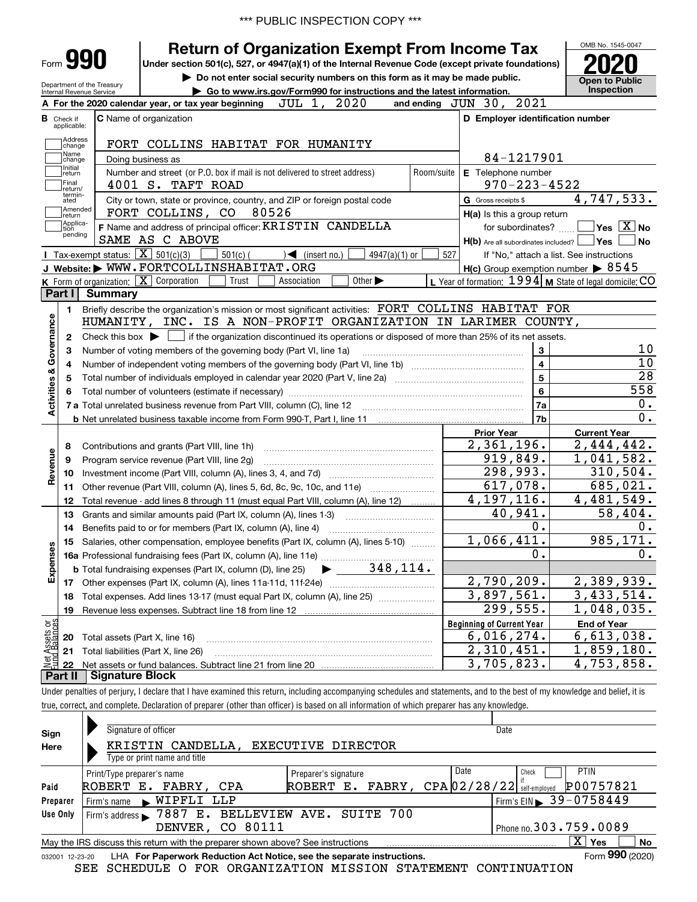# **Return of Organization Exempt From Income Tax**

**Under section 501(c), 527, or 4947(a)(1) of the Internal Revenue Code (except private foundations) 2020**

Department of the Treasury Internal Revenue Service

Form **990**

**| Do not enter social security numbers on this form as it may be made public. | Go to www.irs.gov/Form990 for instructions and the latest information. Inspection**



|                         |                         | A For the 2020 calendar year, or tax year beginning JUL 1, 2020                                                                                     |                         | and ending JUN 30, 2021                             |                                                           |
|-------------------------|-------------------------|-----------------------------------------------------------------------------------------------------------------------------------------------------|-------------------------|-----------------------------------------------------|-----------------------------------------------------------|
| В                       | Check if<br>applicable: | <b>C</b> Name of organization                                                                                                                       |                         | D Employer identification number                    |                                                           |
|                         | Address<br>change       | FORT COLLINS HABITAT FOR HUMANITY                                                                                                                   |                         |                                                     |                                                           |
|                         | Name<br>change          | Doing business as                                                                                                                                   |                         | 84-1217901                                          |                                                           |
|                         | Initial<br>return       | Number and street (or P.O. box if mail is not delivered to street address)<br>Room/suite                                                            | E Telephone number      |                                                     |                                                           |
|                         | Final<br>return/        | 4001 S. TAFT ROAD                                                                                                                                   |                         | $970 - 223 - 4522$                                  |                                                           |
|                         | termin-<br>ated         | City or town, state or province, country, and ZIP or foreign postal code                                                                            |                         | G Gross receipts \$                                 | 4,747,533.                                                |
|                         | Amended<br>return       | FORT COLLINS, CO 80526                                                                                                                              |                         | $H(a)$ is this a group return                       |                                                           |
|                         | Applica-<br>tion        | F Name and address of principal officer: KRISTIN CANDELLA                                                                                           |                         |                                                     | for subordinates? $\Box$ Yes $\boxed{X}$ No               |
|                         | pending                 | SAME AS C ABOVE                                                                                                                                     |                         | $H(b)$ Are all subordinates included? $\Box$ Yes    | No   No                                                   |
|                         |                         | <b>I</b> Tax-exempt status: $\boxed{\mathbf{X}}$ 501(c)(3)<br>$\sqrt{2}$ (insert no.)<br>$501(c)$ (<br>$4947(a)(1)$ or                              | 527                     |                                                     | If "No," attach a list. See instructions                  |
|                         |                         | J Website: WWW.FORTCOLLINSHABITAT.ORG                                                                                                               |                         | $H(c)$ Group exemption number $\triangleright$ 8545 |                                                           |
|                         |                         | <b>K</b> Form of organization: $\boxed{\mathbf{X}}$ Corporation<br>Other $\blacktriangleright$<br>Trust<br>Association                              |                         |                                                     | L Year of formation: $1994$ M State of legal domicile: CO |
|                         | Part I                  | <b>Summary</b>                                                                                                                                      |                         |                                                     |                                                           |
|                         | 1                       | Briefly describe the organization's mission or most significant activities: FORT COLLINS HABITAT FOR                                                |                         |                                                     |                                                           |
|                         |                         | HUMANITY, INC. IS A NON-PROFIT ORGANIZATION IN LARIMER COUNTY,                                                                                      |                         |                                                     |                                                           |
| Activities & Governance | $\mathbf{2}$            | Check this box $\blacktriangleright$ $\blacksquare$ if the organization discontinued its operations or disposed of more than 25% of its net assets. |                         |                                                     |                                                           |
|                         | 3                       | Number of voting members of the governing body (Part VI, line 1a)                                                                                   |                         | 3                                                   | 10                                                        |
|                         | 4                       |                                                                                                                                                     | $\overline{\mathbf{4}}$ | 10                                                  |                                                           |
|                         | 5                       |                                                                                                                                                     |                         | 5                                                   | 28                                                        |
|                         |                         |                                                                                                                                                     |                         | 6                                                   | 558                                                       |
|                         |                         |                                                                                                                                                     |                         | 7a                                                  | 0.                                                        |
|                         |                         |                                                                                                                                                     |                         | 7b                                                  | 0.                                                        |
|                         |                         |                                                                                                                                                     |                         | <b>Prior Year</b>                                   | <b>Current Year</b>                                       |
|                         | 8                       | Contributions and grants (Part VIII, line 1h)                                                                                                       |                         | 2,361,196.                                          | 2,444,442.                                                |
| Revenue                 | 9                       | Program service revenue (Part VIII, line 2g)                                                                                                        |                         | 919,849.                                            | 1,041,582.                                                |
|                         | 10                      |                                                                                                                                                     |                         | 298,993.                                            | 310,504.                                                  |
|                         |                         | 11 Other revenue (Part VIII, column (A), lines 5, 6d, 8c, 9c, 10c, and 11e)                                                                         |                         | 617,078.                                            | 685,021.                                                  |
|                         | 12                      | Total revenue - add lines 8 through 11 (must equal Part VIII, column (A), line 12)                                                                  |                         | 4, 197, 116.                                        | 4,481,549.                                                |
|                         | 13                      | Grants and similar amounts paid (Part IX, column (A), lines 1-3)                                                                                    |                         | 40,941.                                             | 58,404.                                                   |
|                         | 14                      |                                                                                                                                                     |                         | 0.                                                  | 0.                                                        |
|                         | 15                      | Salaries, other compensation, employee benefits (Part IX, column (A), lines 5-10)                                                                   |                         | 1,066,411.                                          | 985,171.                                                  |
| Expenses                |                         |                                                                                                                                                     |                         | $\overline{0}$ .                                    | 0.                                                        |
|                         |                         | <b>b</b> Total fundraising expenses (Part IX, column (D), line 25) $\bullet$ _ 348, 114.                                                            |                         |                                                     |                                                           |
|                         |                         |                                                                                                                                                     |                         | 2,790,209.                                          | 2,389,939.                                                |
|                         | 18                      | Total expenses. Add lines 13-17 (must equal Part IX, column (A), line 25) <i>marronomical</i>                                                       |                         | 3,897,561.                                          | 3,433,514.                                                |
|                         | 19                      |                                                                                                                                                     |                         | 299,555.                                            | 1,048,035.                                                |
| ag                      |                         |                                                                                                                                                     |                         | <b>Beginning of Current Year</b>                    | <b>End of Year</b>                                        |
| 5                       |                         | <b>20</b> Total assets (Part X, line 16)                                                                                                            |                         | 6,016,274.                                          | 6,613,038.                                                |
|                         |                         | 21 Total liabilities (Part X, line 26)                                                                                                              |                         | 2,310,451.                                          | 1,859,180.                                                |
|                         | 22                      |                                                                                                                                                     |                         | 3,705,823.                                          | $\overline{4}$ , 753, 858.                                |
|                         |                         | <b>Part II   Signature Block</b>                                                                                                                    |                         |                                                     |                                                           |
|                         |                         |                                                                                                                                                     |                         |                                                     |                                                           |

Under penalties of perjury, I declare that I have examined this return, including accompanying schedules and statements, and to the best of my knowledge and belief, it is true, correct, and complete. Declaration of preparer (other than officer) is based on all information of which preparer has any knowledge.

| Sign     | Signature of officer                                                                                         |                      | Date                                               |  |  |  |  |  |  |  |  |
|----------|--------------------------------------------------------------------------------------------------------------|----------------------|----------------------------------------------------|--|--|--|--|--|--|--|--|
| Here     | KRISTIN CANDELLA.                                                                                            | EXECUTIVE DIRECTOR   |                                                    |  |  |  |  |  |  |  |  |
|          | Type or print name and title                                                                                 |                      |                                                    |  |  |  |  |  |  |  |  |
|          | Print/Type preparer's name                                                                                   | Preparer's signature | Date<br><b>PTIN</b><br>Check                       |  |  |  |  |  |  |  |  |
| Paid     | ROBERT E. FABRY, CPA                                                                                         | ROBERT E.            | P00757821<br>FABRY, $CPA  02/28/22 $ self-employed |  |  |  |  |  |  |  |  |
| Preparer | Firm's name WIPFLI LLP                                                                                       |                      | Firm's EIN 39-0758449                              |  |  |  |  |  |  |  |  |
| Use Only | Firm's address 37887 E. BELLEVIEW AVE. SUITE 700                                                             |                      |                                                    |  |  |  |  |  |  |  |  |
|          | Phone no. 303.759.0089<br>DENVER, CO 80111                                                                   |                      |                                                    |  |  |  |  |  |  |  |  |
|          | $\mathbf{x}$<br>Yes<br>No<br>May the IRS discuss this return with the preparer shown above? See instructions |                      |                                                    |  |  |  |  |  |  |  |  |
|          | Form 990 (2020)<br>LHA For Paperwork Reduction Act Notice, see the separate instructions.<br>032001 12-23-20 |                      |                                                    |  |  |  |  |  |  |  |  |

SEE SCHEDULE O FOR ORGANIZATION MISSION STATEMENT CONTINUATION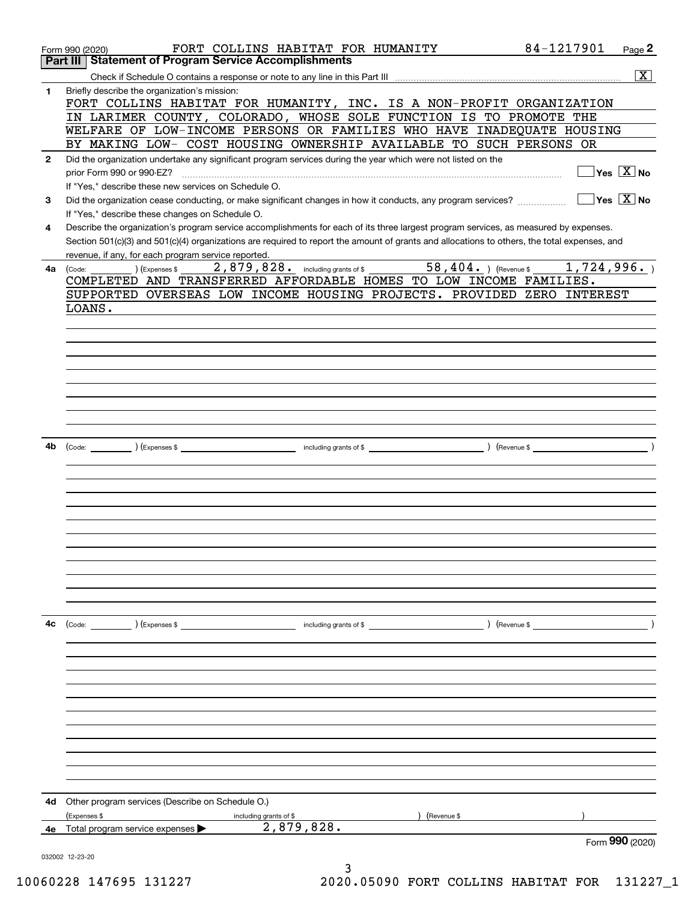|              | FORT COLLINS HABITAT FOR HUMANITY<br>Form 990 (2020)                                                                                         | 84-1217901<br>Page 2             |
|--------------|----------------------------------------------------------------------------------------------------------------------------------------------|----------------------------------|
| Part III     | <b>Statement of Program Service Accomplishments</b>                                                                                          |                                  |
|              |                                                                                                                                              | $\overline{\mathbf{x}}$          |
| 1            | Briefly describe the organization's mission:                                                                                                 |                                  |
|              | FORT COLLINS HABITAT FOR HUMANITY, INC. IS A NON-PROFIT ORGANIZATION                                                                         |                                  |
|              | IN LARIMER COUNTY, COLORADO, WHOSE SOLE FUNCTION IS TO PROMOTE THE<br>WELFARE OF LOW-INCOME PERSONS OR FAMILIES WHO HAVE INADEQUATE HOUSING  |                                  |
|              | BY MAKING LOW- COST HOUSING OWNERSHIP AVAILABLE TO SUCH PERSONS OR                                                                           |                                  |
| $\mathbf{2}$ | Did the organization undertake any significant program services during the year which were not listed on the                                 |                                  |
|              | prior Form 990 or 990-EZ?                                                                                                                    | $\sqrt{}$ Yes $\sqrt{X}$ No      |
|              | If "Yes," describe these new services on Schedule O.                                                                                         |                                  |
| 3            | Did the organization cease conducting, or make significant changes in how it conducts, any program services?                                 | $\Box$ Yes $\boxed{\text{X}}$ No |
|              | If "Yes," describe these changes on Schedule O.                                                                                              |                                  |
| 4            | Describe the organization's program service accomplishments for each of its three largest program services, as measured by expenses.         |                                  |
|              | Section 501(c)(3) and 501(c)(4) organizations are required to report the amount of grants and allocations to others, the total expenses, and |                                  |
|              | revenue, if any, for each program service reported.                                                                                          |                                  |
| 4a           | 2,879,828. including grants of \$58,404.) (Revenue \$1,724,996.)<br>$\begin{array}{c}\n\text{Expenses }\\ \text{\$}\n\end{array}$<br>(Code:  |                                  |
|              | COMPLETED AND TRANSFERRED AFFORDABLE HOMES TO LOW INCOME FAMILIES.                                                                           |                                  |
|              | SUPPORTED OVERSEAS LOW INCOME HOUSING PROJECTS. PROVIDED ZERO INTEREST                                                                       |                                  |
|              | LOANS.                                                                                                                                       |                                  |
|              |                                                                                                                                              |                                  |
|              |                                                                                                                                              |                                  |
|              |                                                                                                                                              |                                  |
|              |                                                                                                                                              |                                  |
|              |                                                                                                                                              |                                  |
|              |                                                                                                                                              |                                  |
|              |                                                                                                                                              |                                  |
|              |                                                                                                                                              |                                  |
| 4b           |                                                                                                                                              |                                  |
|              |                                                                                                                                              |                                  |
|              |                                                                                                                                              |                                  |
|              |                                                                                                                                              |                                  |
|              |                                                                                                                                              |                                  |
|              |                                                                                                                                              |                                  |
|              |                                                                                                                                              |                                  |
|              |                                                                                                                                              |                                  |
|              |                                                                                                                                              |                                  |
|              |                                                                                                                                              |                                  |
|              |                                                                                                                                              |                                  |
|              |                                                                                                                                              |                                  |
| 4c           | (Code: ) (Expenses \$<br>$\blacksquare$ including grants of \$                                                                               | ) (Revenue \$                    |
|              |                                                                                                                                              |                                  |
|              |                                                                                                                                              |                                  |
|              |                                                                                                                                              |                                  |
|              |                                                                                                                                              |                                  |
|              |                                                                                                                                              |                                  |
|              |                                                                                                                                              |                                  |
|              |                                                                                                                                              |                                  |
|              |                                                                                                                                              |                                  |
|              |                                                                                                                                              |                                  |
|              |                                                                                                                                              |                                  |
|              |                                                                                                                                              |                                  |
|              |                                                                                                                                              |                                  |
| 4d           | Other program services (Describe on Schedule O.)                                                                                             |                                  |
|              | (Expenses \$<br>(Revenue \$<br>including grants of \$<br>2,879,828.<br>4e Total program service expenses $\blacktriangleright$               |                                  |
|              |                                                                                                                                              | Form 990 (2020)                  |
|              | 032002 12-23-20                                                                                                                              |                                  |
|              | 3                                                                                                                                            |                                  |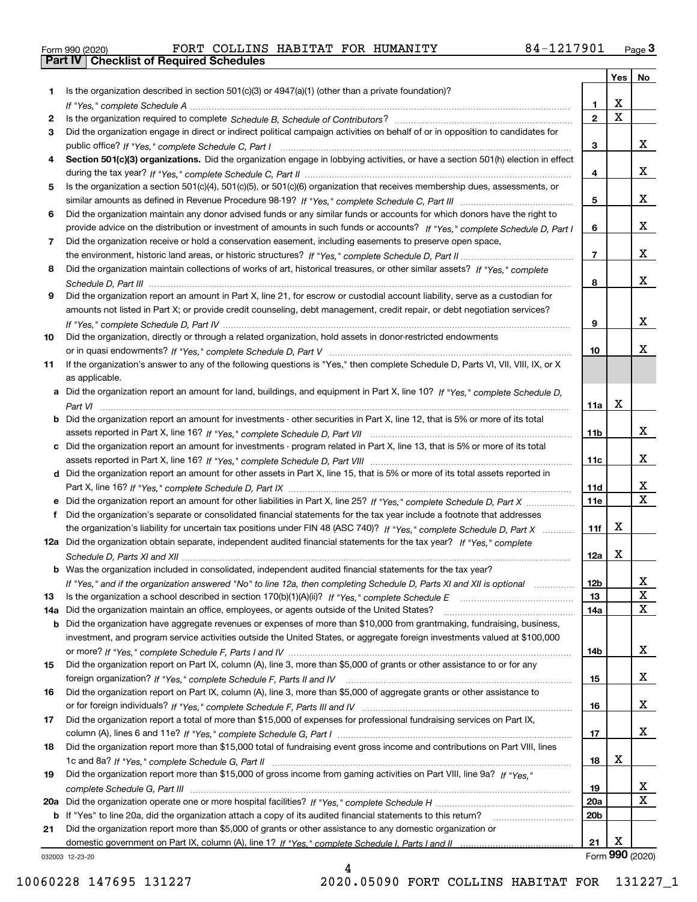|  | Form 990 (2020) |
|--|-----------------|

|     |                                                                                                                                  |                 | Yes                     | No                      |
|-----|----------------------------------------------------------------------------------------------------------------------------------|-----------------|-------------------------|-------------------------|
| 1   | Is the organization described in section $501(c)(3)$ or $4947(a)(1)$ (other than a private foundation)?                          |                 |                         |                         |
|     |                                                                                                                                  | 1.              | X                       |                         |
| 2   |                                                                                                                                  | $\overline{2}$  | $\overline{\mathbf{x}}$ |                         |
| 3   | Did the organization engage in direct or indirect political campaign activities on behalf of or in opposition to candidates for  |                 |                         |                         |
|     |                                                                                                                                  | 3               |                         | x                       |
| 4   | Section 501(c)(3) organizations. Did the organization engage in lobbying activities, or have a section 501(h) election in effect |                 |                         |                         |
|     |                                                                                                                                  | 4               |                         | x                       |
| 5   | Is the organization a section 501(c)(4), 501(c)(5), or 501(c)(6) organization that receives membership dues, assessments, or     |                 |                         |                         |
|     |                                                                                                                                  | 5               |                         | x                       |
| 6   | Did the organization maintain any donor advised funds or any similar funds or accounts for which donors have the right to        |                 |                         |                         |
|     | provide advice on the distribution or investment of amounts in such funds or accounts? If "Yes," complete Schedule D, Part I     | 6               |                         | X.                      |
| 7   | Did the organization receive or hold a conservation easement, including easements to preserve open space,                        |                 |                         |                         |
|     |                                                                                                                                  | $\overline{7}$  |                         | x                       |
| 8   | Did the organization maintain collections of works of art, historical treasures, or other similar assets? If "Yes," complete     |                 |                         |                         |
|     |                                                                                                                                  | 8               |                         | x                       |
| 9   | Did the organization report an amount in Part X, line 21, for escrow or custodial account liability, serve as a custodian for    |                 |                         |                         |
|     | amounts not listed in Part X; or provide credit counseling, debt management, credit repair, or debt negotiation services?        |                 |                         |                         |
|     |                                                                                                                                  | 9               |                         | x                       |
| 10  | Did the organization, directly or through a related organization, hold assets in donor-restricted endowments                     |                 |                         | x.                      |
|     |                                                                                                                                  | 10              |                         |                         |
| 11  | If the organization's answer to any of the following questions is "Yes," then complete Schedule D, Parts VI, VII, VIII, IX, or X |                 |                         |                         |
|     | as applicable.                                                                                                                   |                 |                         |                         |
|     | a Did the organization report an amount for land, buildings, and equipment in Part X, line 10? If "Yes," complete Schedule D,    | 11a             | X                       |                         |
|     | Did the organization report an amount for investments - other securities in Part X, line 12, that is 5% or more of its total     |                 |                         |                         |
|     |                                                                                                                                  | 11 <sub>b</sub> |                         | x                       |
| c   | Did the organization report an amount for investments - program related in Part X, line 13, that is 5% or more of its total      |                 |                         |                         |
|     |                                                                                                                                  | 11c             |                         | X.                      |
|     | d Did the organization report an amount for other assets in Part X, line 15, that is 5% or more of its total assets reported in  |                 |                         |                         |
|     |                                                                                                                                  | 11d             |                         | x                       |
|     | e Did the organization report an amount for other liabilities in Part X, line 25? If "Yes," complete Schedule D, Part X          | 11e             |                         | $\overline{\mathbf{x}}$ |
| f   | Did the organization's separate or consolidated financial statements for the tax year include a footnote that addresses          |                 |                         |                         |
|     | the organization's liability for uncertain tax positions under FIN 48 (ASC 740)? If "Yes," complete Schedule D, Part X           | 11f             | Х                       |                         |
|     | 12a Did the organization obtain separate, independent audited financial statements for the tax year? If "Yes," complete          |                 |                         |                         |
|     |                                                                                                                                  | 12a             | Χ                       |                         |
|     | <b>b</b> Was the organization included in consolidated, independent audited financial statements for the tax year?               |                 |                         |                         |
|     | If "Yes," and if the organization answered "No" to line 12a, then completing Schedule D, Parts XI and XII is optional            | 12b             |                         | ᅀ                       |
| 13  |                                                                                                                                  | 13              |                         | X                       |
| 14a | Did the organization maintain an office, employees, or agents outside of the United States?                                      | 14a             |                         | х                       |
| b   | Did the organization have aggregate revenues or expenses of more than \$10,000 from grantmaking, fundraising, business,          |                 |                         |                         |
|     | investment, and program service activities outside the United States, or aggregate foreign investments valued at \$100,000       |                 |                         |                         |
|     |                                                                                                                                  | 14b             |                         | X.                      |
| 15  | Did the organization report on Part IX, column (A), line 3, more than \$5,000 of grants or other assistance to or for any        |                 |                         |                         |
|     |                                                                                                                                  | 15              |                         | x                       |
| 16  | Did the organization report on Part IX, column (A), line 3, more than \$5,000 of aggregate grants or other assistance to         |                 |                         |                         |
|     |                                                                                                                                  | 16              |                         | x                       |
| 17  | Did the organization report a total of more than \$15,000 of expenses for professional fundraising services on Part IX,          |                 |                         |                         |
|     |                                                                                                                                  | 17              |                         | x                       |
| 18  | Did the organization report more than \$15,000 total of fundraising event gross income and contributions on Part VIII, lines     |                 |                         |                         |
|     |                                                                                                                                  | 18              | х                       |                         |
| 19  | Did the organization report more than \$15,000 of gross income from gaming activities on Part VIII, line 9a? If "Yes."           |                 |                         |                         |
|     |                                                                                                                                  | 19              |                         | X                       |
| 20a |                                                                                                                                  | <b>20a</b>      |                         | х                       |
| b   | If "Yes" to line 20a, did the organization attach a copy of its audited financial statements to this return?                     | 20 <sub>b</sub> |                         |                         |
| 21  | Did the organization report more than \$5,000 of grants or other assistance to any domestic organization or                      |                 |                         |                         |
|     |                                                                                                                                  | 21              | х                       |                         |
|     | 032003 12-23-20                                                                                                                  |                 |                         | Form 990 (2020)         |

4

032003 12-23-20

10060228 147695 131227 2020.05090 FORT COLLINS HABITAT FOR 131227\_1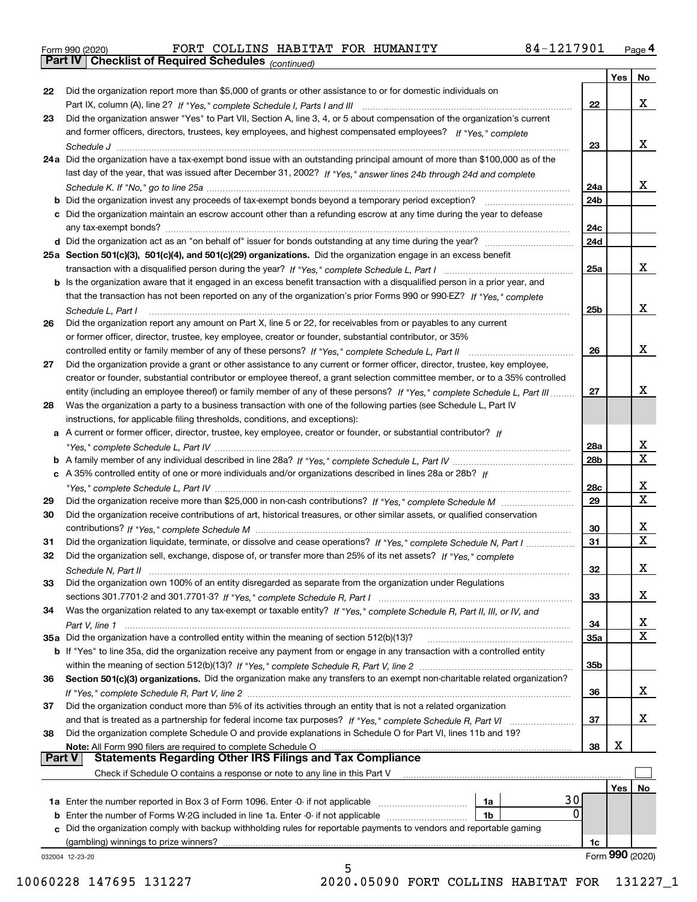|  | Form 990 (2020) |
|--|-----------------|
|  |                 |

*(continued)*

|               |                                                                                                                                    |                 | Yes        | No              |
|---------------|------------------------------------------------------------------------------------------------------------------------------------|-----------------|------------|-----------------|
| 22            | Did the organization report more than \$5,000 of grants or other assistance to or for domestic individuals on                      |                 |            |                 |
|               |                                                                                                                                    | 22              |            | x               |
| 23            | Did the organization answer "Yes" to Part VII, Section A, line 3, 4, or 5 about compensation of the organization's current         |                 |            |                 |
|               | and former officers, directors, trustees, key employees, and highest compensated employees? If "Yes," complete                     |                 |            |                 |
|               |                                                                                                                                    | 23              |            | x               |
|               | 24a Did the organization have a tax-exempt bond issue with an outstanding principal amount of more than \$100,000 as of the        |                 |            |                 |
|               | last day of the year, that was issued after December 31, 2002? If "Yes," answer lines 24b through 24d and complete                 |                 |            |                 |
|               |                                                                                                                                    | 24a             |            | x               |
|               | b Did the organization invest any proceeds of tax-exempt bonds beyond a temporary period exception?                                | 24b             |            |                 |
|               | c Did the organization maintain an escrow account other than a refunding escrow at any time during the year to defease             |                 |            |                 |
|               | any tax-exempt bonds?                                                                                                              | 24c             |            |                 |
|               |                                                                                                                                    | 24d             |            |                 |
|               | 25a Section 501(c)(3), 501(c)(4), and 501(c)(29) organizations. Did the organization engage in an excess benefit                   |                 |            |                 |
|               |                                                                                                                                    | 25a             |            | x               |
|               | b Is the organization aware that it engaged in an excess benefit transaction with a disqualified person in a prior year, and       |                 |            |                 |
|               | that the transaction has not been reported on any of the organization's prior Forms 990 or 990-EZ? If "Yes," complete              |                 |            |                 |
|               | Schedule L. Part I                                                                                                                 | 25b             |            | x               |
| 26            | Did the organization report any amount on Part X, line 5 or 22, for receivables from or payables to any current                    |                 |            |                 |
|               | or former officer, director, trustee, key employee, creator or founder, substantial contributor, or 35%                            |                 |            |                 |
|               |                                                                                                                                    | 26              |            | x               |
| 27            | Did the organization provide a grant or other assistance to any current or former officer, director, trustee, key employee,        |                 |            |                 |
|               | creator or founder, substantial contributor or employee thereof, a grant selection committee member, or to a 35% controlled        |                 |            |                 |
|               | entity (including an employee thereof) or family member of any of these persons? If "Yes," complete Schedule L, Part III           | 27              |            | x               |
| 28            | Was the organization a party to a business transaction with one of the following parties (see Schedule L, Part IV                  |                 |            |                 |
|               | instructions, for applicable filing thresholds, conditions, and exceptions):                                                       |                 |            |                 |
|               | a A current or former officer, director, trustee, key employee, creator or founder, or substantial contributor? If                 |                 |            |                 |
|               |                                                                                                                                    | 28a             |            | х               |
|               |                                                                                                                                    | 28 <sub>b</sub> |            | Χ               |
|               | c A 35% controlled entity of one or more individuals and/or organizations described in lines 28a or 28b? If                        |                 |            |                 |
|               |                                                                                                                                    | 28c             |            | x               |
| 29            |                                                                                                                                    | 29              |            | $\mathbf X$     |
| 30            | Did the organization receive contributions of art, historical treasures, or other similar assets, or qualified conservation        |                 |            |                 |
|               |                                                                                                                                    | 30              |            | x               |
| 31            | Did the organization liquidate, terminate, or dissolve and cease operations? If "Yes," complete Schedule N, Part I                 | 31              |            | $\mathbf X$     |
| 32            | Did the organization sell, exchange, dispose of, or transfer more than 25% of its net assets? If "Yes," complete                   |                 |            |                 |
|               |                                                                                                                                    | 32              |            | х               |
|               |                                                                                                                                    |                 |            |                 |
| 33            | Did the organization own 100% of an entity disregarded as separate from the organization under Regulations                         |                 |            | х               |
|               |                                                                                                                                    | 33              |            |                 |
| 34            | Was the organization related to any tax-exempt or taxable entity? If "Yes," complete Schedule R, Part II, III, or IV, and          |                 |            | X               |
|               |                                                                                                                                    | 34              |            | Χ               |
|               | 35a Did the organization have a controlled entity within the meaning of section 512(b)(13)?                                        | 35a             |            |                 |
|               | <b>b</b> If "Yes" to line 35a, did the organization receive any payment from or engage in any transaction with a controlled entity |                 |            |                 |
|               |                                                                                                                                    | 35 <sub>b</sub> |            |                 |
| 36            | Section 501(c)(3) organizations. Did the organization make any transfers to an exempt non-charitable related organization?         |                 |            | x               |
|               |                                                                                                                                    | 36              |            |                 |
| 37            | Did the organization conduct more than 5% of its activities through an entity that is not a related organization                   |                 |            | х               |
|               |                                                                                                                                    | 37              |            |                 |
| 38            | Did the organization complete Schedule O and provide explanations in Schedule O for Part VI, lines 11b and 19?                     |                 | х          |                 |
| <b>Part V</b> | Note: All Form 990 filers are required to complete Schedule O<br><b>Statements Regarding Other IRS Filings and Tax Compliance</b>  | 38              |            |                 |
|               |                                                                                                                                    |                 |            |                 |
|               | Check if Schedule O contains a response or note to any line in this Part V                                                         |                 |            |                 |
|               |                                                                                                                                    |                 | <b>Yes</b> | No              |
|               | 30<br><b>1a</b> Enter the number reported in Box 3 of Form 1096. Enter -0- if not applicable <i>manumumumum</i><br>1a<br>0         |                 |            |                 |
|               | 1b                                                                                                                                 |                 |            |                 |
|               | c Did the organization comply with backup withholding rules for reportable payments to vendors and reportable gaming               |                 |            |                 |
|               | (gambling) winnings to prize winners?                                                                                              | 1c              |            | Form 990 (2020) |
|               | 032004 12-23-20<br>5                                                                                                               |                 |            |                 |
|               |                                                                                                                                    |                 |            |                 |

10060228 147695 131227 2020.05090 FORT COLLINS HABITAT FOR 131227\_1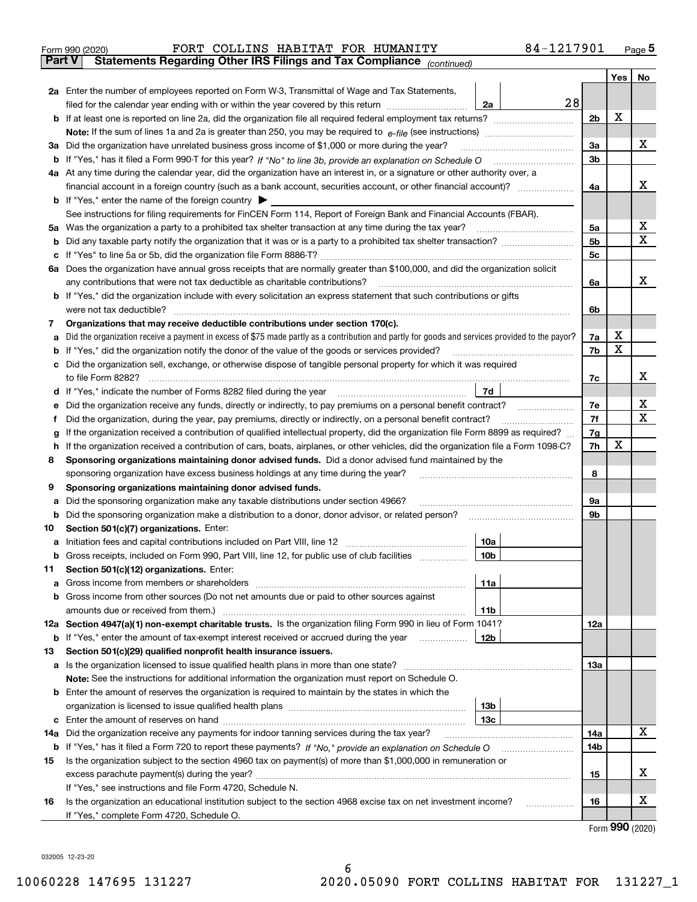| Form 990 (2020) |  |  | FORT COLLINS HABITAT FOR HUMANITY                                                              | 84-1217901 | Page 5 |
|-----------------|--|--|------------------------------------------------------------------------------------------------|------------|--------|
|                 |  |  | <b>Part V</b> Statements Regarding Other IRS Filings and Tax Compliance <sub>(continued)</sub> |            |        |

| Part V | Statements Regarding Other IRS Fillings and Tax Compilance $_{(continued)}$                                                                                                                                                         |    |                |     |    |  |  |  |  |
|--------|-------------------------------------------------------------------------------------------------------------------------------------------------------------------------------------------------------------------------------------|----|----------------|-----|----|--|--|--|--|
|        |                                                                                                                                                                                                                                     |    |                | Yes | No |  |  |  |  |
|        | 2a Enter the number of employees reported on Form W-3, Transmittal of Wage and Tax Statements,                                                                                                                                      |    |                |     |    |  |  |  |  |
|        | filed for the calendar year ending with or within the year covered by this return<br>2a                                                                                                                                             | 28 |                |     |    |  |  |  |  |
|        |                                                                                                                                                                                                                                     |    | 2 <sub>b</sub> | X   |    |  |  |  |  |
|        |                                                                                                                                                                                                                                     |    |                |     |    |  |  |  |  |
|        | 3a Did the organization have unrelated business gross income of \$1,000 or more during the year?                                                                                                                                    |    | За             |     | х  |  |  |  |  |
|        | b If "Yes," has it filed a Form 990-T for this year? If "No" to line 3b, provide an explanation on Schedule O                                                                                                                       |    | 3b             |     |    |  |  |  |  |
|        | 4a At any time during the calendar year, did the organization have an interest in, or a signature or other authority over, a                                                                                                        |    |                |     |    |  |  |  |  |
|        |                                                                                                                                                                                                                                     |    | 4a             |     | х  |  |  |  |  |
|        | <b>b</b> If "Yes," enter the name of the foreign country                                                                                                                                                                            |    |                |     |    |  |  |  |  |
|        | See instructions for filing requirements for FinCEN Form 114, Report of Foreign Bank and Financial Accounts (FBAR).                                                                                                                 |    |                |     | х  |  |  |  |  |
|        | 5a Was the organization a party to a prohibited tax shelter transaction at any time during the tax year?                                                                                                                            |    | 5а             |     | Χ  |  |  |  |  |
|        |                                                                                                                                                                                                                                     |    | 5b             |     |    |  |  |  |  |
|        |                                                                                                                                                                                                                                     |    | 5c             |     |    |  |  |  |  |
|        | 6a Does the organization have annual gross receipts that are normally greater than \$100,000, and did the organization solicit<br>any contributions that were not tax deductible as charitable contributions?                       |    |                |     | х  |  |  |  |  |
|        | <b>b</b> If "Yes," did the organization include with every solicitation an express statement that such contributions or gifts                                                                                                       |    | 6a             |     |    |  |  |  |  |
|        | were not tax deductible?                                                                                                                                                                                                            |    | 6b             |     |    |  |  |  |  |
| 7      | Organizations that may receive deductible contributions under section 170(c).                                                                                                                                                       |    |                |     |    |  |  |  |  |
| а      | Did the organization receive a payment in excess of \$75 made partly as a contribution and partly for goods and services provided to the payor?                                                                                     |    | 7a             | х   |    |  |  |  |  |
| b      | If "Yes," did the organization notify the donor of the value of the goods or services provided?                                                                                                                                     |    | 7b             | X   |    |  |  |  |  |
|        | c Did the organization sell, exchange, or otherwise dispose of tangible personal property for which it was required                                                                                                                 |    |                |     |    |  |  |  |  |
|        | to file Form 8282?                                                                                                                                                                                                                  |    | 7c             |     | х  |  |  |  |  |
|        | d If "Yes," indicate the number of Forms 8282 filed during the year<br>7d                                                                                                                                                           |    |                |     |    |  |  |  |  |
| е      | Did the organization receive any funds, directly or indirectly, to pay premiums on a personal benefit contract?                                                                                                                     |    | 7e             |     | х  |  |  |  |  |
| f      | Did the organization, during the year, pay premiums, directly or indirectly, on a personal benefit contract?                                                                                                                        |    |                |     |    |  |  |  |  |
|        | If the organization received a contribution of qualified intellectual property, did the organization file Form 8899 as required?<br>g                                                                                               |    |                |     |    |  |  |  |  |
| h      | If the organization received a contribution of cars, boats, airplanes, or other vehicles, did the organization file a Form 1098-C?                                                                                                  |    |                |     |    |  |  |  |  |
| 8      | Sponsoring organizations maintaining donor advised funds. Did a donor advised fund maintained by the                                                                                                                                |    |                |     |    |  |  |  |  |
|        | sponsoring organization have excess business holdings at any time during the year?                                                                                                                                                  |    | 8              |     |    |  |  |  |  |
| 9      | Sponsoring organizations maintaining donor advised funds.                                                                                                                                                                           |    |                |     |    |  |  |  |  |
| а      | Did the sponsoring organization make any taxable distributions under section 4966?                                                                                                                                                  |    | 9а             |     |    |  |  |  |  |
|        | <b>b</b> Did the sponsoring organization make a distribution to a donor, donor advisor, or related person?                                                                                                                          |    | 9b             |     |    |  |  |  |  |
| 10     | Section 501(c)(7) organizations. Enter:                                                                                                                                                                                             |    |                |     |    |  |  |  |  |
| а      | Initiation fees and capital contributions included on Part VIII, line 12<br>10a                                                                                                                                                     |    |                |     |    |  |  |  |  |
|        | b Gross receipts, included on Form 990, Part VIII, line 12, for public use of club facilities<br>10 <sub>b</sub>                                                                                                                    |    |                |     |    |  |  |  |  |
| 11.    | Section 501(c)(12) organizations. Enter:                                                                                                                                                                                            |    |                |     |    |  |  |  |  |
|        | 11a                                                                                                                                                                                                                                 |    |                |     |    |  |  |  |  |
|        | <b>b</b> Gross income from other sources (Do not net amounts due or paid to other sources against                                                                                                                                   |    |                |     |    |  |  |  |  |
|        | 11b                                                                                                                                                                                                                                 |    |                |     |    |  |  |  |  |
|        | 12a Section 4947(a)(1) non-exempt charitable trusts. Is the organization filing Form 990 in lieu of Form 1041?                                                                                                                      |    | 12a            |     |    |  |  |  |  |
|        | 12b<br><b>b</b> If "Yes," enter the amount of tax-exempt interest received or accrued during the year                                                                                                                               |    |                |     |    |  |  |  |  |
| 13     | Section 501(c)(29) qualified nonprofit health insurance issuers.                                                                                                                                                                    |    |                |     |    |  |  |  |  |
|        | a Is the organization licensed to issue qualified health plans in more than one state?                                                                                                                                              |    | 13a            |     |    |  |  |  |  |
|        | Note: See the instructions for additional information the organization must report on Schedule O.                                                                                                                                   |    |                |     |    |  |  |  |  |
|        | <b>b</b> Enter the amount of reserves the organization is required to maintain by the states in which the                                                                                                                           |    |                |     |    |  |  |  |  |
|        | 13 <sub>b</sub>                                                                                                                                                                                                                     |    |                |     |    |  |  |  |  |
|        | 13с                                                                                                                                                                                                                                 |    |                |     | x  |  |  |  |  |
|        | 14a Did the organization receive any payments for indoor tanning services during the tax year?                                                                                                                                      |    | 14a            |     |    |  |  |  |  |
| 15     | <b>b</b> If "Yes," has it filed a Form 720 to report these payments? If "No," provide an explanation on Schedule O<br>Is the organization subject to the section 4960 tax on payment(s) of more than \$1,000,000 in remuneration or |    | 14b            |     |    |  |  |  |  |
|        |                                                                                                                                                                                                                                     |    | 15             |     | х  |  |  |  |  |
|        | If "Yes," see instructions and file Form 4720, Schedule N.                                                                                                                                                                          |    |                |     |    |  |  |  |  |
| 16     | Is the organization an educational institution subject to the section 4968 excise tax on net investment income?                                                                                                                     |    | 16             |     | х  |  |  |  |  |
|        | If "Yes," complete Form 4720, Schedule O.                                                                                                                                                                                           |    |                |     |    |  |  |  |  |
|        |                                                                                                                                                                                                                                     |    |                |     |    |  |  |  |  |

Form (2020) **990**

032005 12-23-20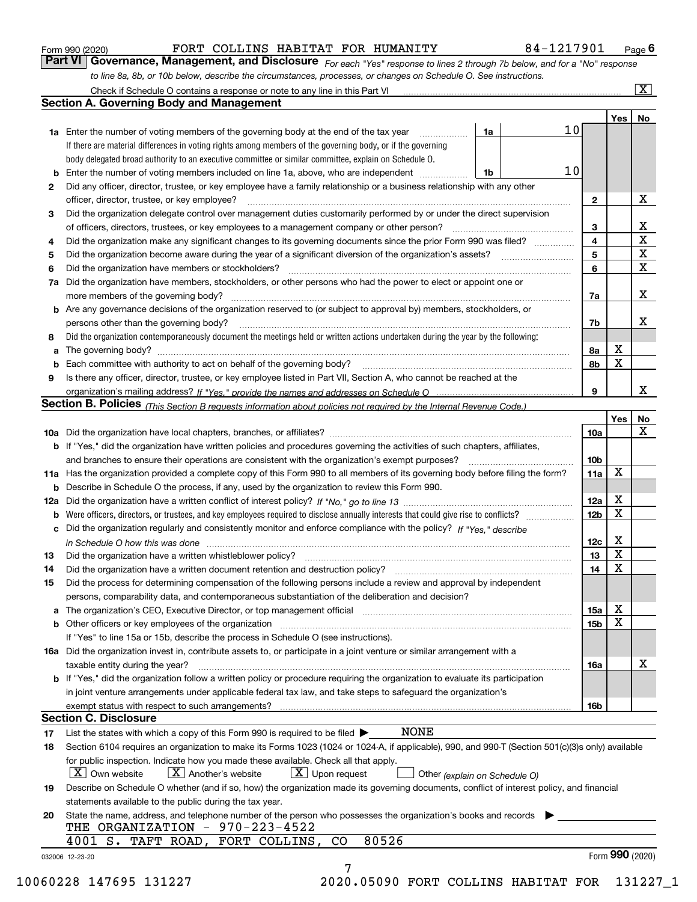|  | Form 990 (2020) |  |
|--|-----------------|--|
|  |                 |  |

### FORT COLLINS HABITAT FOR HUMANITY 84-1217901

*For each "Yes" response to lines 2 through 7b below, and for a "No" response to line 8a, 8b, or 10b below, describe the circumstances, processes, or changes on Schedule O. See instructions.* Form 990 (2020) **FORT COLLINS HABITAT FOR HUMANITY 1999 1-1217901** Page **6**<br>**Part VI Governance, Management, and Disclosure** *For each "Yes" response to lines 2 through 7b below, and for a "No" response* Check if Schedule O contains a response or note to any line in this Part VI

|    |                                                                                                                                                                               |    |                 |                         | Yes             | No                      |
|----|-------------------------------------------------------------------------------------------------------------------------------------------------------------------------------|----|-----------------|-------------------------|-----------------|-------------------------|
|    | <b>1a</b> Enter the number of voting members of the governing body at the end of the tax year                                                                                 | 1a | 10 <sub>l</sub> |                         |                 |                         |
|    | If there are material differences in voting rights among members of the governing body, or if the governing                                                                   |    |                 |                         |                 |                         |
|    | body delegated broad authority to an executive committee or similar committee, explain on Schedule O.                                                                         |    |                 |                         |                 |                         |
|    |                                                                                                                                                                               | 1b | 10              |                         |                 |                         |
| 2  | Did any officer, director, trustee, or key employee have a family relationship or a business relationship with any other                                                      |    |                 |                         |                 |                         |
|    | officer, director, trustee, or key employee?                                                                                                                                  |    |                 | $\mathbf{2}$            |                 | X                       |
| 3  | Did the organization delegate control over management duties customarily performed by or under the direct supervision                                                         |    |                 |                         |                 |                         |
|    |                                                                                                                                                                               |    |                 | 3                       |                 | X                       |
| 4  | Did the organization make any significant changes to its governing documents since the prior Form 990 was filed?                                                              |    |                 | $\overline{\mathbf{4}}$ |                 | $\overline{\textbf{X}}$ |
| 5  |                                                                                                                                                                               |    |                 | 5                       |                 | $\mathbf X$             |
| 6  | Did the organization have members or stockholders?                                                                                                                            |    |                 | 6                       |                 | $\mathbf x$             |
|    | 7a Did the organization have members, stockholders, or other persons who had the power to elect or appoint one or                                                             |    |                 |                         |                 |                         |
|    |                                                                                                                                                                               |    |                 | 7a                      |                 | x                       |
|    | <b>b</b> Are any governance decisions of the organization reserved to (or subject to approval by) members, stockholders, or                                                   |    |                 |                         |                 |                         |
|    | persons other than the governing body?                                                                                                                                        |    |                 | 7b                      |                 | х                       |
| 8  | Did the organization contemporaneously document the meetings held or written actions undertaken during the year by the following:                                             |    |                 |                         |                 |                         |
| a  |                                                                                                                                                                               |    |                 | 8a                      | X               |                         |
|    |                                                                                                                                                                               |    |                 | 8b                      | X               |                         |
| 9  | Is there any officer, director, trustee, or key employee listed in Part VII, Section A, who cannot be reached at the                                                          |    |                 |                         |                 |                         |
|    |                                                                                                                                                                               |    |                 | 9                       |                 | х                       |
|    | Section B. Policies (This Section B requests information about policies not required by the Internal Revenue Code.)                                                           |    |                 |                         |                 |                         |
|    |                                                                                                                                                                               |    |                 |                         | Yes             | No                      |
|    |                                                                                                                                                                               |    |                 | 10a                     |                 | X                       |
|    | <b>b</b> If "Yes," did the organization have written policies and procedures governing the activities of such chapters, affiliates,                                           |    |                 |                         |                 |                         |
|    |                                                                                                                                                                               |    |                 | 10 <sub>b</sub>         |                 |                         |
|    | 11a Has the organization provided a complete copy of this Form 990 to all members of its governing body before filing the form?                                               |    |                 | 11a                     | X               |                         |
|    | <b>b</b> Describe in Schedule O the process, if any, used by the organization to review this Form 990.                                                                        |    |                 |                         |                 |                         |
|    |                                                                                                                                                                               |    |                 | 12a                     | X               |                         |
| b  |                                                                                                                                                                               |    |                 | 12b                     | X               |                         |
|    | c Did the organization regularly and consistently monitor and enforce compliance with the policy? If "Yes," describe                                                          |    |                 |                         |                 |                         |
|    | in Schedule O how this was done manufactured and continuum control of the Schedule O how this was done manufactured and continuum control of the Schedule O how this was done |    |                 | 12c                     | х               |                         |
| 13 |                                                                                                                                                                               |    |                 | 13                      | X               |                         |
| 14 | Did the organization have a written document retention and destruction policy? manufactured and the organization have a written document retention and destruction policy?    |    |                 | 14                      | X               |                         |
| 15 | Did the process for determining compensation of the following persons include a review and approval by independent                                                            |    |                 |                         |                 |                         |
|    | persons, comparability data, and contemporaneous substantiation of the deliberation and decision?                                                                             |    |                 |                         |                 |                         |
|    |                                                                                                                                                                               |    |                 | 15a                     | X               |                         |
|    |                                                                                                                                                                               |    |                 | 15b                     | X               |                         |
|    | If "Yes" to line 15a or 15b, describe the process in Schedule O (see instructions).                                                                                           |    |                 |                         |                 |                         |
|    | 16a Did the organization invest in, contribute assets to, or participate in a joint venture or similar arrangement with a                                                     |    |                 |                         |                 |                         |
|    | taxable entity during the year?                                                                                                                                               |    |                 | 16a                     |                 | X                       |
|    | b If "Yes," did the organization follow a written policy or procedure requiring the organization to evaluate its participation                                                |    |                 |                         |                 |                         |
|    | in joint venture arrangements under applicable federal tax law, and take steps to safequard the organization's                                                                |    |                 |                         |                 |                         |
|    | exempt status with respect to such arrangements?                                                                                                                              |    |                 | 16b                     |                 |                         |
|    | <b>Section C. Disclosure</b>                                                                                                                                                  |    |                 |                         |                 |                         |
| 17 | <b>NONE</b><br>List the states with which a copy of this Form 990 is required to be filed $\blacktriangleright$                                                               |    |                 |                         |                 |                         |
| 18 | Section 6104 requires an organization to make its Forms 1023 (1024 or 1024-A, if applicable), 990, and 990-T (Section 501(c)(3)s only) available                              |    |                 |                         |                 |                         |
|    | for public inspection. Indicate how you made these available. Check all that apply.                                                                                           |    |                 |                         |                 |                         |
|    | $\boxed{\text{X}}$ Upon request<br>  X   Own website<br>$X$ Another's website<br>Other (explain on Schedule O)                                                                |    |                 |                         |                 |                         |
| 19 | Describe on Schedule O whether (and if so, how) the organization made its governing documents, conflict of interest policy, and financial                                     |    |                 |                         |                 |                         |
|    | statements available to the public during the tax year.                                                                                                                       |    |                 |                         |                 |                         |
| 20 | State the name, address, and telephone number of the person who possesses the organization's books and records                                                                |    |                 |                         |                 |                         |
|    | THE ORGANIZATION - 970-223-4522                                                                                                                                               |    |                 |                         |                 |                         |
|    | 80526<br>4001 S. TAFT ROAD, FORT COLLINS,<br>$\rm CO$                                                                                                                         |    |                 |                         |                 |                         |
|    |                                                                                                                                                                               |    |                 |                         | Form 990 (2020) |                         |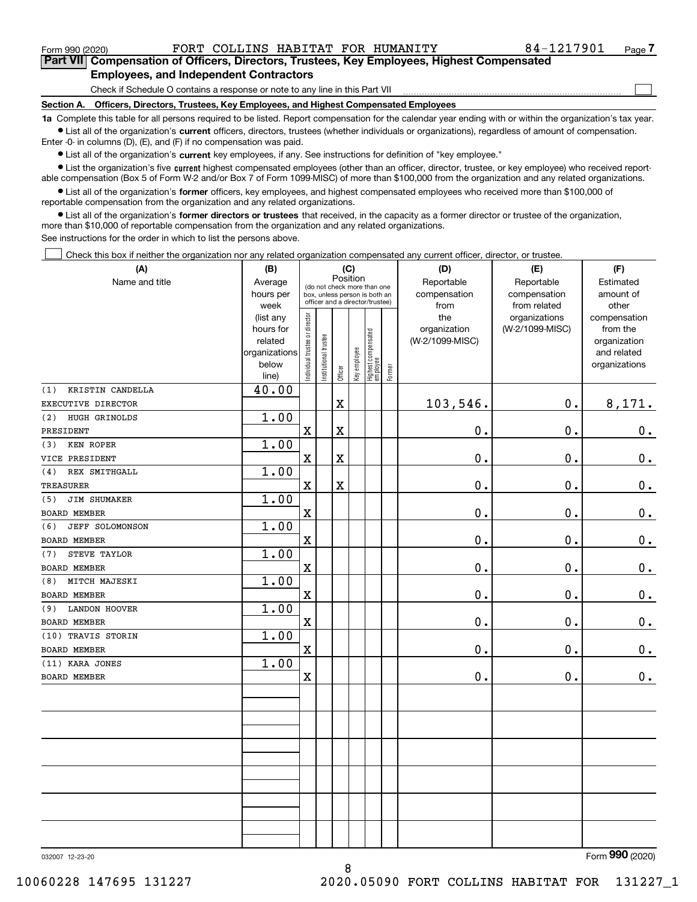Form 990 (2020) FORT COLLINS HABITAT FOR HUMANITY 84-1217901 <sub>Page</sub>

 $\mathcal{L}^{\text{max}}$ 

**7Part VII Compensation of Officers, Directors, Trustees, Key Employees, Highest Compensated Employees, and Independent Contractors**

Check if Schedule O contains a response or note to any line in this Part VII

**Section A. Officers, Directors, Trustees, Key Employees, and Highest Compensated Employees**

**1a**  Complete this table for all persons required to be listed. Report compensation for the calendar year ending with or within the organization's tax year. **•** List all of the organization's current officers, directors, trustees (whether individuals or organizations), regardless of amount of compensation.

Enter -0- in columns (D), (E), and (F) if no compensation was paid.

 $\bullet$  List all of the organization's  $\,$ current key employees, if any. See instructions for definition of "key employee."

**•** List the organization's five current highest compensated employees (other than an officer, director, trustee, or key employee) who received reportable compensation (Box 5 of Form W-2 and/or Box 7 of Form 1099-MISC) of more than \$100,000 from the organization and any related organizations.

**•** List all of the organization's former officers, key employees, and highest compensated employees who received more than \$100,000 of reportable compensation from the organization and any related organizations.

**former directors or trustees**  ¥ List all of the organization's that received, in the capacity as a former director or trustee of the organization, more than \$10,000 of reportable compensation from the organization and any related organizations.

See instructions for the order in which to list the persons above.

Check this box if neither the organization nor any related organization compensated any current officer, director, or trustee.  $\mathcal{L}^{\text{max}}$ 

| (A)                           | (B)            | (C)                            |                               |                                         |              |                                   |            | (D)             | (E)             | (F)            |  |  |  |  |
|-------------------------------|----------------|--------------------------------|-------------------------------|-----------------------------------------|--------------|-----------------------------------|------------|-----------------|-----------------|----------------|--|--|--|--|
| Name and title                | Average        |                                |                               | Position<br>(do not check more than one |              |                                   | Reportable | Reportable      | Estimated       |                |  |  |  |  |
|                               | hours per      |                                | box, unless person is both an |                                         |              |                                   |            | compensation    | compensation    | amount of      |  |  |  |  |
|                               | week           |                                |                               | officer and a director/trustee)         |              |                                   |            | from            | from related    | other          |  |  |  |  |
|                               | (list any      |                                |                               |                                         |              |                                   |            | the             | organizations   | compensation   |  |  |  |  |
|                               | hours for      |                                |                               |                                         |              |                                   |            | organization    | (W-2/1099-MISC) | from the       |  |  |  |  |
|                               | related        |                                |                               |                                         |              |                                   |            | (W-2/1099-MISC) |                 | organization   |  |  |  |  |
|                               | organizations  |                                |                               |                                         |              |                                   |            |                 |                 | and related    |  |  |  |  |
|                               | below<br>line) | Individual trustee or director | Institutional trustee         | Officer                                 | Key employee | Highest compensated<br>  employee | Former     |                 |                 | organizations  |  |  |  |  |
| KRISTIN CANDELLA<br>(1)       | 40.00          |                                |                               |                                         |              |                                   |            |                 |                 |                |  |  |  |  |
| EXECUTIVE DIRECTOR            |                |                                |                               | X                                       |              |                                   |            | 103,546.        | 0.              | 8,171.         |  |  |  |  |
| HUGH GRINOLDS<br>(2)          | 1.00           |                                |                               |                                         |              |                                   |            |                 |                 |                |  |  |  |  |
| PRESIDENT                     |                | $\mathbf X$                    |                               | X                                       |              |                                   |            | 0.              | 0.              | 0.             |  |  |  |  |
| <b>KEN ROPER</b><br>(3)       | 1.00           |                                |                               |                                         |              |                                   |            |                 |                 |                |  |  |  |  |
| VICE PRESIDENT                |                | $\mathbf x$                    |                               | X                                       |              |                                   |            | 0.              | 0.              | $\mathbf 0$ .  |  |  |  |  |
| (4)<br>REX SMITHGALL          | 1.00           |                                |                               |                                         |              |                                   |            |                 |                 |                |  |  |  |  |
| <b>TREASURER</b>              |                | $\mathbf X$                    |                               | X                                       |              |                                   |            | 0.              | 0.              | $0_{.}$        |  |  |  |  |
| JIM SHUMAKER<br>(5)           | 1.00           |                                |                               |                                         |              |                                   |            |                 |                 |                |  |  |  |  |
| <b>BOARD MEMBER</b>           |                | $\rm X$                        |                               |                                         |              |                                   |            | $0$ .           | $0$ .           | $\mathbf 0$ .  |  |  |  |  |
| <b>JEFF SOLOMONSON</b><br>(6) | 1.00           |                                |                               |                                         |              |                                   |            |                 |                 |                |  |  |  |  |
| BOARD MEMBER                  |                | $\mathbf X$                    |                               |                                         |              |                                   |            | 0.              | 0.              | $\mathbf 0$ .  |  |  |  |  |
| STEVE TAYLOR<br>(7)           | 1.00           |                                |                               |                                         |              |                                   |            |                 |                 |                |  |  |  |  |
| <b>BOARD MEMBER</b>           |                | $\mathbf X$                    |                               |                                         |              |                                   |            | $\mathbf 0$ .   | 0.              | $\mathbf 0$ .  |  |  |  |  |
| MITCH MAJESKI<br>(8)          | 1.00           |                                |                               |                                         |              |                                   |            |                 |                 |                |  |  |  |  |
| BOARD MEMBER                  |                | $\mathbf X$                    |                               |                                         |              |                                   |            | 0.              | 0.              | 0.             |  |  |  |  |
| <b>LANDON HOOVER</b><br>(9)   | 1.00           |                                |                               |                                         |              |                                   |            |                 |                 |                |  |  |  |  |
| <b>BOARD MEMBER</b>           |                | $\mathbf X$                    |                               |                                         |              |                                   |            | $0$ .           | 0.              | $0_{.}$        |  |  |  |  |
| (10) TRAVIS STORIN            | 1.00           |                                |                               |                                         |              |                                   |            |                 |                 |                |  |  |  |  |
| BOARD MEMBER                  |                | $\overline{\mathbf{X}}$        |                               |                                         |              |                                   |            | 0.              | 0.              | $0$ .          |  |  |  |  |
| (11) KARA JONES               | 1.00           |                                |                               |                                         |              |                                   |            |                 |                 |                |  |  |  |  |
| <b>BOARD MEMBER</b>           |                | $\mathbf X$                    |                               |                                         |              |                                   |            | 0.              | 0.              | 0.             |  |  |  |  |
|                               |                |                                |                               |                                         |              |                                   |            |                 |                 |                |  |  |  |  |
|                               |                |                                |                               |                                         |              |                                   |            |                 |                 |                |  |  |  |  |
|                               |                |                                |                               |                                         |              |                                   |            |                 |                 |                |  |  |  |  |
|                               |                |                                |                               |                                         |              |                                   |            |                 |                 |                |  |  |  |  |
|                               |                |                                |                               |                                         |              |                                   |            |                 |                 |                |  |  |  |  |
|                               |                |                                |                               |                                         |              |                                   |            |                 |                 |                |  |  |  |  |
|                               |                |                                |                               |                                         |              |                                   |            |                 |                 |                |  |  |  |  |
|                               |                |                                |                               |                                         |              |                                   |            |                 |                 |                |  |  |  |  |
|                               |                |                                |                               |                                         |              |                                   |            |                 |                 |                |  |  |  |  |
|                               |                |                                |                               |                                         |              |                                   |            |                 |                 | $\overline{2}$ |  |  |  |  |

032007 12-23-20

Form (2020) **990**

10060228 147695 131227 2020.05090 FORT COLLINS HABITAT FOR 131227\_1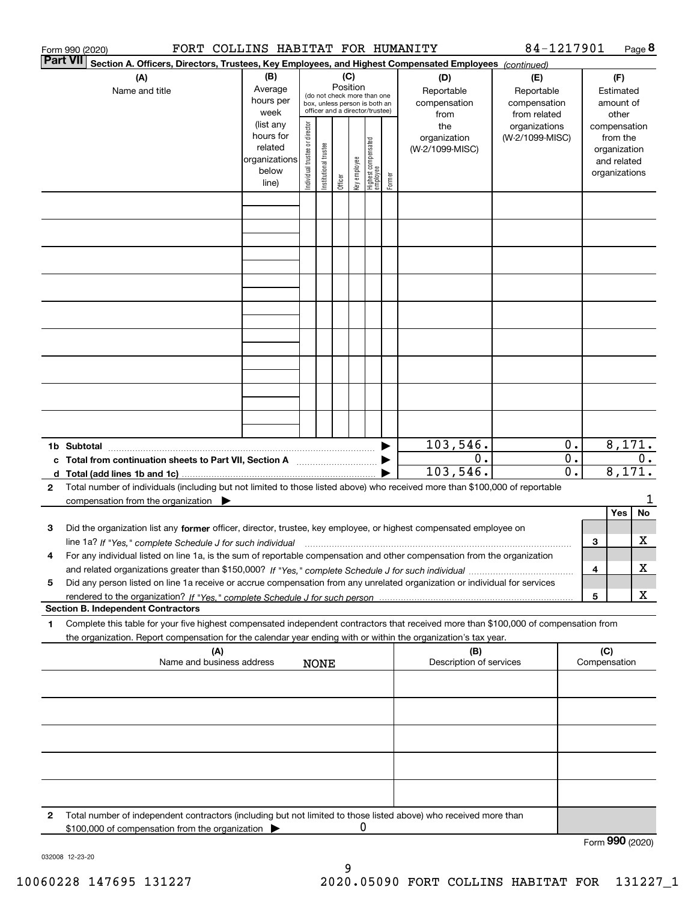|              | 84-1217901<br>FORT COLLINS HABITAT FOR HUMANITY<br>Page 8<br>Form 990 (2020)                                                                                                                                                                                 |                                                                      |                                                                                                                    |                       |         |              |                                 |        |                                                                                                |                                  |                                      |                                        |                                                                          |         |
|--------------|--------------------------------------------------------------------------------------------------------------------------------------------------------------------------------------------------------------------------------------------------------------|----------------------------------------------------------------------|--------------------------------------------------------------------------------------------------------------------|-----------------------|---------|--------------|---------------------------------|--------|------------------------------------------------------------------------------------------------|----------------------------------|--------------------------------------|----------------------------------------|--------------------------------------------------------------------------|---------|
|              | <b>Part VII</b><br>Section A. Officers, Directors, Trustees, Key Employees, and Highest Compensated Employees (continued)                                                                                                                                    |                                                                      |                                                                                                                    |                       |         |              |                                 |        |                                                                                                |                                  |                                      |                                        |                                                                          |         |
|              | (B)<br>(A)<br>Average<br>Name and title<br>hours per<br>week                                                                                                                                                                                                 |                                                                      | (C)<br>Position<br>(do not check more than one<br>box, unless person is both an<br>officer and a director/trustee) |                       |         |              |                                 |        | (D)<br>(E)<br>Reportable<br>Reportable<br>compensation<br>compensation<br>from related<br>from |                                  |                                      | (F)<br>Estimated<br>amount of<br>other |                                                                          |         |
|              |                                                                                                                                                                                                                                                              | (list any<br>hours for<br>related<br>organizations<br>below<br>line) | Individual trustee or director                                                                                     | Institutional trustee | Officer | Key employee | Highest compensated<br>employee | Former | the<br>organization<br>(W-2/1099-MISC)                                                         | organizations<br>(W-2/1099-MISC) |                                      |                                        | compensation<br>from the<br>organization<br>and related<br>organizations |         |
|              |                                                                                                                                                                                                                                                              |                                                                      |                                                                                                                    |                       |         |              |                                 |        |                                                                                                |                                  |                                      |                                        |                                                                          |         |
|              |                                                                                                                                                                                                                                                              |                                                                      |                                                                                                                    |                       |         |              |                                 |        |                                                                                                |                                  |                                      |                                        |                                                                          |         |
|              |                                                                                                                                                                                                                                                              |                                                                      |                                                                                                                    |                       |         |              |                                 |        |                                                                                                |                                  |                                      |                                        |                                                                          |         |
|              |                                                                                                                                                                                                                                                              |                                                                      |                                                                                                                    |                       |         |              |                                 |        |                                                                                                |                                  |                                      |                                        |                                                                          |         |
|              |                                                                                                                                                                                                                                                              |                                                                      |                                                                                                                    |                       |         |              |                                 |        |                                                                                                |                                  |                                      |                                        |                                                                          |         |
|              |                                                                                                                                                                                                                                                              |                                                                      |                                                                                                                    |                       |         |              |                                 |        |                                                                                                |                                  |                                      |                                        |                                                                          |         |
|              |                                                                                                                                                                                                                                                              |                                                                      |                                                                                                                    |                       |         |              |                                 |        |                                                                                                |                                  |                                      |                                        |                                                                          |         |
|              | 1b Subtotal                                                                                                                                                                                                                                                  |                                                                      |                                                                                                                    |                       |         |              |                                 |        | 103,546.                                                                                       |                                  | 0.                                   |                                        | 8,171.                                                                   |         |
| c<br>d       | Total from continuation sheets to Part VII, Section A<br>Total (add lines 1b and 1c).                                                                                                                                                                        |                                                                      |                                                                                                                    |                       |         |              |                                 |        | $0$ .<br>103,546.                                                                              |                                  | $\overline{0}$ .<br>$\overline{0}$ . | 0.<br>8,171.                           |                                                                          |         |
| $\mathbf{2}$ | Total number of individuals (including but not limited to those listed above) who received more than \$100,000 of reportable<br>compensation from the organization $\blacktriangleright$                                                                     |                                                                      |                                                                                                                    |                       |         |              |                                 |        |                                                                                                |                                  |                                      |                                        |                                                                          |         |
| з            | Did the organization list any former officer, director, trustee, key employee, or highest compensated employee on<br>line 1a? If "Yes," complete Schedule J for such individual manufactured contained and the Yes," complete Schedule J for such individual |                                                                      |                                                                                                                    |                       |         |              |                                 |        |                                                                                                |                                  |                                      | З                                      | Yes                                                                      | No<br>x |
| 4            | For any individual listed on line 1a, is the sum of reportable compensation and other compensation from the organization                                                                                                                                     |                                                                      |                                                                                                                    |                       |         |              |                                 |        |                                                                                                |                                  |                                      | 4                                      |                                                                          | x       |
| 5            | Did any person listed on line 1a receive or accrue compensation from any unrelated organization or individual for services<br><b>Section B. Independent Contractors</b>                                                                                      |                                                                      |                                                                                                                    |                       |         |              |                                 |        |                                                                                                |                                  |                                      | 5                                      |                                                                          | x       |
| 1            | Complete this table for your five highest compensated independent contractors that received more than \$100,000 of compensation from                                                                                                                         |                                                                      |                                                                                                                    |                       |         |              |                                 |        |                                                                                                |                                  |                                      |                                        |                                                                          |         |
|              | the organization. Report compensation for the calendar year ending with or within the organization's tax year.<br>(A)<br>Name and business address                                                                                                           |                                                                      |                                                                                                                    |                       |         |              |                                 |        | (B)<br>Description of services                                                                 |                                  |                                      | (C)                                    | Compensation                                                             |         |
|              |                                                                                                                                                                                                                                                              |                                                                      |                                                                                                                    | <b>NONE</b>           |         |              |                                 |        |                                                                                                |                                  |                                      |                                        |                                                                          |         |
|              |                                                                                                                                                                                                                                                              |                                                                      |                                                                                                                    |                       |         |              |                                 |        |                                                                                                |                                  |                                      |                                        |                                                                          |         |
|              |                                                                                                                                                                                                                                                              |                                                                      |                                                                                                                    |                       |         |              |                                 |        |                                                                                                |                                  |                                      |                                        |                                                                          |         |
|              |                                                                                                                                                                                                                                                              |                                                                      |                                                                                                                    |                       |         |              |                                 |        |                                                                                                |                                  |                                      |                                        |                                                                          |         |
| 2            | Total number of independent contractors (including but not limited to those listed above) who received more than                                                                                                                                             |                                                                      |                                                                                                                    |                       |         | 0            |                                 |        |                                                                                                |                                  |                                      |                                        |                                                                          |         |
|              | \$100,000 of compensation from the organization                                                                                                                                                                                                              |                                                                      |                                                                                                                    |                       |         |              |                                 |        |                                                                                                |                                  |                                      |                                        | Form 990 (2020)                                                          |         |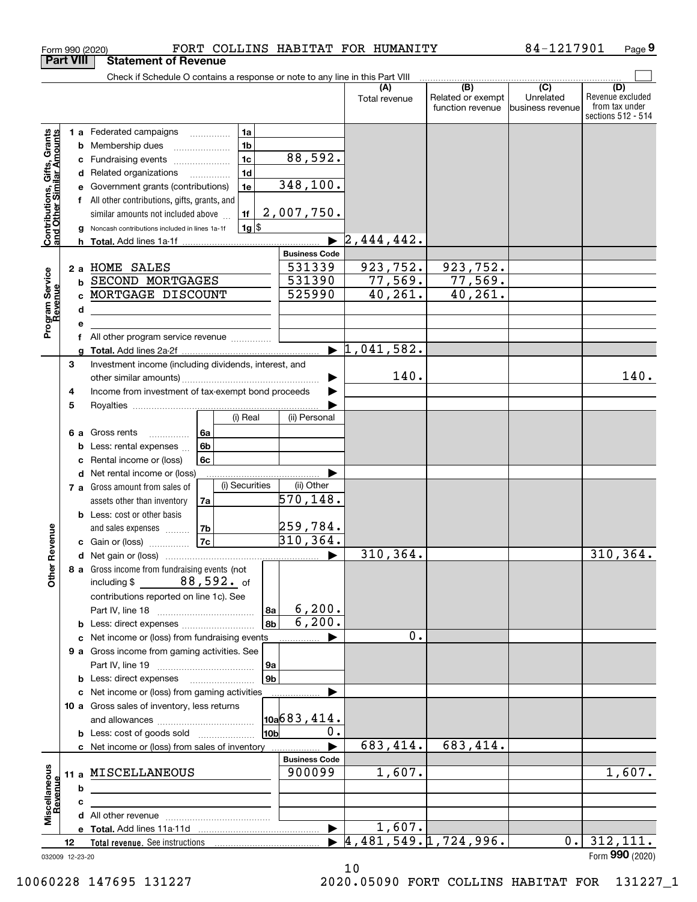|                                                                                         | <b>Part VIII</b>                          | <b>Statement of Revenue</b>                                                                                                                                                                                                                                                                                                                                                                                                                                                      |                                                                                         |                                               |                                              |                                                 |                                                                 |
|-----------------------------------------------------------------------------------------|-------------------------------------------|----------------------------------------------------------------------------------------------------------------------------------------------------------------------------------------------------------------------------------------------------------------------------------------------------------------------------------------------------------------------------------------------------------------------------------------------------------------------------------|-----------------------------------------------------------------------------------------|-----------------------------------------------|----------------------------------------------|-------------------------------------------------|-----------------------------------------------------------------|
|                                                                                         |                                           | Check if Schedule O contains a response or note to any line in this Part VIII                                                                                                                                                                                                                                                                                                                                                                                                    |                                                                                         |                                               |                                              |                                                 |                                                                 |
|                                                                                         |                                           |                                                                                                                                                                                                                                                                                                                                                                                                                                                                                  |                                                                                         | (A)<br>Total revenue                          | (B)<br>Related or exempt<br>function revenue | $\overline{C}$<br>Unrelated<br>business revenue | (D)<br>Revenue excluded<br>from tax under<br>sections 512 - 514 |
| Contributions, Gifts, Grants<br>and Other Similar Amounts<br>Program Service<br>Revenue | c<br>d<br>е<br>f<br>b<br>C<br>d<br>е<br>f | 1a<br>1 a Federated campaigns<br>1 <sub>b</sub><br><b>b</b> Membership dues<br>1 <sub>c</sub><br>Fundraising events<br>1 <sub>d</sub><br>Related organizations<br>1e<br>Government grants (contributions)<br>All other contributions, gifts, grants, and<br>1f<br>similar amounts not included above<br>$1g$ \$<br>Noncash contributions included in lines 1a-1f<br>2 a HOME SALES<br>SECOND MORTGAGES<br>MORTGAGE DISCOUNT<br>All other program service revenue <i>mimimini</i> | 88,592.<br>348,100.<br>2,007,750.<br><b>Business Code</b><br>531339<br>531390<br>525990 | 2,444,442.<br>923,752.<br>77,569.<br>40, 261. | 923,752.<br>77,569.<br>40, 261.              |                                                 |                                                                 |
|                                                                                         |                                           |                                                                                                                                                                                                                                                                                                                                                                                                                                                                                  |                                                                                         | $\blacktriangleright$ 1,041,582.              |                                              |                                                 |                                                                 |
|                                                                                         | 3<br>4                                    | Investment income (including dividends, interest, and<br>Income from investment of tax-exempt bond proceeds                                                                                                                                                                                                                                                                                                                                                                      |                                                                                         | 140.                                          |                                              |                                                 | 140.                                                            |
|                                                                                         | 5<br>6а<br>b<br>c                         | (i) Real<br>Gross rents<br>l 6a<br>.<br>6 <sub>b</sub><br>Less: rental expenses<br>6c<br>Rental income or (loss)                                                                                                                                                                                                                                                                                                                                                                 | (ii) Personal                                                                           |                                               |                                              |                                                 |                                                                 |
|                                                                                         | d                                         | Net rental income or (loss)<br>(i) Securities<br>7 a Gross amount from sales of<br>assets other than inventory<br>7a<br><b>b</b> Less: cost or other basis<br>7b<br>and sales expenses                                                                                                                                                                                                                                                                                           | (ii) Other<br>$\overline{570}$ ,148.<br>259,784.                                        |                                               |                                              |                                                 |                                                                 |
|                                                                                         |                                           | 7c<br>c Gain or (loss)                                                                                                                                                                                                                                                                                                                                                                                                                                                           | 310, 364.                                                                               |                                               |                                              |                                                 |                                                                 |
| Revenue<br><b>Other</b>                                                                 |                                           | 8 a Gross income from fundraising events (not<br>including $$88,592.$ of<br>contributions reported on line 1c). See                                                                                                                                                                                                                                                                                                                                                              |                                                                                         | 310, 364.                                     |                                              |                                                 | 310, 364.                                                       |
|                                                                                         |                                           |                                                                                                                                                                                                                                                                                                                                                                                                                                                                                  | 6, 200.<br>8а                                                                           |                                               |                                              |                                                 |                                                                 |
|                                                                                         |                                           |                                                                                                                                                                                                                                                                                                                                                                                                                                                                                  | 6, 200.<br>8b                                                                           |                                               |                                              |                                                 |                                                                 |
|                                                                                         |                                           | c Net income or (loss) from fundraising events<br>9 a Gross income from gaming activities. See                                                                                                                                                                                                                                                                                                                                                                                   | 9а                                                                                      | 0.                                            |                                              |                                                 |                                                                 |
|                                                                                         |                                           | <b>b</b> Less: direct expenses <b>manually</b>                                                                                                                                                                                                                                                                                                                                                                                                                                   | 9 <sub>b</sub>                                                                          |                                               |                                              |                                                 |                                                                 |
|                                                                                         |                                           | c Net income or (loss) from gaming activities<br>10 a Gross sales of inventory, less returns                                                                                                                                                                                                                                                                                                                                                                                     | .<br>$\vert$ 10a $\vert$ 683,414.                                                       |                                               |                                              |                                                 |                                                                 |
|                                                                                         |                                           | <b>b</b> Less: cost of goods sold                                                                                                                                                                                                                                                                                                                                                                                                                                                | 0.<br>10b                                                                               |                                               |                                              |                                                 |                                                                 |
|                                                                                         |                                           | c Net income or (loss) from sales of inventory                                                                                                                                                                                                                                                                                                                                                                                                                                   |                                                                                         | 683,414.                                      | 683,414.                                     |                                                 |                                                                 |
| Miscellaneous                                                                           | b                                         | 11 a MISCELLANEOUS                                                                                                                                                                                                                                                                                                                                                                                                                                                               | <b>Business Code</b><br>900099                                                          | 1,607.                                        |                                              |                                                 | 1,607.                                                          |
| Revenue                                                                                 | c                                         |                                                                                                                                                                                                                                                                                                                                                                                                                                                                                  |                                                                                         |                                               |                                              |                                                 |                                                                 |
|                                                                                         |                                           |                                                                                                                                                                                                                                                                                                                                                                                                                                                                                  |                                                                                         |                                               |                                              |                                                 |                                                                 |
|                                                                                         |                                           |                                                                                                                                                                                                                                                                                                                                                                                                                                                                                  | $\blacktriangleright$                                                                   | 1,607.                                        |                                              |                                                 |                                                                 |
|                                                                                         | 12<br>032009 12-23-20                     |                                                                                                                                                                                                                                                                                                                                                                                                                                                                                  |                                                                                         | $\blacktriangleright$ 4,481,549.1,724,996.    |                                              | 0.                                              | 312, 111.<br>Form 990 (2020)                                    |

10

Form 990 (2020) F'OR'I' COLLINS HABITAT F'OR HUMANITY 84-1217901 Page

FORT COLLINS HABITAT FOR HUMANITY 84-1217901

**9**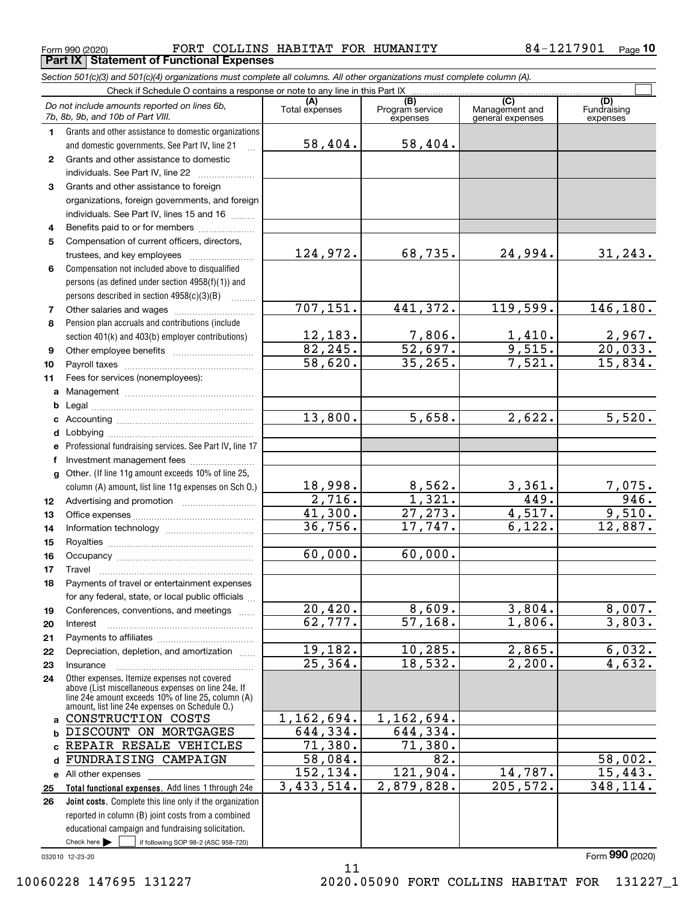Form 990 (2020) Page FORT COLLINS HABITAT FOR HUMANITY 84-1217901 **Part IX Statement of Functional Expenses**

*Section 501(c)(3) and 501(c)(4) organizations must complete all columns. All other organizations must complete column (A).*

|              | Do not include amounts reported on lines 6b,<br>7b, 8b, 9b, and 10b of Part VIII.                                                                                                                          | (A)<br>Total expenses | (B)<br>Program service<br>expenses | (C)<br>Management and<br>general expenses | (D)<br>Fundraising<br>expenses |
|--------------|------------------------------------------------------------------------------------------------------------------------------------------------------------------------------------------------------------|-----------------------|------------------------------------|-------------------------------------------|--------------------------------|
| 1.           | Grants and other assistance to domestic organizations<br>and domestic governments. See Part IV, line 21                                                                                                    | 58,404.               | 58,404.                            |                                           |                                |
| $\mathbf{2}$ | Grants and other assistance to domestic                                                                                                                                                                    |                       |                                    |                                           |                                |
|              | individuals. See Part IV, line 22                                                                                                                                                                          |                       |                                    |                                           |                                |
| 3            | Grants and other assistance to foreign                                                                                                                                                                     |                       |                                    |                                           |                                |
|              | organizations, foreign governments, and foreign                                                                                                                                                            |                       |                                    |                                           |                                |
|              | individuals. See Part IV, lines 15 and 16                                                                                                                                                                  |                       |                                    |                                           |                                |
| 4            | Benefits paid to or for members                                                                                                                                                                            |                       |                                    |                                           |                                |
| 5            | Compensation of current officers, directors,                                                                                                                                                               |                       |                                    |                                           |                                |
|              | trustees, and key employees                                                                                                                                                                                | 124,972.              | 68,735.                            | 24,994.                                   | 31, 243.                       |
| 6            | Compensation not included above to disqualified                                                                                                                                                            |                       |                                    |                                           |                                |
|              | persons (as defined under section 4958(f)(1)) and                                                                                                                                                          |                       |                                    |                                           |                                |
|              | persons described in section 4958(c)(3)(B)                                                                                                                                                                 | 707, 151.             | 441,372.                           | 119,599.                                  | 146, 180.                      |
| 7            |                                                                                                                                                                                                            |                       |                                    |                                           |                                |
| 8            | Pension plan accruals and contributions (include                                                                                                                                                           | 12, 183.              | 7,806.                             |                                           |                                |
|              | section 401(k) and 403(b) employer contributions)                                                                                                                                                          | 82, 245.              | $\overline{52,697.}$               | $\frac{1,410}{9,515}$ .                   | $\frac{2,967}{20,033}$ .       |
| 9<br>10      |                                                                                                                                                                                                            | 58,620.               | 35, 265.                           | 7,521.                                    | 15,834.                        |
| 11           | Fees for services (nonemployees):                                                                                                                                                                          |                       |                                    |                                           |                                |
|              |                                                                                                                                                                                                            |                       |                                    |                                           |                                |
|              |                                                                                                                                                                                                            |                       |                                    |                                           |                                |
|              |                                                                                                                                                                                                            | 13,800.               | 5,658.                             | 2,622.                                    | 5,520.                         |
|              |                                                                                                                                                                                                            |                       |                                    |                                           |                                |
|              | e Professional fundraising services. See Part IV, line 17                                                                                                                                                  |                       |                                    |                                           |                                |
| f            | Investment management fees                                                                                                                                                                                 |                       |                                    |                                           |                                |
|              | g Other. (If line 11g amount exceeds 10% of line 25,                                                                                                                                                       |                       |                                    |                                           |                                |
|              | column (A) amount, list line 11g expenses on Sch 0.)                                                                                                                                                       | 18,998.               | 8,562.                             | 3,361.                                    |                                |
| 12           |                                                                                                                                                                                                            | 2,716.                | 1,321.                             | 449.                                      | $\frac{7,075.}{946.}$          |
| 13           |                                                                                                                                                                                                            | 41,300.               | 27, 273.                           | 4,517.                                    | 9,510.                         |
| 14           |                                                                                                                                                                                                            | $\overline{36,756}$ . | 17,747.                            | 6,122.                                    | $\overline{12,887}$ .          |
| 15           |                                                                                                                                                                                                            |                       |                                    |                                           |                                |
| 16           |                                                                                                                                                                                                            | 60,000.               | 60,000.                            |                                           |                                |
| 17           |                                                                                                                                                                                                            |                       |                                    |                                           |                                |
| 18           | Payments of travel or entertainment expenses                                                                                                                                                               |                       |                                    |                                           |                                |
|              | for any federal, state, or local public officials                                                                                                                                                          |                       |                                    |                                           |                                |
| 19           | Conferences, conventions, and meetings                                                                                                                                                                     | 20,420.               | 8,609.                             | 3,804.                                    | 8,007.                         |
| 20           | Interest                                                                                                                                                                                                   | 62, 777.              | 57, 168.                           | 1,806.                                    | 3,803.                         |
| 21           |                                                                                                                                                                                                            |                       |                                    |                                           |                                |
| 22           | Depreciation, depletion, and amortization                                                                                                                                                                  | 19,182.               | 10, 285.                           | 2,865.                                    | 6,032.                         |
| 23           | Insurance                                                                                                                                                                                                  | 25, 364.              | 18,532.                            | 2,200.                                    | 4,632.                         |
| 24           | Other expenses. Itemize expenses not covered<br>above (List miscellaneous expenses on line 24e. If<br>line 24e amount exceeds 10% of line 25, column (A)<br>amount, list line 24e expenses on Schedule O.) |                       |                                    |                                           |                                |
|              | a CONSTRUCTION COSTS                                                                                                                                                                                       | 1,162,694.            | 1,162,694.                         |                                           |                                |
|              | <b>b DISCOUNT ON MORTGAGES</b>                                                                                                                                                                             | 644,334.              | 644,334.                           |                                           |                                |
|              | c REPAIR RESALE VEHICLES                                                                                                                                                                                   | 71,380.               | 71,380.                            |                                           |                                |
|              | d FUNDRAISING CAMPAIGN                                                                                                                                                                                     | 58,084.               | 82.                                |                                           | 58,002.                        |
|              | e All other expenses                                                                                                                                                                                       | 152,134.              | 121,904.                           | 14,787.                                   | 15,443.                        |
| 25           | Total functional expenses. Add lines 1 through 24e                                                                                                                                                         | 3,433,514.            | 2,879,828.                         | 205, 572.                                 | 348,114.                       |
| 26           | Joint costs. Complete this line only if the organization                                                                                                                                                   |                       |                                    |                                           |                                |
|              | reported in column (B) joint costs from a combined                                                                                                                                                         |                       |                                    |                                           |                                |
|              | educational campaign and fundraising solicitation.                                                                                                                                                         |                       |                                    |                                           |                                |
|              | Check here $\blacktriangleright$<br>if following SOP 98-2 (ASC 958-720)                                                                                                                                    |                       |                                    |                                           |                                |

11

032010 12-23-20

Form (2020) **990**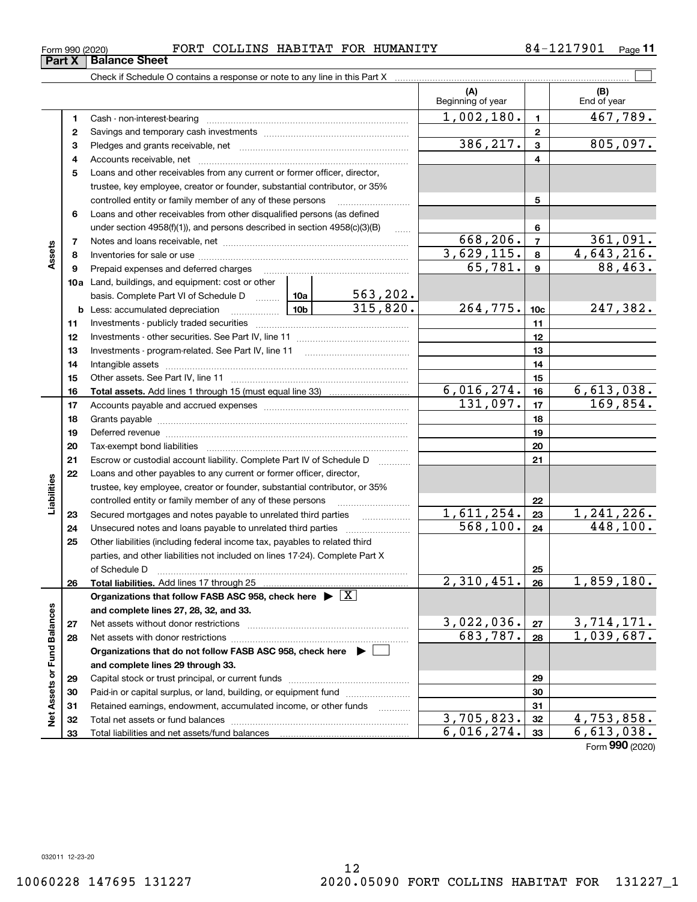## Form 990 (2020) Page FORT COLLINS HABITAT FOR HUMANITY 84-1217901

**11**

|                             |    |                                                                                                                                                                                                                                |                                                                  |                          | (A)<br>Beginning of year |                  | (B)<br>End of year     |
|-----------------------------|----|--------------------------------------------------------------------------------------------------------------------------------------------------------------------------------------------------------------------------------|------------------------------------------------------------------|--------------------------|--------------------------|------------------|------------------------|
|                             | 1  |                                                                                                                                                                                                                                |                                                                  |                          | 1,002,180.               | $\mathbf{1}$     | 467,789.               |
|                             | 2  |                                                                                                                                                                                                                                |                                                                  |                          | $\mathbf{2}$             |                  |                        |
|                             | 3  |                                                                                                                                                                                                                                |                                                                  |                          | 386, 217.                | $\mathbf{3}$     | 805,097.               |
|                             | 4  |                                                                                                                                                                                                                                |                                                                  | 4                        |                          |                  |                        |
|                             | 5  | Loans and other receivables from any current or former officer, director,                                                                                                                                                      |                                                                  |                          |                          |                  |                        |
|                             |    | trustee, key employee, creator or founder, substantial contributor, or 35%                                                                                                                                                     |                                                                  |                          |                          |                  |                        |
|                             |    | controlled entity or family member of any of these persons                                                                                                                                                                     |                                                                  |                          |                          | 5                |                        |
|                             | 6  | Loans and other receivables from other disqualified persons (as defined                                                                                                                                                        |                                                                  |                          |                          |                  |                        |
|                             |    | under section 4958(f)(1)), and persons described in section 4958(c)(3)(B)                                                                                                                                                      |                                                                  | $\ldots$                 |                          | 6                |                        |
|                             | 7  |                                                                                                                                                                                                                                |                                                                  |                          | 668,206.                 | $\overline{7}$   | 361,091.               |
| Assets                      | 8  |                                                                                                                                                                                                                                |                                                                  |                          | 3,629,115.               | 8                | 4,643,216.             |
|                             | 9  | Prepaid expenses and deferred charges [11] [11] [11] [12] [12] [12] [12] [13] [13] [13] [13] [13] [13] [13] [1                                                                                                                 |                                                                  |                          | 65,781.                  | $\boldsymbol{9}$ | 88,463.                |
|                             |    | 10a Land, buildings, and equipment: cost or other                                                                                                                                                                              |                                                                  |                          |                          |                  |                        |
|                             |    | basis. Complete Part VI of Schedule D  10a                                                                                                                                                                                     |                                                                  | 563,202.                 |                          |                  |                        |
|                             |    | <b>b</b> Less: accumulated depreciation                                                                                                                                                                                        |                                                                  | 315,820.                 | 264, 775.                | 10 <sub>c</sub>  | 247,382.               |
|                             | 11 |                                                                                                                                                                                                                                |                                                                  |                          |                          | 11               |                        |
|                             | 12 |                                                                                                                                                                                                                                |                                                                  |                          | 12                       |                  |                        |
|                             | 13 |                                                                                                                                                                                                                                |                                                                  |                          | 13                       |                  |                        |
|                             | 14 |                                                                                                                                                                                                                                |                                                                  | 14                       |                          |                  |                        |
|                             | 15 |                                                                                                                                                                                                                                |                                                                  |                          | 15                       |                  |                        |
|                             | 16 |                                                                                                                                                                                                                                |                                                                  |                          | 6,016,274.               | 16               | 6,613,038.             |
|                             | 17 |                                                                                                                                                                                                                                |                                                                  |                          | 131,097.                 | 17               | 169,854.               |
|                             | 18 |                                                                                                                                                                                                                                |                                                                  |                          | 18                       |                  |                        |
|                             | 19 | Deferred revenue material contracts and a contract of the contract of the contract of the contract of the contract of the contract of the contract of the contract of the contract of the contract of the contract of the cont |                                                                  |                          |                          | 19               |                        |
|                             | 20 |                                                                                                                                                                                                                                |                                                                  |                          |                          | 20               |                        |
|                             | 21 | Escrow or custodial account liability. Complete Part IV of Schedule D                                                                                                                                                          |                                                                  |                          |                          | 21               |                        |
|                             | 22 | Loans and other payables to any current or former officer, director,                                                                                                                                                           |                                                                  |                          |                          |                  |                        |
| Liabilities                 |    | trustee, key employee, creator or founder, substantial contributor, or 35%                                                                                                                                                     |                                                                  |                          |                          |                  |                        |
|                             |    | controlled entity or family member of any of these persons                                                                                                                                                                     |                                                                  |                          |                          | 22               |                        |
|                             | 23 | Secured mortgages and notes payable to unrelated third parties                                                                                                                                                                 |                                                                  |                          | 1,611,254.<br>568, 100.  | 23               | 1,241,226.<br>448,100. |
|                             | 24 | Unsecured notes and loans payable to unrelated third parties                                                                                                                                                                   |                                                                  |                          |                          | 24               |                        |
|                             | 25 | Other liabilities (including federal income tax, payables to related third                                                                                                                                                     |                                                                  |                          |                          |                  |                        |
|                             |    | parties, and other liabilities not included on lines 17-24). Complete Part X                                                                                                                                                   |                                                                  |                          |                          |                  |                        |
|                             |    | Total liabilities. Add lines 17 through 25                                                                                                                                                                                     |                                                                  |                          | $\overline{2,310,451.}$  | 25<br>26         | 1,859,180.             |
|                             | 26 | Organizations that follow FASB ASC 958, check here $\blacktriangleright \lfloor X \rfloor$                                                                                                                                     |                                                                  |                          |                          |                  |                        |
|                             |    | and complete lines 27, 28, 32, and 33.                                                                                                                                                                                         |                                                                  |                          |                          |                  |                        |
|                             | 27 |                                                                                                                                                                                                                                |                                                                  |                          | 3,022,036.               | 27               | <u>3,714,171.</u>      |
|                             | 28 |                                                                                                                                                                                                                                |                                                                  |                          | 683,787.                 | 28               | 1,039,687.             |
|                             |    | Organizations that do not follow FASB ASC 958, check here $\blacktriangleright$                                                                                                                                                |                                                                  |                          |                          |                  |                        |
|                             |    | and complete lines 29 through 33.                                                                                                                                                                                              |                                                                  |                          |                          |                  |                        |
|                             | 29 |                                                                                                                                                                                                                                |                                                                  |                          |                          | 29               |                        |
|                             | 30 |                                                                                                                                                                                                                                | Paid-in or capital surplus, or land, building, or equipment fund |                          |                          |                  |                        |
|                             | 31 | Retained earnings, endowment, accumulated income, or other funds                                                                                                                                                               |                                                                  | $\overline{\phantom{a}}$ |                          | 30<br>31         |                        |
| Net Assets or Fund Balances | 32 |                                                                                                                                                                                                                                |                                                                  |                          | 3,705,823.               | 32               | 4,753,858.             |
|                             | 33 | Total liabilities and net assets/fund balances                                                                                                                                                                                 |                                                                  |                          | 6,016,274.               | 33               | 6,613,038.             |
|                             |    |                                                                                                                                                                                                                                |                                                                  |                          |                          |                  | Form 990 (2020)        |

**Part X Balance Sheet**<br>**Part X Balance Sheet**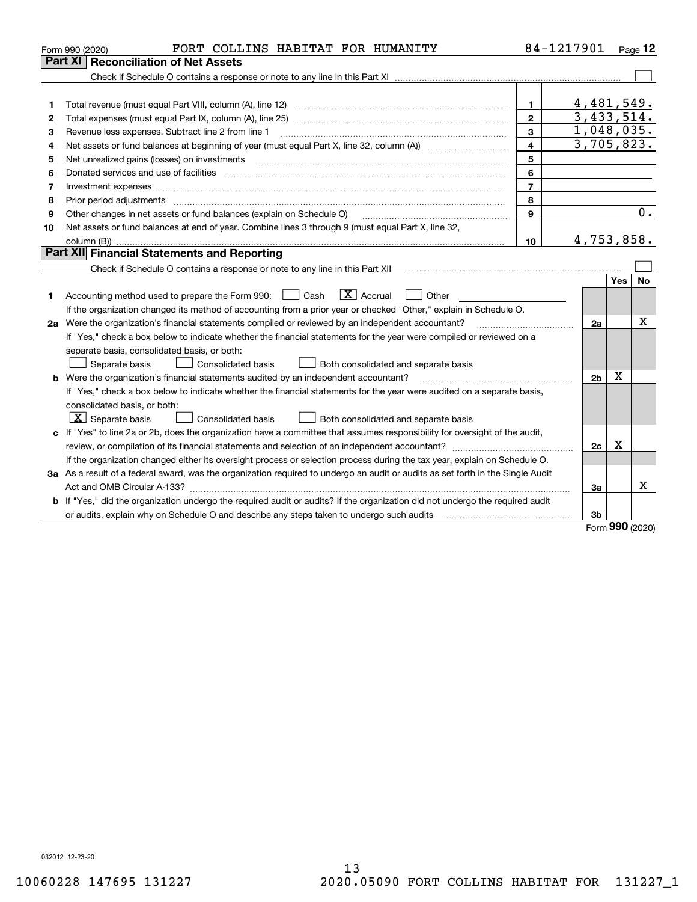|    | FORT COLLINS HABITAT FOR HUMANITY<br>Form 990 (2020)                                                                                                                                                                           |                | 84-1217901               |             | Page 12 |  |  |  |
|----|--------------------------------------------------------------------------------------------------------------------------------------------------------------------------------------------------------------------------------|----------------|--------------------------|-------------|---------|--|--|--|
|    | Part XI<br>Reconciliation of Net Assets                                                                                                                                                                                        |                |                          |             |         |  |  |  |
|    |                                                                                                                                                                                                                                |                |                          |             |         |  |  |  |
|    |                                                                                                                                                                                                                                |                |                          |             |         |  |  |  |
| 1  |                                                                                                                                                                                                                                | $\mathbf{1}$   | 4,481,549.               |             |         |  |  |  |
| 2  |                                                                                                                                                                                                                                | $\overline{2}$ | $\overline{3,433},514.$  |             |         |  |  |  |
| з  | Revenue less expenses. Subtract line 2 from line 1                                                                                                                                                                             | 3              | 1,048,035.<br>3,705,823. |             |         |  |  |  |
| 4  | 4                                                                                                                                                                                                                              |                |                          |             |         |  |  |  |
| 5  |                                                                                                                                                                                                                                | 5              |                          |             |         |  |  |  |
| 6  |                                                                                                                                                                                                                                | 6              |                          |             |         |  |  |  |
| 7  |                                                                                                                                                                                                                                | $\overline{7}$ |                          |             |         |  |  |  |
| 8  | Prior period adjustments material contents and content of the content of the content of the content of the content of the content of the content of the content of the content of the content of the content of the content of | 8              |                          |             |         |  |  |  |
| 9  | Other changes in net assets or fund balances (explain on Schedule O)                                                                                                                                                           | $\mathbf{9}$   |                          |             | 0.      |  |  |  |
| 10 | Net assets or fund balances at end of year. Combine lines 3 through 9 (must equal Part X, line 32,                                                                                                                             |                |                          |             |         |  |  |  |
|    |                                                                                                                                                                                                                                | 10             | 4,753,858.               |             |         |  |  |  |
|    | Part XII Financial Statements and Reporting                                                                                                                                                                                    |                |                          |             |         |  |  |  |
|    |                                                                                                                                                                                                                                |                |                          |             |         |  |  |  |
|    |                                                                                                                                                                                                                                |                |                          | Yes         | No      |  |  |  |
| 1  | $\overline{X}$ Accrual<br>Accounting method used to prepare the Form 990: <u>June</u> Cash<br>Other                                                                                                                            |                |                          |             |         |  |  |  |
|    | If the organization changed its method of accounting from a prior year or checked "Other," explain in Schedule O.                                                                                                              |                |                          |             |         |  |  |  |
|    | 2a Were the organization's financial statements compiled or reviewed by an independent accountant?                                                                                                                             |                | 2a                       |             | х       |  |  |  |
|    | If "Yes," check a box below to indicate whether the financial statements for the year were compiled or reviewed on a                                                                                                           |                |                          |             |         |  |  |  |
|    | separate basis, consolidated basis, or both:                                                                                                                                                                                   |                |                          |             |         |  |  |  |
|    | Separate basis<br>Consolidated basis<br>Both consolidated and separate basis                                                                                                                                                   |                |                          |             |         |  |  |  |
|    | b Were the organization's financial statements audited by an independent accountant?                                                                                                                                           |                | 2 <sub>b</sub>           | х           |         |  |  |  |
|    | If "Yes," check a box below to indicate whether the financial statements for the year were audited on a separate basis,                                                                                                        |                |                          |             |         |  |  |  |
|    | consolidated basis, or both:                                                                                                                                                                                                   |                |                          |             |         |  |  |  |
|    | $X$ Separate basis<br>Consolidated basis<br>Both consolidated and separate basis                                                                                                                                               |                |                          |             |         |  |  |  |
|    | c If "Yes" to line 2a or 2b, does the organization have a committee that assumes responsibility for oversight of the audit,                                                                                                    |                |                          |             |         |  |  |  |
|    |                                                                                                                                                                                                                                |                | 2c                       | $\mathbf X$ |         |  |  |  |
|    | If the organization changed either its oversight process or selection process during the tax year, explain on Schedule O.                                                                                                      |                |                          |             |         |  |  |  |
|    | 3a As a result of a federal award, was the organization required to undergo an audit or audits as set forth in the Single Audit                                                                                                |                |                          |             |         |  |  |  |
|    |                                                                                                                                                                                                                                |                | За                       |             | x       |  |  |  |
|    | b If "Yes," did the organization undergo the required audit or audits? If the organization did not undergo the required audit                                                                                                  |                |                          |             |         |  |  |  |
|    | or audits, explain why on Schedule O and describe any steps taken to undergo such audits [11] content to under                                                                                                                 |                | 3b                       |             |         |  |  |  |
|    |                                                                                                                                                                                                                                |                |                          | <b>nnn</b>  |         |  |  |  |

Form (2020) **990**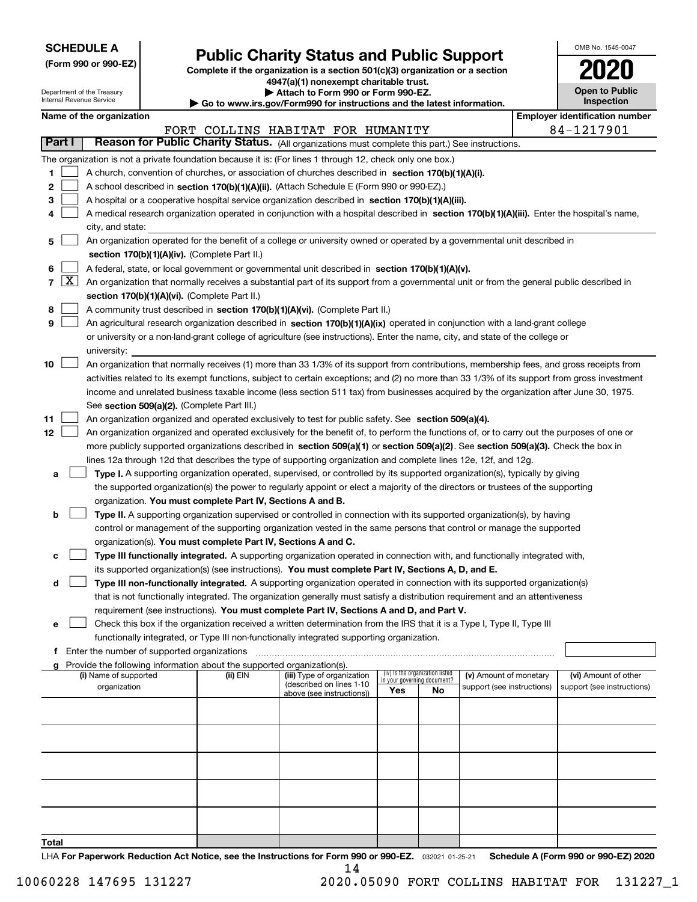| <b>SCHEDULE A</b> |
|-------------------|
|-------------------|

**(Form 990 or 990-EZ)**

## **Public Charity Status and Public Support**

**Complete if the organization is a section 501(c)(3) organization or a section 4947(a)(1) nonexempt charitable trust.**

| OMB No. 1545-0047                   |
|-------------------------------------|
| 2020                                |
| <b>Open to Public</b><br>Inspection |

|    | <b>Open to Public</b><br>Attach to Form 990 or Form 990-EZ.<br>Department of the Treasury<br>Internal Revenue Service<br>Inspection<br>Go to www.irs.gov/Form990 for instructions and the latest information. |                                             |  |                                                                        |                                                                                                                                              |                             |                                 |                            |  |                                       |
|----|---------------------------------------------------------------------------------------------------------------------------------------------------------------------------------------------------------------|---------------------------------------------|--|------------------------------------------------------------------------|----------------------------------------------------------------------------------------------------------------------------------------------|-----------------------------|---------------------------------|----------------------------|--|---------------------------------------|
|    |                                                                                                                                                                                                               | Name of the organization                    |  |                                                                        |                                                                                                                                              |                             |                                 |                            |  | <b>Employer identification number</b> |
|    |                                                                                                                                                                                                               |                                             |  |                                                                        | FORT COLLINS HABITAT FOR HUMANITY                                                                                                            |                             |                                 |                            |  | 84-1217901                            |
|    | Part I                                                                                                                                                                                                        |                                             |  |                                                                        | Reason for Public Charity Status. (All organizations must complete this part.) See instructions.                                             |                             |                                 |                            |  |                                       |
|    |                                                                                                                                                                                                               |                                             |  |                                                                        | The organization is not a private foundation because it is: (For lines 1 through 12, check only one box.)                                    |                             |                                 |                            |  |                                       |
| 1  |                                                                                                                                                                                                               |                                             |  |                                                                        | A church, convention of churches, or association of churches described in section 170(b)(1)(A)(i).                                           |                             |                                 |                            |  |                                       |
| 2  |                                                                                                                                                                                                               |                                             |  |                                                                        | A school described in section 170(b)(1)(A)(ii). (Attach Schedule E (Form 990 or 990-EZ).)                                                    |                             |                                 |                            |  |                                       |
| 3  |                                                                                                                                                                                                               |                                             |  |                                                                        | A hospital or a cooperative hospital service organization described in section 170(b)(1)(A)(iii).                                            |                             |                                 |                            |  |                                       |
| 4  |                                                                                                                                                                                                               |                                             |  |                                                                        | A medical research organization operated in conjunction with a hospital described in section 170(b)(1)(A)(iii). Enter the hospital's name,   |                             |                                 |                            |  |                                       |
|    |                                                                                                                                                                                                               | city, and state:                            |  |                                                                        |                                                                                                                                              |                             |                                 |                            |  |                                       |
| 5  |                                                                                                                                                                                                               |                                             |  |                                                                        | An organization operated for the benefit of a college or university owned or operated by a governmental unit described in                    |                             |                                 |                            |  |                                       |
|    | section 170(b)(1)(A)(iv). (Complete Part II.)                                                                                                                                                                 |                                             |  |                                                                        |                                                                                                                                              |                             |                                 |                            |  |                                       |
| 6  |                                                                                                                                                                                                               |                                             |  |                                                                        | A federal, state, or local government or governmental unit described in section 170(b)(1)(A)(v).                                             |                             |                                 |                            |  |                                       |
|    | $7 \mid X \mid$                                                                                                                                                                                               |                                             |  |                                                                        | An organization that normally receives a substantial part of its support from a governmental unit or from the general public described in    |                             |                                 |                            |  |                                       |
|    |                                                                                                                                                                                                               |                                             |  | section 170(b)(1)(A)(vi). (Complete Part II.)                          |                                                                                                                                              |                             |                                 |                            |  |                                       |
| 8  |                                                                                                                                                                                                               |                                             |  |                                                                        | A community trust described in section 170(b)(1)(A)(vi). (Complete Part II.)                                                                 |                             |                                 |                            |  |                                       |
| 9  |                                                                                                                                                                                                               |                                             |  |                                                                        | An agricultural research organization described in section 170(b)(1)(A)(ix) operated in conjunction with a land-grant college                |                             |                                 |                            |  |                                       |
|    |                                                                                                                                                                                                               |                                             |  |                                                                        | or university or a non-land-grant college of agriculture (see instructions). Enter the name, city, and state of the college or               |                             |                                 |                            |  |                                       |
|    |                                                                                                                                                                                                               | university:                                 |  |                                                                        |                                                                                                                                              |                             |                                 |                            |  |                                       |
| 10 |                                                                                                                                                                                                               |                                             |  |                                                                        | An organization that normally receives (1) more than 33 1/3% of its support from contributions, membership fees, and gross receipts from     |                             |                                 |                            |  |                                       |
|    |                                                                                                                                                                                                               |                                             |  |                                                                        | activities related to its exempt functions, subject to certain exceptions; and (2) no more than 33 1/3% of its support from gross investment |                             |                                 |                            |  |                                       |
|    |                                                                                                                                                                                                               |                                             |  |                                                                        | income and unrelated business taxable income (less section 511 tax) from businesses acquired by the organization after June 30, 1975.        |                             |                                 |                            |  |                                       |
|    |                                                                                                                                                                                                               |                                             |  | See section 509(a)(2). (Complete Part III.)                            |                                                                                                                                              |                             |                                 |                            |  |                                       |
| 11 |                                                                                                                                                                                                               |                                             |  |                                                                        | An organization organized and operated exclusively to test for public safety. See section 509(a)(4).                                         |                             |                                 |                            |  |                                       |
| 12 |                                                                                                                                                                                                               |                                             |  |                                                                        | An organization organized and operated exclusively for the benefit of, to perform the functions of, or to carry out the purposes of one or   |                             |                                 |                            |  |                                       |
|    |                                                                                                                                                                                                               |                                             |  |                                                                        | more publicly supported organizations described in section 509(a)(1) or section 509(a)(2). See section 509(a)(3). Check the box in           |                             |                                 |                            |  |                                       |
|    |                                                                                                                                                                                                               |                                             |  |                                                                        | lines 12a through 12d that describes the type of supporting organization and complete lines 12e, 12f, and 12g.                               |                             |                                 |                            |  |                                       |
| а  |                                                                                                                                                                                                               |                                             |  |                                                                        | Type I. A supporting organization operated, supervised, or controlled by its supported organization(s), typically by giving                  |                             |                                 |                            |  |                                       |
|    |                                                                                                                                                                                                               |                                             |  |                                                                        | the supported organization(s) the power to regularly appoint or elect a majority of the directors or trustees of the supporting              |                             |                                 |                            |  |                                       |
|    |                                                                                                                                                                                                               |                                             |  | organization. You must complete Part IV, Sections A and B.             |                                                                                                                                              |                             |                                 |                            |  |                                       |
| b  |                                                                                                                                                                                                               |                                             |  |                                                                        | Type II. A supporting organization supervised or controlled in connection with its supported organization(s), by having                      |                             |                                 |                            |  |                                       |
|    |                                                                                                                                                                                                               |                                             |  |                                                                        | control or management of the supporting organization vested in the same persons that control or manage the supported                         |                             |                                 |                            |  |                                       |
|    |                                                                                                                                                                                                               |                                             |  | organization(s). You must complete Part IV, Sections A and C.          |                                                                                                                                              |                             |                                 |                            |  |                                       |
| с  |                                                                                                                                                                                                               |                                             |  |                                                                        | Type III functionally integrated. A supporting organization operated in connection with, and functionally integrated with,                   |                             |                                 |                            |  |                                       |
|    |                                                                                                                                                                                                               |                                             |  |                                                                        | its supported organization(s) (see instructions). You must complete Part IV, Sections A, D, and E.                                           |                             |                                 |                            |  |                                       |
| d  |                                                                                                                                                                                                               |                                             |  |                                                                        | Type III non-functionally integrated. A supporting organization operated in connection with its supported organization(s)                    |                             |                                 |                            |  |                                       |
|    |                                                                                                                                                                                                               |                                             |  |                                                                        | that is not functionally integrated. The organization generally must satisfy a distribution requirement and an attentiveness                 |                             |                                 |                            |  |                                       |
|    |                                                                                                                                                                                                               |                                             |  |                                                                        | requirement (see instructions). You must complete Part IV, Sections A and D, and Part V.                                                     |                             |                                 |                            |  |                                       |
| е  |                                                                                                                                                                                                               |                                             |  |                                                                        | Check this box if the organization received a written determination from the IRS that it is a Type I, Type II, Type III                      |                             |                                 |                            |  |                                       |
|    |                                                                                                                                                                                                               |                                             |  |                                                                        | functionally integrated, or Type III non-functionally integrated supporting organization.                                                    |                             |                                 |                            |  |                                       |
|    |                                                                                                                                                                                                               | Enter the number of supported organizations |  | Provide the following information about the supported organization(s). |                                                                                                                                              |                             |                                 |                            |  |                                       |
|    |                                                                                                                                                                                                               | (i) Name of supported                       |  | (ii) EIN                                                               | (iii) Type of organization                                                                                                                   | in your governing document? | (iv) Is the organization listed | (v) Amount of monetary     |  | (vi) Amount of other                  |
|    |                                                                                                                                                                                                               | organization                                |  |                                                                        | (described on lines 1-10<br>above (see instructions))                                                                                        | Yes                         | No                              | support (see instructions) |  | support (see instructions)            |
|    |                                                                                                                                                                                                               |                                             |  |                                                                        |                                                                                                                                              |                             |                                 |                            |  |                                       |
|    |                                                                                                                                                                                                               |                                             |  |                                                                        |                                                                                                                                              |                             |                                 |                            |  |                                       |
|    |                                                                                                                                                                                                               |                                             |  |                                                                        |                                                                                                                                              |                             |                                 |                            |  |                                       |
|    |                                                                                                                                                                                                               |                                             |  |                                                                        |                                                                                                                                              |                             |                                 |                            |  |                                       |
|    |                                                                                                                                                                                                               |                                             |  |                                                                        |                                                                                                                                              |                             |                                 |                            |  |                                       |
|    |                                                                                                                                                                                                               |                                             |  |                                                                        |                                                                                                                                              |                             |                                 |                            |  |                                       |
|    |                                                                                                                                                                                                               |                                             |  |                                                                        |                                                                                                                                              |                             |                                 |                            |  |                                       |
|    |                                                                                                                                                                                                               |                                             |  |                                                                        |                                                                                                                                              |                             |                                 |                            |  |                                       |

**Total**

LHA For Paperwork Reduction Act Notice, see the Instructions for Form 990 or 990-EZ. <sub>032021</sub> o1-25-21 Schedule A (Form 990 or 990-EZ) 2020 14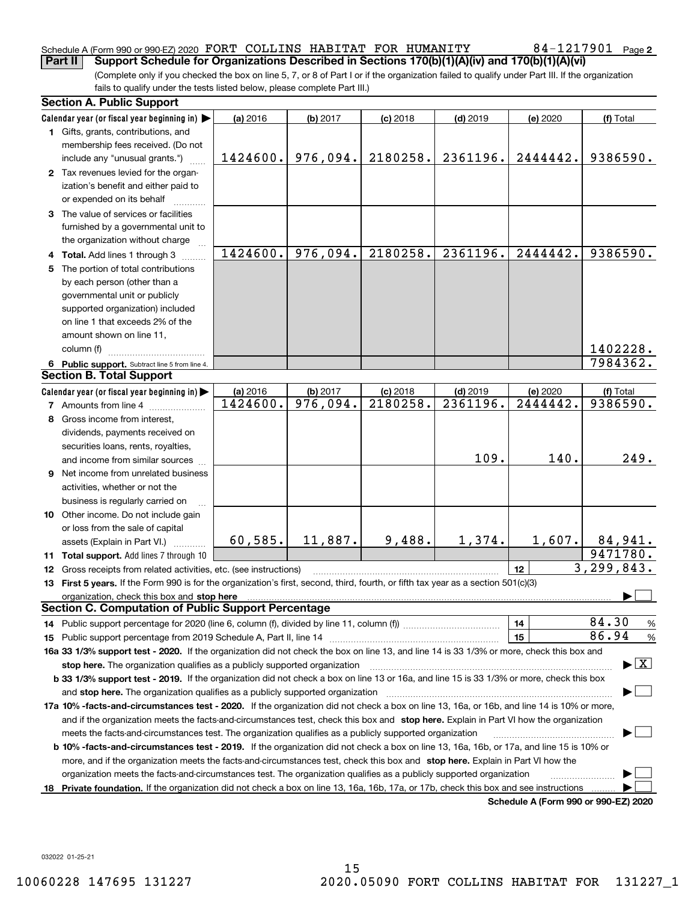### Schedule A (Form 990 or 990-EZ) 2020 Page FORT COLLINS HABITAT FOR HUMANITY 84-1217901 **Part II Support Schedule for Organizations Described in Sections 170(b)(1)(A)(iv) and 170(b)(1)(A)(vi)**

(Complete only if you checked the box on line 5, 7, or 8 of Part I or if the organization failed to qualify under Part III. If the organization fails to qualify under the tests listed below, please complete Part III.)

|    | <b>Section A. Public Support</b>                                                                                                               |          |                         |            |            |                                      |                                          |
|----|------------------------------------------------------------------------------------------------------------------------------------------------|----------|-------------------------|------------|------------|--------------------------------------|------------------------------------------|
|    | Calendar year (or fiscal year beginning in)                                                                                                    | (a) 2016 | (b) 2017                | $(c)$ 2018 | $(d)$ 2019 | (e) 2020                             | (f) Total                                |
|    | 1 Gifts, grants, contributions, and                                                                                                            |          |                         |            |            |                                      |                                          |
|    | membership fees received. (Do not                                                                                                              |          |                         |            |            |                                      |                                          |
|    | include any "unusual grants.")                                                                                                                 | 1424600. | 976,094.                | 2180258.   | 2361196.   | 2444442.                             | 9386590.                                 |
|    | 2 Tax revenues levied for the organ-                                                                                                           |          |                         |            |            |                                      |                                          |
|    | ization's benefit and either paid to                                                                                                           |          |                         |            |            |                                      |                                          |
|    | or expended on its behalf                                                                                                                      |          |                         |            |            |                                      |                                          |
|    | 3 The value of services or facilities                                                                                                          |          |                         |            |            |                                      |                                          |
|    | furnished by a governmental unit to                                                                                                            |          |                         |            |            |                                      |                                          |
|    | the organization without charge                                                                                                                |          |                         |            |            |                                      |                                          |
|    | 4 Total. Add lines 1 through 3                                                                                                                 | 1424600. | 976,094.                | 2180258.   | 2361196.   | 2444442.                             | 9386590.                                 |
|    | 5 The portion of total contributions                                                                                                           |          |                         |            |            |                                      |                                          |
|    | by each person (other than a                                                                                                                   |          |                         |            |            |                                      |                                          |
|    | governmental unit or publicly                                                                                                                  |          |                         |            |            |                                      |                                          |
|    | supported organization) included                                                                                                               |          |                         |            |            |                                      |                                          |
|    | on line 1 that exceeds 2% of the                                                                                                               |          |                         |            |            |                                      |                                          |
|    | amount shown on line 11,                                                                                                                       |          |                         |            |            |                                      |                                          |
|    | column (f)                                                                                                                                     |          |                         |            |            |                                      | 1402228.                                 |
|    | 6 Public support. Subtract line 5 from line 4.                                                                                                 |          |                         |            |            |                                      | 7984362.                                 |
|    | <b>Section B. Total Support</b>                                                                                                                |          |                         |            |            |                                      |                                          |
|    | Calendar year (or fiscal year beginning in)                                                                                                    | (a) 2016 | (b) 2017                | $(c)$ 2018 | $(d)$ 2019 | (e) 2020                             | (f) Total                                |
|    | <b>7</b> Amounts from line 4                                                                                                                   | 1424600. | $\overline{976}$ , 094. | 2180258.   | 2361196.   | 2444442.                             | 9386590.                                 |
|    | 8 Gross income from interest,                                                                                                                  |          |                         |            |            |                                      |                                          |
|    | dividends, payments received on                                                                                                                |          |                         |            |            |                                      |                                          |
|    | securities loans, rents, royalties,                                                                                                            |          |                         |            |            |                                      |                                          |
|    | and income from similar sources                                                                                                                |          |                         |            | 109.       | 140.                                 | 249.                                     |
|    | <b>9</b> Net income from unrelated business                                                                                                    |          |                         |            |            |                                      |                                          |
|    | activities, whether or not the                                                                                                                 |          |                         |            |            |                                      |                                          |
|    | business is regularly carried on                                                                                                               |          |                         |            |            |                                      |                                          |
|    | 10 Other income. Do not include gain                                                                                                           |          |                         |            |            |                                      |                                          |
|    | or loss from the sale of capital                                                                                                               |          |                         |            |            |                                      |                                          |
|    | assets (Explain in Part VI.) <b>Constant</b>                                                                                                   | 60, 585. | 11,887.                 | 9,488.     | 1,374.     | 1,607.                               | 84,941.                                  |
|    | 11 Total support. Add lines 7 through 10                                                                                                       |          |                         |            |            |                                      | 9471780.                                 |
|    | 12 Gross receipts from related activities, etc. (see instructions)                                                                             |          |                         |            |            | 12                                   | 3, 299, 843.                             |
|    | 13 First 5 years. If the Form 990 is for the organization's first, second, third, fourth, or fifth tax year as a section 501(c)(3)             |          |                         |            |            |                                      |                                          |
|    | organization, check this box and stop here                                                                                                     |          |                         |            |            |                                      |                                          |
|    | <b>Section C. Computation of Public Support Percentage</b>                                                                                     |          |                         |            |            |                                      |                                          |
|    |                                                                                                                                                |          |                         |            |            | 14                                   | 84.30<br>%                               |
|    |                                                                                                                                                |          |                         |            |            | 15                                   | 86.94<br>$\%$                            |
|    | 16a 33 1/3% support test - 2020. If the organization did not check the box on line 13, and line 14 is 33 1/3% or more, check this box and      |          |                         |            |            |                                      |                                          |
|    | stop here. The organization qualifies as a publicly supported organization                                                                     |          |                         |            |            |                                      | $\blacktriangleright$ $\boxed{\text{X}}$ |
|    | b 33 1/3% support test - 2019. If the organization did not check a box on line 13 or 16a, and line 15 is 33 1/3% or more, check this box       |          |                         |            |            |                                      |                                          |
|    | and stop here. The organization qualifies as a publicly supported organization                                                                 |          |                         |            |            |                                      |                                          |
|    | 17a 10% -facts-and-circumstances test - 2020. If the organization did not check a box on line 13, 16a, or 16b, and line 14 is 10% or more,     |          |                         |            |            |                                      |                                          |
|    | and if the organization meets the facts-and-circumstances test, check this box and stop here. Explain in Part VI how the organization          |          |                         |            |            |                                      |                                          |
|    | meets the facts-and-circumstances test. The organization qualifies as a publicly supported organization                                        |          |                         |            |            |                                      |                                          |
|    | <b>b 10% -facts-and-circumstances test - 2019.</b> If the organization did not check a box on line 13, 16a, 16b, or 17a, and line 15 is 10% or |          |                         |            |            |                                      |                                          |
|    | more, and if the organization meets the facts-and-circumstances test, check this box and stop here. Explain in Part VI how the                 |          |                         |            |            |                                      |                                          |
|    | organization meets the facts-and-circumstances test. The organization qualifies as a publicly supported organization                           |          |                         |            |            |                                      |                                          |
| 18 | Private foundation. If the organization did not check a box on line 13, 16a, 16b, 17a, or 17b, check this box and see instructions             |          |                         |            |            |                                      |                                          |
|    |                                                                                                                                                |          |                         |            |            | Schedule A (Form 990 or 990-F7) 2020 |                                          |

**Schedule A (Form 990 or 990-EZ) 2020**

032022 01-25-21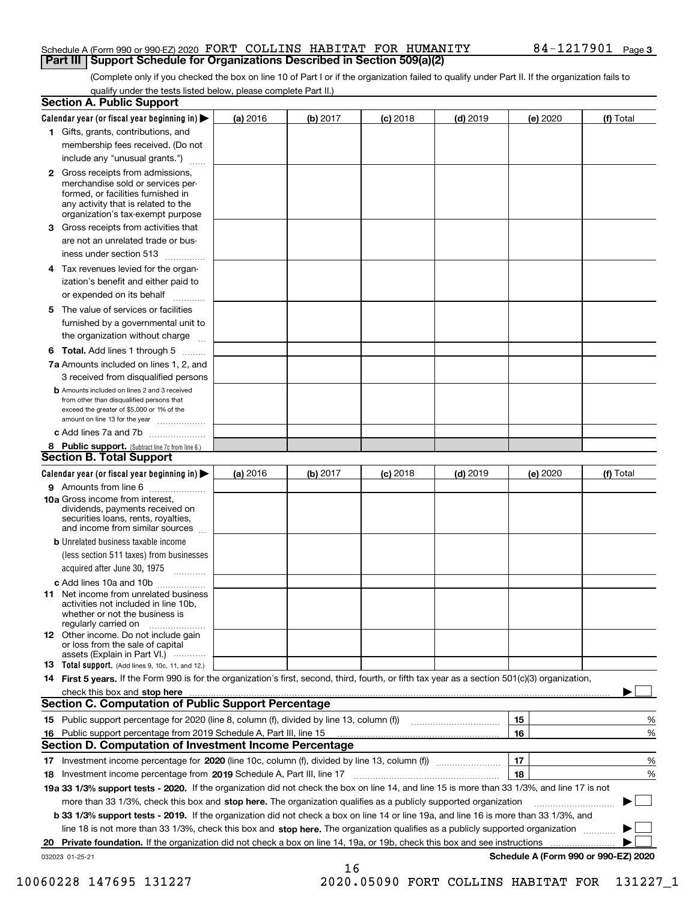### Schedule A (Form 990 or 990-EZ) 2020 Page FORT COLLINS HABITAT FOR HUMANITY 84-1217901 **Part III Support Schedule for Organizations Described in Section 509(a)(2)**

(Complete only if you checked the box on line 10 of Part I or if the organization failed to qualify under Part II. If the organization fails to qualify under the tests listed below, please complete Part II.)

|    | <b>Section A. Public Support</b>                                                                                                                                                                                                    |          |          |            |            |          |                                      |
|----|-------------------------------------------------------------------------------------------------------------------------------------------------------------------------------------------------------------------------------------|----------|----------|------------|------------|----------|--------------------------------------|
|    | Calendar year (or fiscal year beginning in) $\blacktriangleright$                                                                                                                                                                   | (a) 2016 | (b) 2017 | $(c)$ 2018 | $(d)$ 2019 | (e) 2020 | (f) Total                            |
|    | 1 Gifts, grants, contributions, and                                                                                                                                                                                                 |          |          |            |            |          |                                      |
|    | membership fees received. (Do not                                                                                                                                                                                                   |          |          |            |            |          |                                      |
|    | include any "unusual grants.")                                                                                                                                                                                                      |          |          |            |            |          |                                      |
|    | <b>2</b> Gross receipts from admissions,<br>merchandise sold or services per-<br>formed, or facilities furnished in<br>any activity that is related to the<br>organization's tax-exempt purpose                                     |          |          |            |            |          |                                      |
|    | 3 Gross receipts from activities that<br>are not an unrelated trade or bus-                                                                                                                                                         |          |          |            |            |          |                                      |
|    | iness under section 513                                                                                                                                                                                                             |          |          |            |            |          |                                      |
|    | 4 Tax revenues levied for the organ-<br>ization's benefit and either paid to                                                                                                                                                        |          |          |            |            |          |                                      |
|    | or expended on its behalf                                                                                                                                                                                                           |          |          |            |            |          |                                      |
|    | 5 The value of services or facilities<br>furnished by a governmental unit to                                                                                                                                                        |          |          |            |            |          |                                      |
|    | the organization without charge                                                                                                                                                                                                     |          |          |            |            |          |                                      |
|    | <b>6 Total.</b> Add lines 1 through 5                                                                                                                                                                                               |          |          |            |            |          |                                      |
|    | 7a Amounts included on lines 1, 2, and<br>3 received from disqualified persons                                                                                                                                                      |          |          |            |            |          |                                      |
|    | <b>b</b> Amounts included on lines 2 and 3 received<br>from other than disqualified persons that<br>exceed the greater of \$5,000 or 1% of the<br>amount on line 13 for the year                                                    |          |          |            |            |          |                                      |
|    | c Add lines 7a and 7b                                                                                                                                                                                                               |          |          |            |            |          |                                      |
|    | 8 Public support. (Subtract line 7c from line 6.)<br><b>Section B. Total Support</b>                                                                                                                                                |          |          |            |            |          |                                      |
|    | Calendar year (or fiscal year beginning in)                                                                                                                                                                                         | (a) 2016 | (b) 2017 | $(c)$ 2018 | $(d)$ 2019 | (e) 2020 | (f) Total                            |
|    | 9 Amounts from line 6                                                                                                                                                                                                               |          |          |            |            |          |                                      |
|    | <b>10a</b> Gross income from interest,<br>dividends, payments received on<br>securities loans, rents, royalties,<br>and income from similar sources                                                                                 |          |          |            |            |          |                                      |
|    | <b>b</b> Unrelated business taxable income<br>(less section 511 taxes) from businesses                                                                                                                                              |          |          |            |            |          |                                      |
|    | acquired after June 30, 1975                                                                                                                                                                                                        |          |          |            |            |          |                                      |
|    | c Add lines 10a and 10b<br>11 Net income from unrelated business<br>activities not included in line 10b,<br>whether or not the business is<br>regularly carried on                                                                  |          |          |            |            |          |                                      |
|    | <b>12</b> Other income. Do not include gain<br>or loss from the sale of capital<br>assets (Explain in Part VI.)                                                                                                                     |          |          |            |            |          |                                      |
|    | 13 Total support. (Add lines 9, 10c, 11, and 12.)                                                                                                                                                                                   |          |          |            |            |          |                                      |
|    | 14 First 5 years. If the Form 990 is for the organization's first, second, third, fourth, or fifth tax year as a section 501(c)(3) organization,                                                                                    |          |          |            |            |          |                                      |
|    | check this box and <b>stop here</b> with the continuum continuum continuum continuum continuum continuum continuum continuum continuum continuum continuum continuum continuum continuum continuum continuum continuum continuum co |          |          |            |            |          |                                      |
|    | <b>Section C. Computation of Public Support Percentage</b>                                                                                                                                                                          |          |          |            |            |          |                                      |
|    |                                                                                                                                                                                                                                     |          |          |            |            | 15       | %                                    |
| 16 | Public support percentage from 2019 Schedule A, Part III, line 15                                                                                                                                                                   |          |          |            |            | 16       | %                                    |
|    | Section D. Computation of Investment Income Percentage                                                                                                                                                                              |          |          |            |            |          |                                      |
|    | 17 Investment income percentage for 2020 (line 10c, column (f), divided by line 13, column (f))<br>18 Investment income percentage from 2019 Schedule A, Part III, line 17                                                          |          |          |            |            | 17<br>18 | %<br>%                               |
|    | 19a 33 1/3% support tests - 2020. If the organization did not check the box on line 14, and line 15 is more than 33 1/3%, and line 17 is not                                                                                        |          |          |            |            |          |                                      |
|    | more than 33 1/3%, check this box and stop here. The organization qualifies as a publicly supported organization                                                                                                                    |          |          |            |            |          |                                      |
|    | b 33 1/3% support tests - 2019. If the organization did not check a box on line 14 or line 19a, and line 16 is more than 33 1/3%, and                                                                                               |          |          |            |            |          |                                      |
|    | line 18 is not more than 33 1/3%, check this box and stop here. The organization qualifies as a publicly supported organization                                                                                                     |          |          |            |            |          |                                      |
| 20 | <b>Private foundation.</b> If the organization did not check a box on line 14, 19a, or 19b, check this box and see instructions                                                                                                     |          |          |            |            |          | .                                    |
|    | 032023 01-25-21                                                                                                                                                                                                                     |          |          |            |            |          | Schedule A (Form 990 or 990-EZ) 2020 |
|    |                                                                                                                                                                                                                                     |          | 16       |            |            |          |                                      |

10060228 147695 131227 2020.05090 FORT COLLINS HABITAT FOR 131227\_1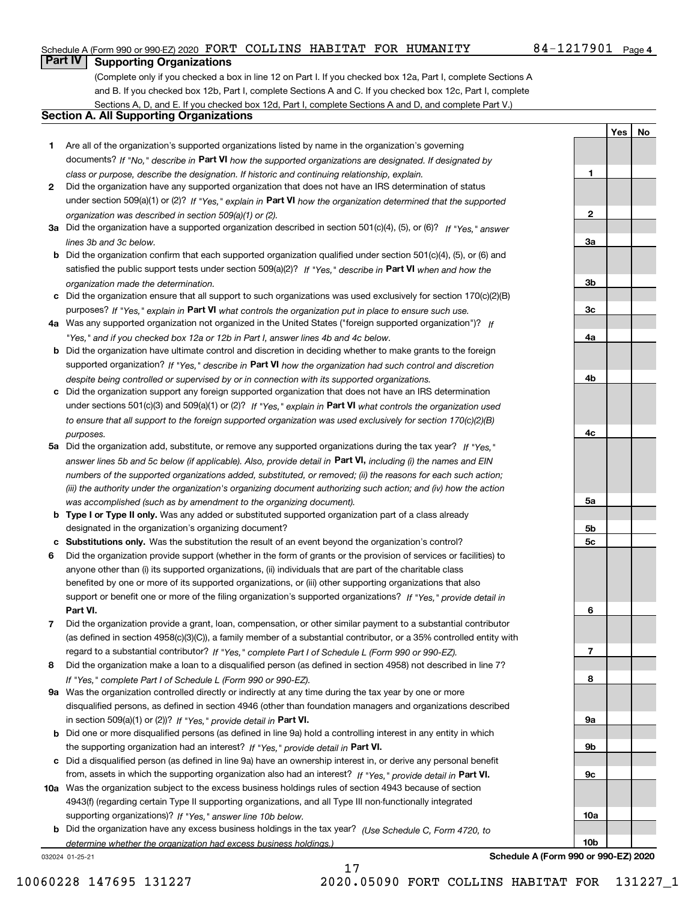### Schedule A (Form 990 or 990-EZ) 2020 Page FORT COLLINS HABITAT FOR HUMANITY 84-1217901

### 84-1217901 Page 4

**1**

**2**

**3a**

**3b**

**3c**

**4a**

**4b**

**4c**

**5a**

**5b5c**

**6**

**7**

**8**

**9a**

**9b**

**9c**

**10a**

**10b**

**YesNo**

## **Part IV Supporting Organizations**

(Complete only if you checked a box in line 12 on Part I. If you checked box 12a, Part I, complete Sections A and B. If you checked box 12b, Part I, complete Sections A and C. If you checked box 12c, Part I, complete Sections A, D, and E. If you checked box 12d, Part I, complete Sections A and D, and complete Part V.)

## **Section A. All Supporting Organizations**

- **1** Are all of the organization's supported organizations listed by name in the organization's governing documents? If "No," describe in **Part VI** how the supported organizations are designated. If designated by *class or purpose, describe the designation. If historic and continuing relationship, explain.*
- **2** Did the organization have any supported organization that does not have an IRS determination of status under section 509(a)(1) or (2)? If "Yes," explain in Part VI how the organization determined that the supported *organization was described in section 509(a)(1) or (2).*
- **3a** Did the organization have a supported organization described in section 501(c)(4), (5), or (6)? If "Yes," answer *lines 3b and 3c below.*
- **b** Did the organization confirm that each supported organization qualified under section 501(c)(4), (5), or (6) and satisfied the public support tests under section 509(a)(2)? If "Yes," describe in **Part VI** when and how the *organization made the determination.*
- **c**Did the organization ensure that all support to such organizations was used exclusively for section 170(c)(2)(B) purposes? If "Yes," explain in **Part VI** what controls the organization put in place to ensure such use.
- **4a***If* Was any supported organization not organized in the United States ("foreign supported organization")? *"Yes," and if you checked box 12a or 12b in Part I, answer lines 4b and 4c below.*
- **b** Did the organization have ultimate control and discretion in deciding whether to make grants to the foreign supported organization? If "Yes," describe in **Part VI** how the organization had such control and discretion *despite being controlled or supervised by or in connection with its supported organizations.*
- **c** Did the organization support any foreign supported organization that does not have an IRS determination under sections 501(c)(3) and 509(a)(1) or (2)? If "Yes," explain in **Part VI** what controls the organization used *to ensure that all support to the foreign supported organization was used exclusively for section 170(c)(2)(B) purposes.*
- **5a** Did the organization add, substitute, or remove any supported organizations during the tax year? If "Yes," answer lines 5b and 5c below (if applicable). Also, provide detail in **Part VI,** including (i) the names and EIN *numbers of the supported organizations added, substituted, or removed; (ii) the reasons for each such action; (iii) the authority under the organization's organizing document authorizing such action; and (iv) how the action was accomplished (such as by amendment to the organizing document).*
- **b** Type I or Type II only. Was any added or substituted supported organization part of a class already designated in the organization's organizing document?
- **cSubstitutions only.**  Was the substitution the result of an event beyond the organization's control?
- **6** Did the organization provide support (whether in the form of grants or the provision of services or facilities) to **Part VI.** *If "Yes," provide detail in* support or benefit one or more of the filing organization's supported organizations? anyone other than (i) its supported organizations, (ii) individuals that are part of the charitable class benefited by one or more of its supported organizations, or (iii) other supporting organizations that also
- **7**Did the organization provide a grant, loan, compensation, or other similar payment to a substantial contributor *If "Yes," complete Part I of Schedule L (Form 990 or 990-EZ).* regard to a substantial contributor? (as defined in section 4958(c)(3)(C)), a family member of a substantial contributor, or a 35% controlled entity with
- **8** Did the organization make a loan to a disqualified person (as defined in section 4958) not described in line 7? *If "Yes," complete Part I of Schedule L (Form 990 or 990-EZ).*
- **9a** Was the organization controlled directly or indirectly at any time during the tax year by one or more in section 509(a)(1) or (2))? If "Yes," *provide detail in* <code>Part VI.</code> disqualified persons, as defined in section 4946 (other than foundation managers and organizations described
- **b** Did one or more disqualified persons (as defined in line 9a) hold a controlling interest in any entity in which the supporting organization had an interest? If "Yes," provide detail in P**art VI**.
- **c**Did a disqualified person (as defined in line 9a) have an ownership interest in, or derive any personal benefit from, assets in which the supporting organization also had an interest? If "Yes," provide detail in P**art VI.**
- **10a** Was the organization subject to the excess business holdings rules of section 4943 because of section supporting organizations)? If "Yes," answer line 10b below. 4943(f) (regarding certain Type II supporting organizations, and all Type III non-functionally integrated
- **b** Did the organization have any excess business holdings in the tax year? (Use Schedule C, Form 4720, to *determine whether the organization had excess business holdings.)*

17

032024 01-25-21

**Schedule A (Form 990 or 990-EZ) 2020**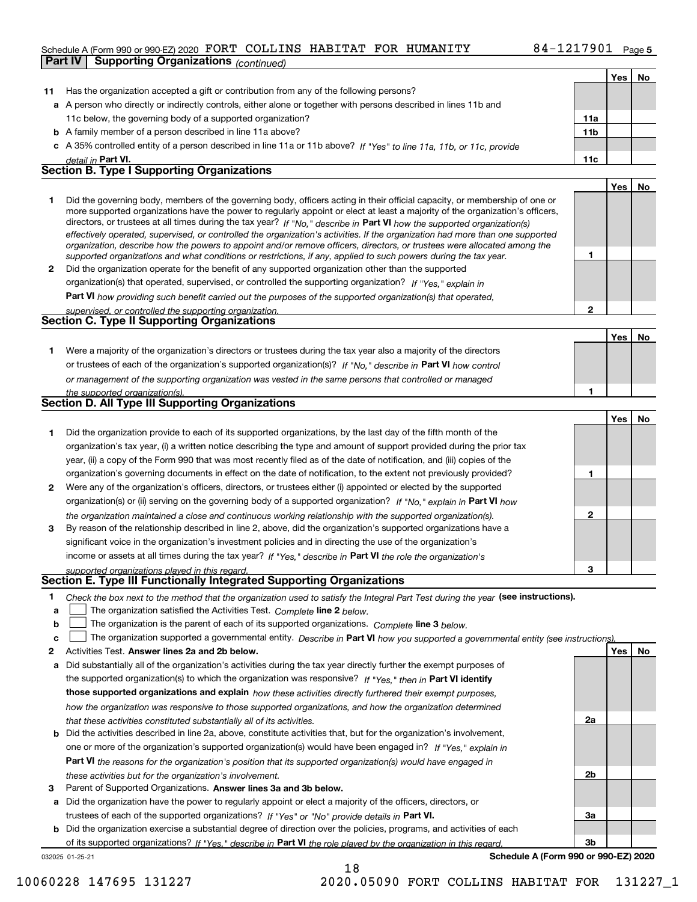### Schedule A (Form 990 or 990-EZ) 2020 Page FORT COLLINS HABITAT FOR HUMANITY 84-1217901 **Part IV Supporting Organizations** *(continued)*

|              |                                                                                                                                                                                                                                              |              | Yes   No   |    |
|--------------|----------------------------------------------------------------------------------------------------------------------------------------------------------------------------------------------------------------------------------------------|--------------|------------|----|
| 11           | Has the organization accepted a gift or contribution from any of the following persons?                                                                                                                                                      |              |            |    |
|              | a A person who directly or indirectly controls, either alone or together with persons described in lines 11b and                                                                                                                             |              |            |    |
|              | 11c below, the governing body of a supported organization?                                                                                                                                                                                   | 11a          |            |    |
|              | <b>b</b> A family member of a person described in line 11a above?                                                                                                                                                                            | 11b          |            |    |
|              | c A 35% controlled entity of a person described in line 11a or 11b above? If "Yes" to line 11a, 11b, or 11c, provide                                                                                                                         |              |            |    |
|              | detail in Part VI.                                                                                                                                                                                                                           | 11c          |            |    |
|              | <b>Section B. Type I Supporting Organizations</b>                                                                                                                                                                                            |              |            |    |
|              |                                                                                                                                                                                                                                              |              | Yes        | No |
| 1.           | Did the governing body, members of the governing body, officers acting in their official capacity, or membership of one or                                                                                                                   |              |            |    |
|              | more supported organizations have the power to regularly appoint or elect at least a majority of the organization's officers,                                                                                                                |              |            |    |
|              | directors, or trustees at all times during the tax year? If "No," describe in Part VI how the supported organization(s)                                                                                                                      |              |            |    |
|              | effectively operated, supervised, or controlled the organization's activities. If the organization had more than one supported                                                                                                               |              |            |    |
|              | organization, describe how the powers to appoint and/or remove officers, directors, or trustees were allocated among the<br>supported organizations and what conditions or restrictions, if any, applied to such powers during the tax year. | 1            |            |    |
| $\mathbf{2}$ | Did the organization operate for the benefit of any supported organization other than the supported                                                                                                                                          |              |            |    |
|              | organization(s) that operated, supervised, or controlled the supporting organization? If "Yes," explain in                                                                                                                                   |              |            |    |
|              | Part VI how providing such benefit carried out the purposes of the supported organization(s) that operated,                                                                                                                                  |              |            |    |
|              | supervised, or controlled the supporting organization.                                                                                                                                                                                       | $\mathbf{2}$ |            |    |
|              | <b>Section C. Type II Supporting Organizations</b>                                                                                                                                                                                           |              |            |    |
|              |                                                                                                                                                                                                                                              |              | Yes        | No |
| 1.           | Were a majority of the organization's directors or trustees during the tax year also a majority of the directors                                                                                                                             |              |            |    |
|              | or trustees of each of the organization's supported organization(s)? If "No." describe in Part VI how control                                                                                                                                |              |            |    |
|              | or management of the supporting organization was vested in the same persons that controlled or managed                                                                                                                                       |              |            |    |
|              | the supported organization(s).                                                                                                                                                                                                               | 1            |            |    |
|              | <b>Section D. All Type III Supporting Organizations</b>                                                                                                                                                                                      |              |            |    |
|              |                                                                                                                                                                                                                                              |              | Yes        | No |
| 1            | Did the organization provide to each of its supported organizations, by the last day of the fifth month of the                                                                                                                               |              |            |    |
|              | organization's tax year, (i) a written notice describing the type and amount of support provided during the prior tax                                                                                                                        |              |            |    |
|              | year, (ii) a copy of the Form 990 that was most recently filed as of the date of notification, and (iii) copies of the                                                                                                                       |              |            |    |
|              | organization's governing documents in effect on the date of notification, to the extent not previously provided?                                                                                                                             | 1            |            |    |
| 2            | Were any of the organization's officers, directors, or trustees either (i) appointed or elected by the supported                                                                                                                             |              |            |    |
|              | organization(s) or (ii) serving on the governing body of a supported organization? If "No," explain in Part VI how                                                                                                                           |              |            |    |
|              | the organization maintained a close and continuous working relationship with the supported organization(s).                                                                                                                                  | $\mathbf{2}$ |            |    |
| 3            | By reason of the relationship described in line 2, above, did the organization's supported organizations have a                                                                                                                              |              |            |    |
|              | significant voice in the organization's investment policies and in directing the use of the organization's                                                                                                                                   |              |            |    |
|              | income or assets at all times during the tax year? If "Yes," describe in Part VI the role the organization's                                                                                                                                 |              |            |    |
|              | supported organizations played in this regard.                                                                                                                                                                                               | з            |            |    |
|              | Section E. Type III Functionally Integrated Supporting Organizations                                                                                                                                                                         |              |            |    |
| 1            | Check the box next to the method that the organization used to satisfy the Integral Part Test during the year (see instructions).                                                                                                            |              |            |    |
| a            | The organization satisfied the Activities Test. Complete line 2 below.                                                                                                                                                                       |              |            |    |
| b            | The organization is the parent of each of its supported organizations. Complete line 3 below.                                                                                                                                                |              |            |    |
| c            | The organization supported a governmental entity. Describe in Part VI how you supported a governmental entity (see instructions)                                                                                                             |              |            |    |
| 2            | Activities Test. Answer lines 2a and 2b below.                                                                                                                                                                                               |              | <b>Yes</b> | No |
| a            | Did substantially all of the organization's activities during the tax year directly further the exempt purposes of                                                                                                                           |              |            |    |
|              | the supported organization(s) to which the organization was responsive? If "Yes," then in Part VI identify                                                                                                                                   |              |            |    |
|              | those supported organizations and explain how these activities directly furthered their exempt purposes,                                                                                                                                     |              |            |    |
|              | how the organization was responsive to those supported organizations, and how the organization determined                                                                                                                                    |              |            |    |
|              | that these activities constituted substantially all of its activities.                                                                                                                                                                       | 2a           |            |    |
|              | <b>b</b> Did the activities described in line 2a, above, constitute activities that, but for the organization's involvement,                                                                                                                 |              |            |    |
|              | one or more of the organization's supported organization(s) would have been engaged in? If "Yes," explain in                                                                                                                                 |              |            |    |
|              | Part VI the reasons for the organization's position that its supported organization(s) would have engaged in                                                                                                                                 |              |            |    |
|              | these activities but for the organization's involvement.                                                                                                                                                                                     | 2b           |            |    |
| з            | Parent of Supported Organizations. Answer lines 3a and 3b below.                                                                                                                                                                             |              |            |    |
|              | a Did the organization have the power to regularly appoint or elect a majority of the officers, directors, or                                                                                                                                |              |            |    |
|              | trustees of each of the supported organizations? If "Yes" or "No" provide details in Part VI.                                                                                                                                                | За           |            |    |
|              | <b>b</b> Did the organization exercise a substantial degree of direction over the policies, programs, and activities of each                                                                                                                 |              |            |    |

032025 01-25-21 of its supported organizations? If "Yes," describe in Part VI the role played by the organization in this regard.

18

**Schedule A (Form 990 or 990-EZ) 2020**

**3b**

10060228 147695 131227 2020.05090 FORT COLLINS HABITAT FOR 131227\_1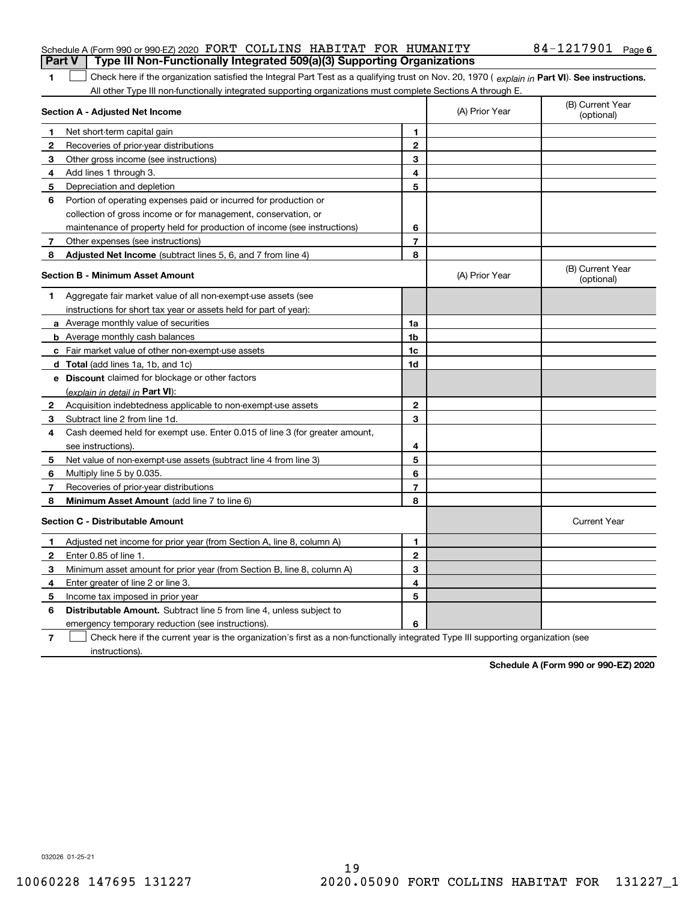### Schedule A (Form 990 or 990-EZ) 2020 Page FORT COLLINS HABITAT FOR HUMANITY 84-1217901 **Part V Type III Non-Functionally Integrated 509(a)(3) Supporting Organizations**

1 Check here if the organization satisfied the Integral Part Test as a qualifying trust on Nov. 20, 1970 (explain in Part VI). See instructions. All other Type III non-functionally integrated supporting organizations must complete Sections A through E.

|                                         | Section A - Adjusted Net Income                                                                                                   | (A) Prior Year          | (B) Current Year<br>(optional) |                                |
|-----------------------------------------|-----------------------------------------------------------------------------------------------------------------------------------|-------------------------|--------------------------------|--------------------------------|
| 1                                       | Net short-term capital gain                                                                                                       | 1                       |                                |                                |
| 2                                       | Recoveries of prior-year distributions                                                                                            | $\mathbf{2}$            |                                |                                |
| 3                                       | Other gross income (see instructions)                                                                                             | 3                       |                                |                                |
| 4                                       | Add lines 1 through 3.                                                                                                            | 4                       |                                |                                |
| 5                                       | Depreciation and depletion                                                                                                        | 5                       |                                |                                |
| 6                                       | Portion of operating expenses paid or incurred for production or                                                                  |                         |                                |                                |
|                                         | collection of gross income or for management, conservation, or                                                                    |                         |                                |                                |
|                                         | maintenance of property held for production of income (see instructions)                                                          | 6                       |                                |                                |
| 7                                       | Other expenses (see instructions)                                                                                                 | $\overline{\mathbf{r}}$ |                                |                                |
| 8                                       | Adjusted Net Income (subtract lines 5, 6, and 7 from line 4)                                                                      | 8                       |                                |                                |
| <b>Section B - Minimum Asset Amount</b> |                                                                                                                                   |                         | (A) Prior Year                 | (B) Current Year<br>(optional) |
| 1.                                      | Aggregate fair market value of all non-exempt-use assets (see                                                                     |                         |                                |                                |
|                                         | instructions for short tax year or assets held for part of year):                                                                 |                         |                                |                                |
|                                         | a Average monthly value of securities                                                                                             | 1a                      |                                |                                |
|                                         | <b>b</b> Average monthly cash balances                                                                                            | 1 <sub>b</sub>          |                                |                                |
|                                         | c Fair market value of other non-exempt-use assets                                                                                | 1c                      |                                |                                |
|                                         | d Total (add lines 1a, 1b, and 1c)                                                                                                | 1d                      |                                |                                |
|                                         | e Discount claimed for blockage or other factors                                                                                  |                         |                                |                                |
|                                         | (explain in detail in Part VI):                                                                                                   |                         |                                |                                |
| $\mathbf{2}$                            | Acquisition indebtedness applicable to non-exempt-use assets                                                                      | $\mathbf{2}$            |                                |                                |
| 3                                       | Subtract line 2 from line 1d.                                                                                                     | 3                       |                                |                                |
| 4                                       | Cash deemed held for exempt use. Enter 0.015 of line 3 (for greater amount,                                                       |                         |                                |                                |
|                                         | see instructions).                                                                                                                | 4                       |                                |                                |
| 5                                       | Net value of non-exempt-use assets (subtract line 4 from line 3)                                                                  | 5                       |                                |                                |
| 6                                       | Multiply line 5 by 0.035.                                                                                                         | 6                       |                                |                                |
| 7                                       | Recoveries of prior-year distributions                                                                                            | $\overline{7}$          |                                |                                |
| 8                                       | Minimum Asset Amount (add line 7 to line 6)                                                                                       | 8                       |                                |                                |
|                                         | <b>Section C - Distributable Amount</b>                                                                                           |                         |                                | <b>Current Year</b>            |
| 1                                       | Adjusted net income for prior year (from Section A, line 8, column A)                                                             | 1                       |                                |                                |
| 2                                       | Enter 0.85 of line 1.                                                                                                             | $\overline{2}$          |                                |                                |
| 3                                       | Minimum asset amount for prior year (from Section B, line 8, column A)                                                            | 3                       |                                |                                |
| 4                                       | Enter greater of line 2 or line 3.                                                                                                | 4                       |                                |                                |
| 5                                       | Income tax imposed in prior year                                                                                                  | 5                       |                                |                                |
| 6                                       | <b>Distributable Amount.</b> Subtract line 5 from line 4, unless subject to                                                       |                         |                                |                                |
|                                         | emergency temporary reduction (see instructions).                                                                                 | 6                       |                                |                                |
| 7                                       | Check here if the current year is the organization's first as a non-functionally integrated Type III supporting organization (see |                         |                                |                                |

instructions).

**1**

**Schedule A (Form 990 or 990-EZ) 2020**

032026 01-25-21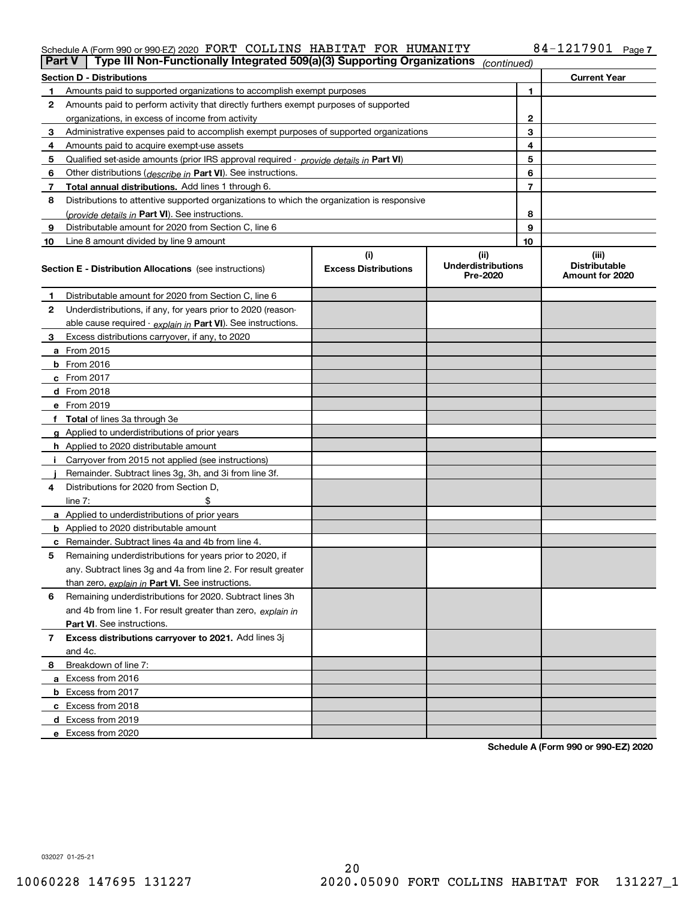### Schedule A (Form 990 or 990-EZ) 2020 PORT COLLINS HABITAT FOR HUMANITY 84-1217901 Page FORT COLLINS HABITAT FOR HUMANITY 84-1217901

| Part V         | Type III Non-Functionally Integrated 509(a)(3) Supporting Organizations                    |                             | (continued)                           |    |                                         |
|----------------|--------------------------------------------------------------------------------------------|-----------------------------|---------------------------------------|----|-----------------------------------------|
|                | <b>Section D - Distributions</b>                                                           |                             |                                       |    | <b>Current Year</b>                     |
| 1.             | Amounts paid to supported organizations to accomplish exempt purposes                      |                             |                                       | 1  |                                         |
| 2              | Amounts paid to perform activity that directly furthers exempt purposes of supported       |                             |                                       |    |                                         |
|                | organizations, in excess of income from activity                                           |                             | 2                                     |    |                                         |
| 3              | Administrative expenses paid to accomplish exempt purposes of supported organizations      |                             |                                       | 3  |                                         |
| 4              | Amounts paid to acquire exempt-use assets                                                  |                             |                                       | 4  |                                         |
| 5              | Qualified set-aside amounts (prior IRS approval required - provide details in Part VI)     |                             |                                       | 5  |                                         |
| 6              | Other distributions ( <i>describe in</i> Part VI). See instructions.                       |                             |                                       | 6  |                                         |
| 7              | Total annual distributions. Add lines 1 through 6.                                         |                             |                                       | 7  |                                         |
| 8              | Distributions to attentive supported organizations to which the organization is responsive |                             |                                       |    |                                         |
|                | (provide details in Part VI). See instructions.                                            |                             |                                       | 8  |                                         |
| 9              | Distributable amount for 2020 from Section C, line 6                                       |                             |                                       | 9  |                                         |
| 10             | Line 8 amount divided by line 9 amount                                                     |                             |                                       | 10 |                                         |
|                |                                                                                            | (i)                         | (ii)                                  |    | (iii)                                   |
|                | <b>Section E - Distribution Allocations</b> (see instructions)                             | <b>Excess Distributions</b> | <b>Underdistributions</b><br>Pre-2020 |    | <b>Distributable</b><br>Amount for 2020 |
| 1              | Distributable amount for 2020 from Section C, line 6                                       |                             |                                       |    |                                         |
| 2              | Underdistributions, if any, for years prior to 2020 (reason-                               |                             |                                       |    |                                         |
|                | able cause required - explain in Part VI). See instructions.                               |                             |                                       |    |                                         |
| 3              | Excess distributions carryover, if any, to 2020                                            |                             |                                       |    |                                         |
|                | a From 2015                                                                                |                             |                                       |    |                                         |
|                | <b>b</b> From 2016                                                                         |                             |                                       |    |                                         |
|                | $c$ From 2017                                                                              |                             |                                       |    |                                         |
|                | <b>d</b> From 2018                                                                         |                             |                                       |    |                                         |
|                | e From 2019                                                                                |                             |                                       |    |                                         |
|                | f Total of lines 3a through 3e                                                             |                             |                                       |    |                                         |
|                | g Applied to underdistributions of prior years                                             |                             |                                       |    |                                         |
|                | <b>h</b> Applied to 2020 distributable amount                                              |                             |                                       |    |                                         |
|                | Carryover from 2015 not applied (see instructions)                                         |                             |                                       |    |                                         |
|                | Remainder. Subtract lines 3g, 3h, and 3i from line 3f.                                     |                             |                                       |    |                                         |
| 4              | Distributions for 2020 from Section D,                                                     |                             |                                       |    |                                         |
|                | line $7:$                                                                                  |                             |                                       |    |                                         |
|                | a Applied to underdistributions of prior years                                             |                             |                                       |    |                                         |
|                | <b>b</b> Applied to 2020 distributable amount                                              |                             |                                       |    |                                         |
|                | c Remainder. Subtract lines 4a and 4b from line 4.                                         |                             |                                       |    |                                         |
| 5              | Remaining underdistributions for years prior to 2020, if                                   |                             |                                       |    |                                         |
|                | any. Subtract lines 3g and 4a from line 2. For result greater                              |                             |                                       |    |                                         |
|                | than zero, explain in Part VI. See instructions.                                           |                             |                                       |    |                                         |
| 6              | Remaining underdistributions for 2020. Subtract lines 3h                                   |                             |                                       |    |                                         |
|                | and 4b from line 1. For result greater than zero, explain in                               |                             |                                       |    |                                         |
|                | Part VI. See instructions.                                                                 |                             |                                       |    |                                         |
| $\overline{7}$ | Excess distributions carryover to 2021. Add lines 3j                                       |                             |                                       |    |                                         |
|                | and 4c.                                                                                    |                             |                                       |    |                                         |
| 8              | Breakdown of line 7:                                                                       |                             |                                       |    |                                         |
|                | a Excess from 2016                                                                         |                             |                                       |    |                                         |
|                | <b>b</b> Excess from 2017                                                                  |                             |                                       |    |                                         |
|                | c Excess from 2018                                                                         |                             |                                       |    |                                         |
|                | d Excess from 2019                                                                         |                             |                                       |    |                                         |
|                | e Excess from 2020                                                                         |                             |                                       |    |                                         |

**Schedule A (Form 990 or 990-EZ) 2020**

032027 01-25-21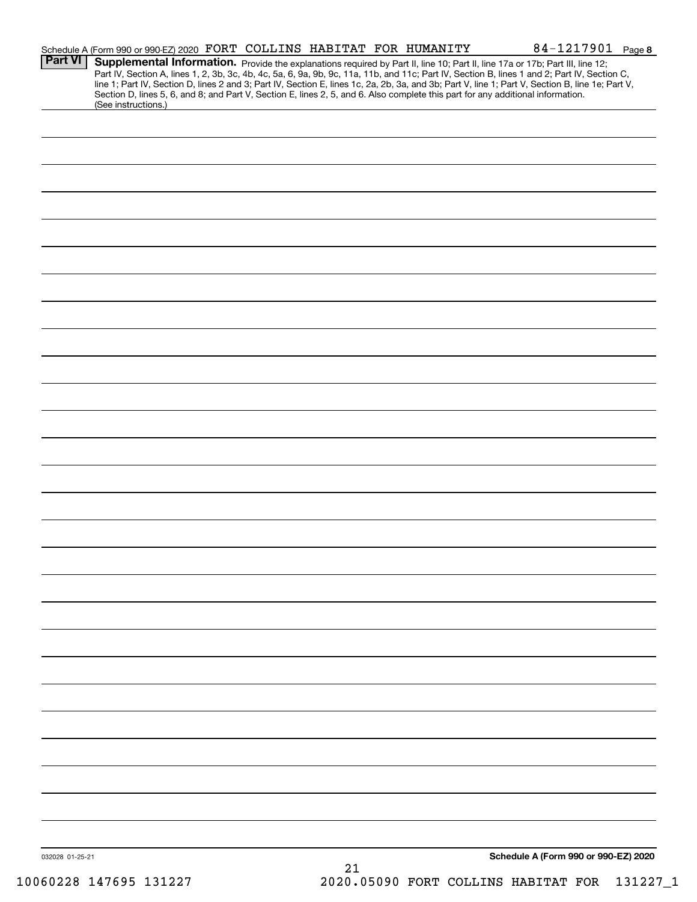| <b>Part VI</b>  | Schedule A (Form 990 or 990-EZ) 2020 FORT COLLINS HABITAT FOR HUMANITY |  |    |  | 84-1217901 Page 8<br>Supplemental Information. Provide the explanations required by Part II, line 10; Part II, line 17a or 17b; Part III, line 12;<br>Part IV, Section A, lines 1, 2, 3b, 3c, 4b, 4c, 5a, 6, 9a, 9b, 9c, 11a, 11b, and 11c; Part IV, Section B, lines 1 and 2; Part IV, Section C, |  |
|-----------------|------------------------------------------------------------------------|--|----|--|----------------------------------------------------------------------------------------------------------------------------------------------------------------------------------------------------------------------------------------------------------------------------------------------------|--|
|                 | (See instructions.)                                                    |  |    |  | line 1; Part IV, Section D, lines 2 and 3; Part IV, Section E, lines 1c, 2a, 2b, 3a, and 3b; Part V, line 1; Part V, Section B, line 1e; Part V,<br>Section D, lines 5, 6, and 8; and Part V, Section E, lines 2, 5, and 6. Also complete this part for any additional information.                |  |
|                 |                                                                        |  |    |  |                                                                                                                                                                                                                                                                                                    |  |
|                 |                                                                        |  |    |  |                                                                                                                                                                                                                                                                                                    |  |
|                 |                                                                        |  |    |  |                                                                                                                                                                                                                                                                                                    |  |
|                 |                                                                        |  |    |  |                                                                                                                                                                                                                                                                                                    |  |
|                 |                                                                        |  |    |  |                                                                                                                                                                                                                                                                                                    |  |
|                 |                                                                        |  |    |  |                                                                                                                                                                                                                                                                                                    |  |
|                 |                                                                        |  |    |  |                                                                                                                                                                                                                                                                                                    |  |
|                 |                                                                        |  |    |  |                                                                                                                                                                                                                                                                                                    |  |
|                 |                                                                        |  |    |  |                                                                                                                                                                                                                                                                                                    |  |
|                 |                                                                        |  |    |  |                                                                                                                                                                                                                                                                                                    |  |
|                 |                                                                        |  |    |  |                                                                                                                                                                                                                                                                                                    |  |
|                 |                                                                        |  |    |  |                                                                                                                                                                                                                                                                                                    |  |
|                 |                                                                        |  |    |  |                                                                                                                                                                                                                                                                                                    |  |
|                 |                                                                        |  |    |  |                                                                                                                                                                                                                                                                                                    |  |
|                 |                                                                        |  |    |  |                                                                                                                                                                                                                                                                                                    |  |
|                 |                                                                        |  |    |  |                                                                                                                                                                                                                                                                                                    |  |
|                 |                                                                        |  |    |  |                                                                                                                                                                                                                                                                                                    |  |
|                 |                                                                        |  |    |  |                                                                                                                                                                                                                                                                                                    |  |
|                 |                                                                        |  |    |  |                                                                                                                                                                                                                                                                                                    |  |
|                 |                                                                        |  |    |  |                                                                                                                                                                                                                                                                                                    |  |
| 032028 01-25-21 |                                                                        |  | 21 |  | Schedule A (Form 990 or 990-EZ) 2020                                                                                                                                                                                                                                                               |  |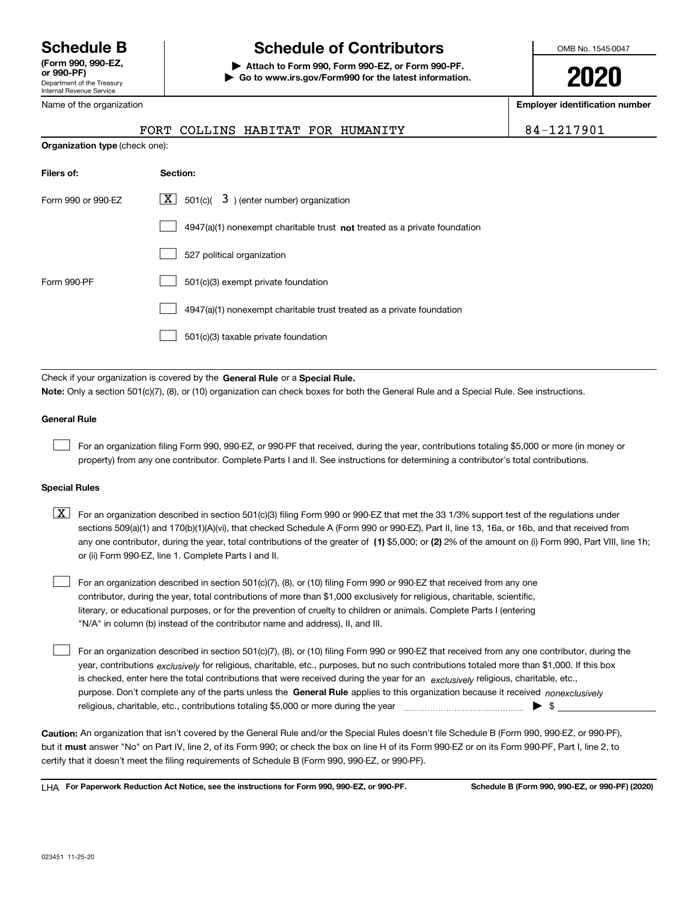Department of the Treasury Internal Revenue Service **(Form 990, 990-EZ, or 990-PF)** Name of the organization

# **Schedule B Schedule of Contributors**

**| Attach to Form 990, Form 990-EZ, or Form 990-PF. | Go to www.irs.gov/Form990 for the latest information.** OMB No. 1545-0047

**2020**

**Employer identification number**

|                                       |  | FORT COLLINS HABITAT FOR HUMANITY | 84-1217901 |
|---------------------------------------|--|-----------------------------------|------------|
| <b>Organization type (check one):</b> |  |                                   |            |

| Filers of:         | Section:                                                                    |
|--------------------|-----------------------------------------------------------------------------|
| Form 990 or 990-EZ | $\lfloor x \rfloor$ 501(c)( 3) (enter number) organization                  |
|                    | $4947(a)(1)$ nonexempt charitable trust not treated as a private foundation |
|                    | 527 political organization                                                  |
| Form 990-PF        | 501(c)(3) exempt private foundation                                         |
|                    | 4947(a)(1) nonexempt charitable trust treated as a private foundation       |
|                    | 501(c)(3) taxable private foundation                                        |
|                    |                                                                             |

Check if your organization is covered by the **General Rule** or a **Special Rule. Note:**  Only a section 501(c)(7), (8), or (10) organization can check boxes for both the General Rule and a Special Rule. See instructions.

### **General Rule**

 $\mathcal{L}^{\text{max}}$ 

For an organization filing Form 990, 990-EZ, or 990-PF that received, during the year, contributions totaling \$5,000 or more (in money or property) from any one contributor. Complete Parts I and II. See instructions for determining a contributor's total contributions.

### **Special Rules**

any one contributor, during the year, total contributions of the greater of  $\,$  (1) \$5,000; or **(2)** 2% of the amount on (i) Form 990, Part VIII, line 1h;  $\boxed{\textbf{X}}$  For an organization described in section 501(c)(3) filing Form 990 or 990-EZ that met the 33 1/3% support test of the regulations under sections 509(a)(1) and 170(b)(1)(A)(vi), that checked Schedule A (Form 990 or 990-EZ), Part II, line 13, 16a, or 16b, and that received from or (ii) Form 990-EZ, line 1. Complete Parts I and II.

For an organization described in section 501(c)(7), (8), or (10) filing Form 990 or 990-EZ that received from any one contributor, during the year, total contributions of more than \$1,000 exclusively for religious, charitable, scientific, literary, or educational purposes, or for the prevention of cruelty to children or animals. Complete Parts I (entering "N/A" in column (b) instead of the contributor name and address), II, and III.  $\mathcal{L}^{\text{max}}$ 

purpose. Don't complete any of the parts unless the **General Rule** applies to this organization because it received *nonexclusively* year, contributions <sub>exclusively</sub> for religious, charitable, etc., purposes, but no such contributions totaled more than \$1,000. If this box is checked, enter here the total contributions that were received during the year for an  $\;$ exclusively religious, charitable, etc., For an organization described in section 501(c)(7), (8), or (10) filing Form 990 or 990-EZ that received from any one contributor, during the religious, charitable, etc., contributions totaling \$5,000 or more during the year  $\Box$ — $\Box$   $\Box$  $\mathcal{L}^{\text{max}}$ 

**Caution:**  An organization that isn't covered by the General Rule and/or the Special Rules doesn't file Schedule B (Form 990, 990-EZ, or 990-PF),  **must** but it answer "No" on Part IV, line 2, of its Form 990; or check the box on line H of its Form 990-EZ or on its Form 990-PF, Part I, line 2, to certify that it doesn't meet the filing requirements of Schedule B (Form 990, 990-EZ, or 990-PF).

**For Paperwork Reduction Act Notice, see the instructions for Form 990, 990-EZ, or 990-PF. Schedule B (Form 990, 990-EZ, or 990-PF) (2020)** LHA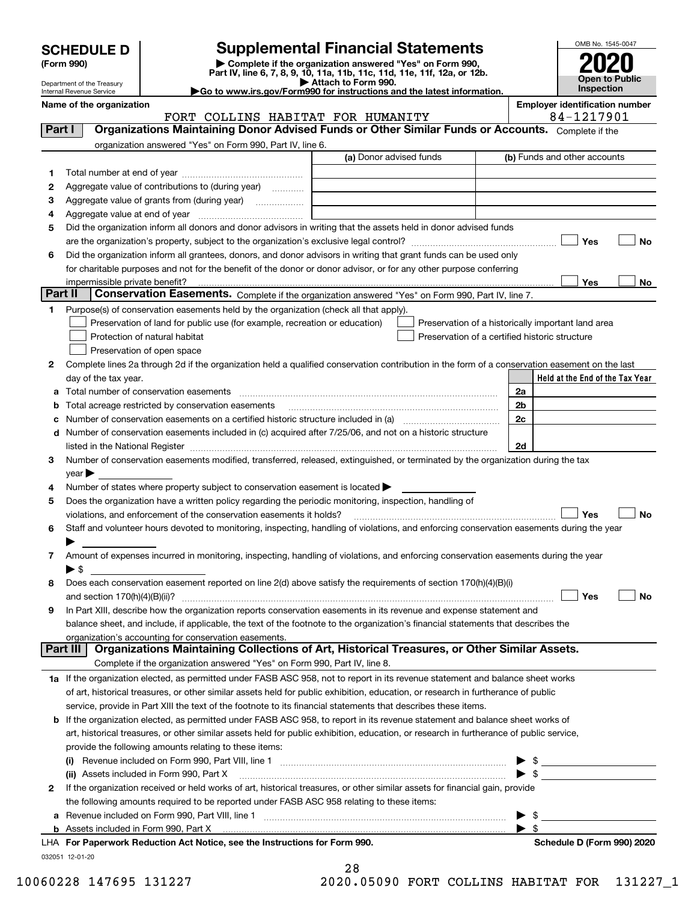| <b>SCHEDULE D</b> |  |
|-------------------|--|
|-------------------|--|

## **SCHEDULE D Supplemental Financial Statements**

(Form 990)<br>
Pepartment of the Treasury<br>
Department of the Treasury<br>
Department of the Treasury<br>
Department of the Treasury<br> **Co to www.irs.gov/Form990 for instructions and the latest information.**<br> **Co to www.irs.gov/Form9** 



Department of the Treasury Internal Revenue Service

**Name of the organization Employer identification number**

|         | FORT COLLINS HABITAT FOR HUMANITY                                                                                                                                 |                         | 84-1217901                                                                                                                                                                                                                                                                                                          |
|---------|-------------------------------------------------------------------------------------------------------------------------------------------------------------------|-------------------------|---------------------------------------------------------------------------------------------------------------------------------------------------------------------------------------------------------------------------------------------------------------------------------------------------------------------|
| Part I  | Organizations Maintaining Donor Advised Funds or Other Similar Funds or Accounts. Complete if the                                                                 |                         |                                                                                                                                                                                                                                                                                                                     |
|         | organization answered "Yes" on Form 990, Part IV, line 6.                                                                                                         |                         |                                                                                                                                                                                                                                                                                                                     |
|         |                                                                                                                                                                   | (a) Donor advised funds | (b) Funds and other accounts                                                                                                                                                                                                                                                                                        |
| 1       |                                                                                                                                                                   |                         |                                                                                                                                                                                                                                                                                                                     |
| 2       | Aggregate value of contributions to (during year)                                                                                                                 |                         |                                                                                                                                                                                                                                                                                                                     |
| з       |                                                                                                                                                                   |                         |                                                                                                                                                                                                                                                                                                                     |
| 4       |                                                                                                                                                                   |                         |                                                                                                                                                                                                                                                                                                                     |
| 5       | Did the organization inform all donors and donor advisors in writing that the assets held in donor advised funds                                                  |                         |                                                                                                                                                                                                                                                                                                                     |
|         |                                                                                                                                                                   |                         | Yes<br>No                                                                                                                                                                                                                                                                                                           |
| 6       | Did the organization inform all grantees, donors, and donor advisors in writing that grant funds can be used only                                                 |                         |                                                                                                                                                                                                                                                                                                                     |
|         | for charitable purposes and not for the benefit of the donor or donor advisor, or for any other purpose conferring                                                |                         |                                                                                                                                                                                                                                                                                                                     |
|         | impermissible private benefit?                                                                                                                                    |                         | Yes<br>No                                                                                                                                                                                                                                                                                                           |
| Part II | Conservation Easements. Complete if the organization answered "Yes" on Form 990, Part IV, line 7.                                                                 |                         |                                                                                                                                                                                                                                                                                                                     |
| 1       | Purpose(s) of conservation easements held by the organization (check all that apply).                                                                             |                         |                                                                                                                                                                                                                                                                                                                     |
|         | Preservation of land for public use (for example, recreation or education)                                                                                        |                         | Preservation of a historically important land area                                                                                                                                                                                                                                                                  |
|         | Protection of natural habitat                                                                                                                                     |                         | Preservation of a certified historic structure                                                                                                                                                                                                                                                                      |
|         | Preservation of open space                                                                                                                                        |                         |                                                                                                                                                                                                                                                                                                                     |
| 2       | Complete lines 2a through 2d if the organization held a qualified conservation contribution in the form of a conservation easement on the last                    |                         |                                                                                                                                                                                                                                                                                                                     |
|         | day of the tax year.                                                                                                                                              |                         | Held at the End of the Tax Year                                                                                                                                                                                                                                                                                     |
| а       | Total number of conservation easements                                                                                                                            |                         | 2a                                                                                                                                                                                                                                                                                                                  |
|         | Total acreage restricted by conservation easements                                                                                                                |                         | 2b                                                                                                                                                                                                                                                                                                                  |
|         | Number of conservation easements on a certified historic structure included in (a) manufacture included in (a)                                                    |                         | 2c                                                                                                                                                                                                                                                                                                                  |
| d       | Number of conservation easements included in (c) acquired after 7/25/06, and not on a historic structure                                                          |                         |                                                                                                                                                                                                                                                                                                                     |
|         | listed in the National Register [111] March 1999 State of March 1999 State of March 1999 State of March 1999 St                                                   |                         | 2d                                                                                                                                                                                                                                                                                                                  |
| 3       | Number of conservation easements modified, transferred, released, extinguished, or terminated by the organization during the tax                                  |                         |                                                                                                                                                                                                                                                                                                                     |
|         | $\vee$ ear $\blacktriangleright$                                                                                                                                  |                         |                                                                                                                                                                                                                                                                                                                     |
| 4       | Number of states where property subject to conservation easement is located >                                                                                     |                         |                                                                                                                                                                                                                                                                                                                     |
| 5       | Does the organization have a written policy regarding the periodic monitoring, inspection, handling of                                                            |                         |                                                                                                                                                                                                                                                                                                                     |
|         | violations, and enforcement of the conservation easements it holds?                                                                                               |                         | Yes<br><b>No</b>                                                                                                                                                                                                                                                                                                    |
| 6       | Staff and volunteer hours devoted to monitoring, inspecting, handling of violations, and enforcing conservation easements during the year                         |                         |                                                                                                                                                                                                                                                                                                                     |
|         |                                                                                                                                                                   |                         |                                                                                                                                                                                                                                                                                                                     |
| 7       | Amount of expenses incurred in monitoring, inspecting, handling of violations, and enforcing conservation easements during the year                               |                         |                                                                                                                                                                                                                                                                                                                     |
|         | ► \$                                                                                                                                                              |                         |                                                                                                                                                                                                                                                                                                                     |
| 8       | Does each conservation easement reported on line 2(d) above satisfy the requirements of section 170(h)(4)(B)(i)                                                   |                         |                                                                                                                                                                                                                                                                                                                     |
|         | and section $170(h)(4)(B)(ii)?$                                                                                                                                   |                         | Yes<br>No                                                                                                                                                                                                                                                                                                           |
| 9       | In Part XIII, describe how the organization reports conservation easements in its revenue and expense statement and                                               |                         |                                                                                                                                                                                                                                                                                                                     |
|         | balance sheet, and include, if applicable, the text of the footnote to the organization's financial statements that describes the                                 |                         |                                                                                                                                                                                                                                                                                                                     |
|         | organization's accounting for conservation easements.<br>Organizations Maintaining Collections of Art, Historical Treasures, or Other Similar Assets.<br>Part III |                         |                                                                                                                                                                                                                                                                                                                     |
|         |                                                                                                                                                                   |                         |                                                                                                                                                                                                                                                                                                                     |
|         | Complete if the organization answered "Yes" on Form 990, Part IV, line 8.                                                                                         |                         |                                                                                                                                                                                                                                                                                                                     |
|         | 1a If the organization elected, as permitted under FASB ASC 958, not to report in its revenue statement and balance sheet works                                   |                         |                                                                                                                                                                                                                                                                                                                     |
|         | of art, historical treasures, or other similar assets held for public exhibition, education, or research in furtherance of public                                 |                         |                                                                                                                                                                                                                                                                                                                     |
|         | service, provide in Part XIII the text of the footnote to its financial statements that describes these items.                                                    |                         |                                                                                                                                                                                                                                                                                                                     |
|         | <b>b</b> If the organization elected, as permitted under FASB ASC 958, to report in its revenue statement and balance sheet works of                              |                         |                                                                                                                                                                                                                                                                                                                     |
|         | art, historical treasures, or other similar assets held for public exhibition, education, or research in furtherance of public service,                           |                         |                                                                                                                                                                                                                                                                                                                     |
|         | provide the following amounts relating to these items:                                                                                                            |                         |                                                                                                                                                                                                                                                                                                                     |
|         |                                                                                                                                                                   |                         |                                                                                                                                                                                                                                                                                                                     |
|         | (ii) Assets included in Form 990, Part X                                                                                                                          |                         |                                                                                                                                                                                                                                                                                                                     |
| 2       | If the organization received or held works of art, historical treasures, or other similar assets for financial gain, provide                                      |                         |                                                                                                                                                                                                                                                                                                                     |
|         | the following amounts required to be reported under FASB ASC 958 relating to these items:                                                                         |                         |                                                                                                                                                                                                                                                                                                                     |
| а       |                                                                                                                                                                   |                         | $\frac{1}{2}$ $\frac{1}{2}$ $\frac{1}{2}$ $\frac{1}{2}$ $\frac{1}{2}$ $\frac{1}{2}$ $\frac{1}{2}$ $\frac{1}{2}$ $\frac{1}{2}$ $\frac{1}{2}$ $\frac{1}{2}$ $\frac{1}{2}$ $\frac{1}{2}$ $\frac{1}{2}$ $\frac{1}{2}$ $\frac{1}{2}$ $\frac{1}{2}$ $\frac{1}{2}$ $\frac{1}{2}$ $\frac{1}{2}$ $\frac{1}{2}$ $\frac{1}{2}$ |
| b       |                                                                                                                                                                   |                         | $\blacktriangleright$ \$                                                                                                                                                                                                                                                                                            |

| Schedule D (Form 990) 2020 |
|----------------------------|
|----------------------------|

28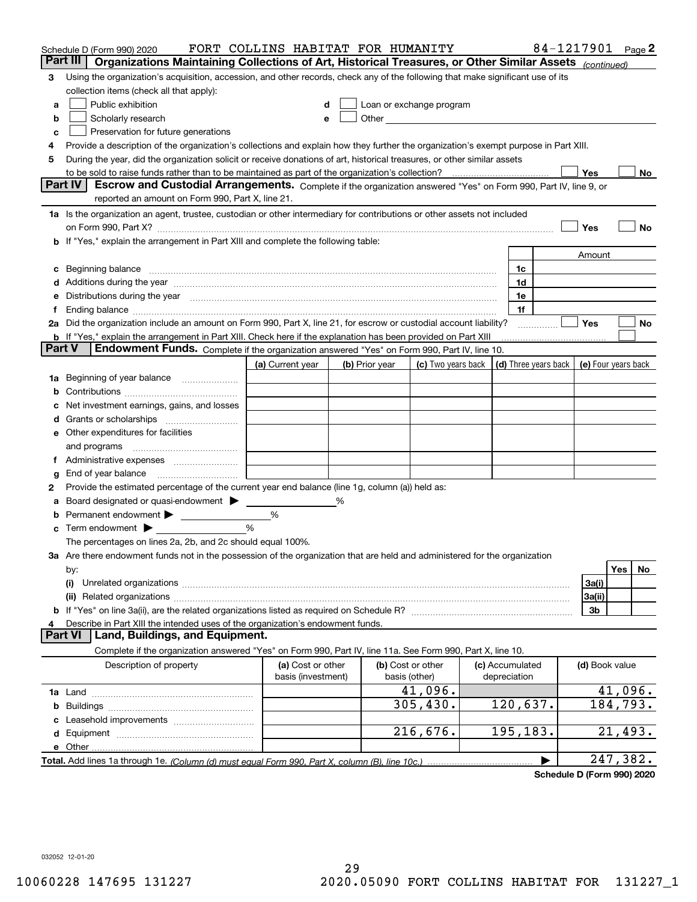|    | Schedule D (Form 990) 2020                                                                                                                                                                                                                  | FORT COLLINS HABITAT FOR HUMANITY       |   |                |                                                                                                                                                                                                                                |                                 | 84-1217901 |                     |           | Page $2$ |
|----|---------------------------------------------------------------------------------------------------------------------------------------------------------------------------------------------------------------------------------------------|-----------------------------------------|---|----------------|--------------------------------------------------------------------------------------------------------------------------------------------------------------------------------------------------------------------------------|---------------------------------|------------|---------------------|-----------|----------|
|    | Part III<br>Organizations Maintaining Collections of Art, Historical Treasures, or Other Similar Assets (continued)                                                                                                                         |                                         |   |                |                                                                                                                                                                                                                                |                                 |            |                     |           |          |
| 3  | Using the organization's acquisition, accession, and other records, check any of the following that make significant use of its                                                                                                             |                                         |   |                |                                                                                                                                                                                                                                |                                 |            |                     |           |          |
|    | collection items (check all that apply):                                                                                                                                                                                                    |                                         |   |                |                                                                                                                                                                                                                                |                                 |            |                     |           |          |
| a  | Public exhibition                                                                                                                                                                                                                           |                                         |   |                | Loan or exchange program                                                                                                                                                                                                       |                                 |            |                     |           |          |
| b  | Scholarly research                                                                                                                                                                                                                          | е                                       |   |                | Other experiences and the state of the state of the state of the state of the state of the state of the state of the state of the state of the state of the state of the state of the state of the state of the state of the s |                                 |            |                     |           |          |
| с  | Preservation for future generations                                                                                                                                                                                                         |                                         |   |                |                                                                                                                                                                                                                                |                                 |            |                     |           |          |
| 4  | Provide a description of the organization's collections and explain how they further the organization's exempt purpose in Part XIII.                                                                                                        |                                         |   |                |                                                                                                                                                                                                                                |                                 |            |                     |           |          |
| 5  | During the year, did the organization solicit or receive donations of art, historical treasures, or other similar assets                                                                                                                    |                                         |   |                |                                                                                                                                                                                                                                |                                 |            |                     |           |          |
|    | to be sold to raise funds rather than to be maintained as part of the organization's collection?                                                                                                                                            |                                         |   |                |                                                                                                                                                                                                                                |                                 |            | Yes                 |           | No       |
|    | <b>Part IV</b><br>Escrow and Custodial Arrangements. Complete if the organization answered "Yes" on Form 990, Part IV, line 9, or                                                                                                           |                                         |   |                |                                                                                                                                                                                                                                |                                 |            |                     |           |          |
|    | reported an amount on Form 990, Part X, line 21.                                                                                                                                                                                            |                                         |   |                |                                                                                                                                                                                                                                |                                 |            |                     |           |          |
|    | 1a Is the organization an agent, trustee, custodian or other intermediary for contributions or other assets not included                                                                                                                    |                                         |   |                |                                                                                                                                                                                                                                |                                 |            |                     |           |          |
|    | on Form 990, Part X? [11] matter contracts and contracts and contracts are contracted as a form 990, Part X?                                                                                                                                |                                         |   |                |                                                                                                                                                                                                                                |                                 |            | Yes                 |           | No       |
|    | b If "Yes," explain the arrangement in Part XIII and complete the following table:                                                                                                                                                          |                                         |   |                |                                                                                                                                                                                                                                |                                 |            |                     |           |          |
|    |                                                                                                                                                                                                                                             |                                         |   |                |                                                                                                                                                                                                                                |                                 |            | Amount              |           |          |
| c  | Beginning balance material content contracts and content and content and content and content and content and content and content and content and content and content and content and content and content and content and conte              |                                         |   |                |                                                                                                                                                                                                                                | 1c                              |            |                     |           |          |
|    | Additions during the year manufactured and an annual contract of the year manufactured and a set of the year manufactured and a set of the year manufactured and a set of the year manufactured and a set of the set of the se              |                                         |   |                |                                                                                                                                                                                                                                | 1d                              |            |                     |           |          |
|    | Distributions during the year manufactured and continuum and continuum and continuum and continuum and continuum                                                                                                                            |                                         |   |                |                                                                                                                                                                                                                                | 1e                              |            |                     |           |          |
| Ť. |                                                                                                                                                                                                                                             |                                         |   |                |                                                                                                                                                                                                                                | 1f                              |            | Yes                 |           | No       |
|    | 2a Did the organization include an amount on Form 990, Part X, line 21, for escrow or custodial account liability?<br><b>b</b> If "Yes," explain the arrangement in Part XIII. Check here if the explanation has been provided on Part XIII |                                         |   |                |                                                                                                                                                                                                                                |                                 | .          |                     |           |          |
|    | Part V<br>Endowment Funds. Complete if the organization answered "Yes" on Form 990, Part IV, line 10.                                                                                                                                       |                                         |   |                |                                                                                                                                                                                                                                |                                 |            |                     |           |          |
|    |                                                                                                                                                                                                                                             | (a) Current year                        |   | (b) Prior year | (c) Two years back                                                                                                                                                                                                             | (d) Three years back            |            | (e) Four years back |           |          |
| 1a | Beginning of year balance                                                                                                                                                                                                                   |                                         |   |                |                                                                                                                                                                                                                                |                                 |            |                     |           |          |
|    |                                                                                                                                                                                                                                             |                                         |   |                |                                                                                                                                                                                                                                |                                 |            |                     |           |          |
|    | Net investment earnings, gains, and losses                                                                                                                                                                                                  |                                         |   |                |                                                                                                                                                                                                                                |                                 |            |                     |           |          |
| d  |                                                                                                                                                                                                                                             |                                         |   |                |                                                                                                                                                                                                                                |                                 |            |                     |           |          |
|    | e Other expenditures for facilities                                                                                                                                                                                                         |                                         |   |                |                                                                                                                                                                                                                                |                                 |            |                     |           |          |
|    | and programs                                                                                                                                                                                                                                |                                         |   |                |                                                                                                                                                                                                                                |                                 |            |                     |           |          |
|    |                                                                                                                                                                                                                                             |                                         |   |                |                                                                                                                                                                                                                                |                                 |            |                     |           |          |
| g  | End of year balance                                                                                                                                                                                                                         |                                         |   |                |                                                                                                                                                                                                                                |                                 |            |                     |           |          |
| 2  | Provide the estimated percentage of the current year end balance (line 1g, column (a)) held as:                                                                                                                                             |                                         |   |                |                                                                                                                                                                                                                                |                                 |            |                     |           |          |
| а  | Board designated or quasi-endowment                                                                                                                                                                                                         |                                         | ℅ |                |                                                                                                                                                                                                                                |                                 |            |                     |           |          |
|    | Permanent endowment > <u>example</u>                                                                                                                                                                                                        | %                                       |   |                |                                                                                                                                                                                                                                |                                 |            |                     |           |          |
|    | Term endowment $\blacktriangleright$                                                                                                                                                                                                        | %                                       |   |                |                                                                                                                                                                                                                                |                                 |            |                     |           |          |
|    | The percentages on lines 2a, 2b, and 2c should equal 100%.                                                                                                                                                                                  |                                         |   |                |                                                                                                                                                                                                                                |                                 |            |                     |           |          |
|    | 3a Are there endowment funds not in the possession of the organization that are held and administered for the organization                                                                                                                  |                                         |   |                |                                                                                                                                                                                                                                |                                 |            |                     |           |          |
|    | by:                                                                                                                                                                                                                                         |                                         |   |                |                                                                                                                                                                                                                                |                                 |            |                     | Yes       | No.      |
|    | (i)                                                                                                                                                                                                                                         |                                         |   |                |                                                                                                                                                                                                                                |                                 |            | 3a(i)               |           |          |
|    |                                                                                                                                                                                                                                             |                                         |   |                |                                                                                                                                                                                                                                |                                 |            | 3a(ii)              |           |          |
|    |                                                                                                                                                                                                                                             |                                         |   |                |                                                                                                                                                                                                                                |                                 |            | 3b                  |           |          |
| 4  | Describe in Part XIII the intended uses of the organization's endowment funds.                                                                                                                                                              |                                         |   |                |                                                                                                                                                                                                                                |                                 |            |                     |           |          |
|    | Land, Buildings, and Equipment.<br>Part VI                                                                                                                                                                                                  |                                         |   |                |                                                                                                                                                                                                                                |                                 |            |                     |           |          |
|    | Complete if the organization answered "Yes" on Form 990, Part IV, line 11a. See Form 990, Part X, line 10.                                                                                                                                  |                                         |   |                |                                                                                                                                                                                                                                |                                 |            |                     |           |          |
|    | Description of property                                                                                                                                                                                                                     | (a) Cost or other<br>basis (investment) |   |                | (b) Cost or other<br>basis (other)                                                                                                                                                                                             | (c) Accumulated<br>depreciation |            | (d) Book value      |           |          |
|    |                                                                                                                                                                                                                                             |                                         |   |                | 41,096.                                                                                                                                                                                                                        |                                 |            |                     | 41,096.   |          |
| b  |                                                                                                                                                                                                                                             |                                         |   |                | 305,430.                                                                                                                                                                                                                       | 120,637.                        |            |                     | 184, 793. |          |
|    |                                                                                                                                                                                                                                             |                                         |   |                |                                                                                                                                                                                                                                |                                 |            |                     |           |          |
|    |                                                                                                                                                                                                                                             |                                         |   |                | 216,676.                                                                                                                                                                                                                       | 195,183.                        |            |                     | 21,493.   |          |
|    | e Other                                                                                                                                                                                                                                     |                                         |   |                |                                                                                                                                                                                                                                |                                 |            |                     |           |          |
|    |                                                                                                                                                                                                                                             |                                         |   |                |                                                                                                                                                                                                                                |                                 |            |                     | 247,382.  |          |

**Schedule D (Form 990) 2020**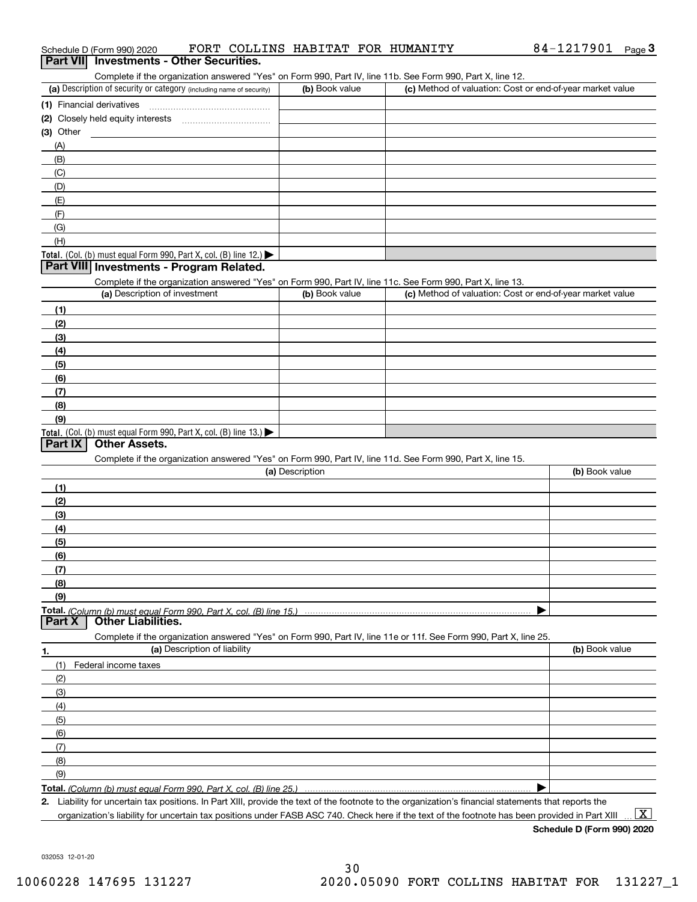| Schedule D (Form 990) 2020                                                                                 |                | FORT COLLINS HABITAT FOR HUMANITY | 84-1217901                                                | Page $3$ |
|------------------------------------------------------------------------------------------------------------|----------------|-----------------------------------|-----------------------------------------------------------|----------|
| Part VII Investments - Other Securities.                                                                   |                |                                   |                                                           |          |
| Complete if the organization answered "Yes" on Form 990, Part IV, line 11b. See Form 990, Part X, line 12. |                |                                   |                                                           |          |
| (a) Description of security or category (including name of security)                                       | (b) Book value |                                   | (c) Method of valuation: Cost or end-of-year market value |          |
| (1) Financial derivatives                                                                                  |                |                                   |                                                           |          |
| Closely held equity interests<br>(2)                                                                       |                |                                   |                                                           |          |
| $(3)$ Other                                                                                                |                |                                   |                                                           |          |
| (A)                                                                                                        |                |                                   |                                                           |          |
| (B)                                                                                                        |                |                                   |                                                           |          |
| (C)                                                                                                        |                |                                   |                                                           |          |
| (D)                                                                                                        |                |                                   |                                                           |          |
| (E)                                                                                                        |                |                                   |                                                           |          |
| (F)                                                                                                        |                |                                   |                                                           |          |
| (G)                                                                                                        |                |                                   |                                                           |          |
| (H)                                                                                                        |                |                                   |                                                           |          |
| <b>Total.</b> (Col. (b) must equal Form 990, Part X, col. (B) line 12.) $\blacktriangleright$              |                |                                   |                                                           |          |
| Part VIII Investments - Program Related.                                                                   |                |                                   |                                                           |          |
| Complete if the organization answered "Yes" on Form 990, Part IV, line 11c. See Form 990, Part X, line 13. |                |                                   |                                                           |          |
| (a) Description of investment                                                                              | (b) Book value |                                   | (c) Method of valuation: Cost or end-of-year market value |          |
| (1)                                                                                                        |                |                                   |                                                           |          |

| (1)                                                                 |  |
|---------------------------------------------------------------------|--|
| (2)                                                                 |  |
| (3)                                                                 |  |
| (4)                                                                 |  |
| (5)                                                                 |  |
| (6)                                                                 |  |
| (7)                                                                 |  |
| (8)                                                                 |  |
| (9)                                                                 |  |
| Total. (Col. (b) must equal Form 990, Part X, col. (B) line $13.$ ) |  |

### **Part IX Other Assets.**

Complete if the organization answered "Yes" on Form 990, Part IV, line 11d. See Form 990, Part X, line 15.

|               | (a) Description                                                                                                   | (b) Book value |
|---------------|-------------------------------------------------------------------------------------------------------------------|----------------|
| (1)           |                                                                                                                   |                |
| (2)           |                                                                                                                   |                |
| (3)           |                                                                                                                   |                |
| (4)           |                                                                                                                   |                |
| (5)           |                                                                                                                   |                |
| (6)           |                                                                                                                   |                |
| (7)           |                                                                                                                   |                |
| (8)           |                                                                                                                   |                |
| (9)           |                                                                                                                   |                |
|               |                                                                                                                   |                |
| <b>Part X</b> | <b>Other Liabilities.</b>                                                                                         |                |
|               | Complete if the organization answered "Yes" on Form 990, Part IV, line 11e or 11f. See Form 990, Part X, line 25. |                |
| 1.            | (a) Description of liability                                                                                      | (b) Book value |
|               | Federal income taxes                                                                                              |                |
| (2)           |                                                                                                                   |                |
| (3)           |                                                                                                                   |                |

| (4) |  |
|-----|--|
| (5) |  |
| (6) |  |
| (7) |  |
| (8) |  |
| (9) |  |
|     |  |

**Total.**  *(Column (b) must equal Form 990, Part X, col. (B) line 25.)* 

**2.** Liability for uncertain tax positions. In Part XIII, provide the text of the footnote to the organization's financial statements that reports the organization's liability for uncertain tax positions under FASB ASC 740. Check here if the text of the footnote has been provided in Part XIII

**Schedule D (Form 990) 2020**  $\boxed{\text{X}}$ 

032053 12-01-20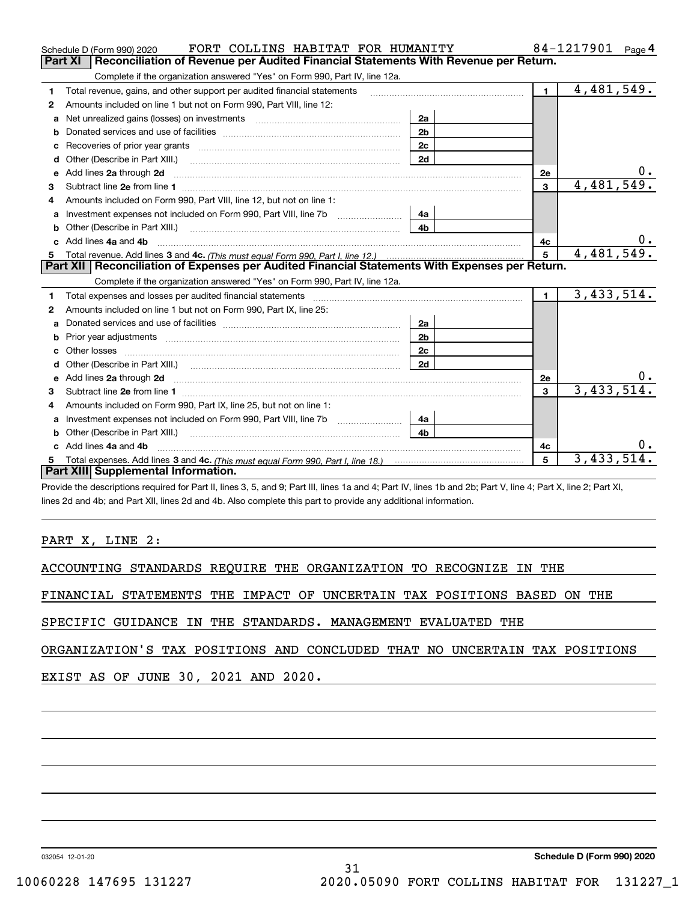|    | FORT COLLINS HABITAT FOR HUMANITY<br>Schedule D (Form 990) 2020                                                                                                                                                                    |                |                | 84-1217901<br>Page 4 |
|----|------------------------------------------------------------------------------------------------------------------------------------------------------------------------------------------------------------------------------------|----------------|----------------|----------------------|
|    | Reconciliation of Revenue per Audited Financial Statements With Revenue per Return.<br>Part XI                                                                                                                                     |                |                |                      |
|    | Complete if the organization answered "Yes" on Form 990, Part IV, line 12a.                                                                                                                                                        |                |                |                      |
| 1  | Total revenue, gains, and other support per audited financial statements                                                                                                                                                           |                | $\blacksquare$ | 4,481,549.           |
| 2  | Amounts included on line 1 but not on Form 990, Part VIII, line 12:                                                                                                                                                                |                |                |                      |
| a  |                                                                                                                                                                                                                                    | 2a             |                |                      |
| b  |                                                                                                                                                                                                                                    | 2 <sub>b</sub> |                |                      |
|    |                                                                                                                                                                                                                                    | 2c             |                |                      |
| d  | Other (Describe in Part XIII.) <b>Construction Construction</b> Chern Construction Chern Chern Chern Chern Chern Chern                                                                                                             | 2d             |                |                      |
| e  | Add lines 2a through 2d                                                                                                                                                                                                            |                | <b>2e</b>      | 0.                   |
| З  |                                                                                                                                                                                                                                    |                | 3              | 4,481,549.           |
| 4  | Amounts included on Form 990. Part VIII. line 12, but not on line 1:                                                                                                                                                               |                |                |                      |
| a  |                                                                                                                                                                                                                                    | 4а             |                |                      |
|    |                                                                                                                                                                                                                                    | 4b             |                |                      |
|    | Add lines 4a and 4b                                                                                                                                                                                                                |                | 4c             |                      |
| c. |                                                                                                                                                                                                                                    |                |                |                      |
|    |                                                                                                                                                                                                                                    |                | 5              | 4,481,549.           |
|    | Part XII   Reconciliation of Expenses per Audited Financial Statements With Expenses per Return.                                                                                                                                   |                |                |                      |
|    | Complete if the organization answered "Yes" on Form 990, Part IV, line 12a.                                                                                                                                                        |                |                |                      |
| 1  |                                                                                                                                                                                                                                    |                | 1 <sup>1</sup> | 3,433,514.           |
| 2  | Amounts included on line 1 but not on Form 990, Part IX, line 25:                                                                                                                                                                  |                |                |                      |
| a  |                                                                                                                                                                                                                                    | 2a             |                |                      |
| b  | Prior year adjustments <i>www.www.www.www.www.www.www.www.www.</i> ww.                                                                                                                                                             | 2 <sub>b</sub> |                |                      |
|    |                                                                                                                                                                                                                                    | 2c             |                |                      |
| d  |                                                                                                                                                                                                                                    | 2d             |                |                      |
| е  | Add lines 2a through 2d <b>manufactures</b> and contained the state of the state of the state of the state of the state of the state of the state of the state of the state of the state of the state of the state of the state of |                | <b>2e</b>      | υ.                   |
| 3  |                                                                                                                                                                                                                                    |                | $\mathbf{3}$   | 3,433,514.           |
| 4  | Amounts included on Form 990, Part IX, line 25, but not on line 1:                                                                                                                                                                 |                |                |                      |
| a  | Investment expenses not included on Form 990, Part VIII, line 7b [100] [100] [100] [100] [100] [100] [100] [10                                                                                                                     | 4a             |                |                      |
| b  | Other (Describe in Part XIII.)                                                                                                                                                                                                     | 4 <sub>h</sub> |                |                      |
| C. | Add lines 4a and 4b                                                                                                                                                                                                                |                | 4c             |                      |
|    |                                                                                                                                                                                                                                    |                | 5              | 3,433,514            |
|    | Part XIII Supplemental Information.                                                                                                                                                                                                |                |                |                      |

Provide the descriptions required for Part II, lines 3, 5, and 9; Part III, lines 1a and 4; Part IV, lines 1b and 2b; Part V, line 4; Part X, line 2; Part XI, lines 2d and 4b; and Part XII, lines 2d and 4b. Also complete this part to provide any additional information.

## PART X, LINE 2:

ACCOUNTING STANDARDS REQUIRE THE ORGANIZATION TO RECOGNIZE IN THE

FINANCIAL STATEMENTS THE IMPACT OF UNCERTAIN TAX POSITIONS BASED ON THE

SPECIFIC GUIDANCE IN THE STANDARDS. MANAGEMENT EVALUATED THE

ORGANIZATION'S TAX POSITIONS AND CONCLUDED THAT NO UNCERTAIN TAX POSITIONS

EXIST AS OF JUNE 30, 2021 AND 2020.

032054 12-01-20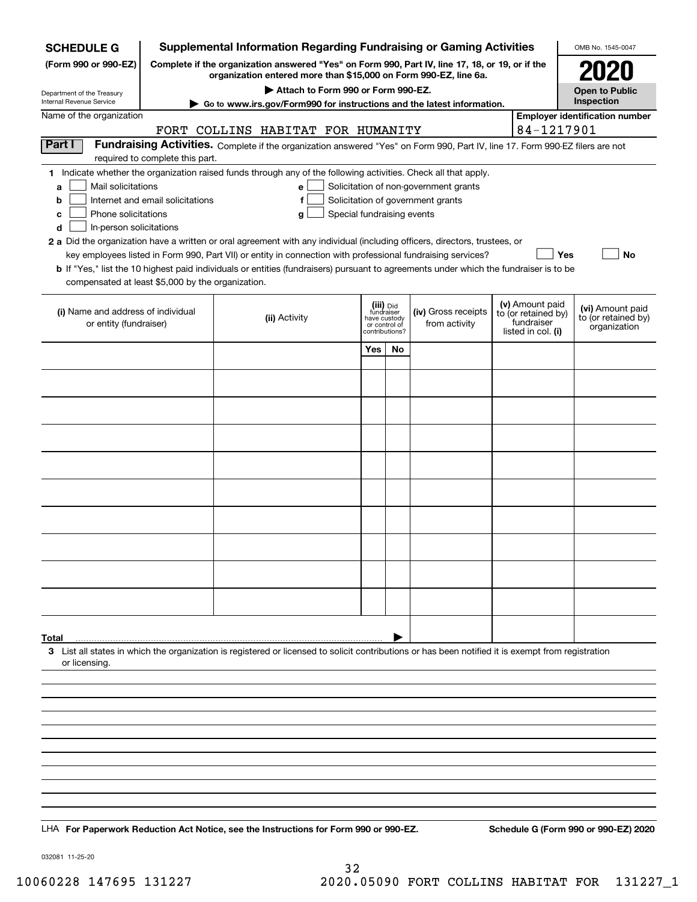| <b>SCHEDULE G</b>                                                                                                                             |                                                                                                                                                                     | <b>Supplemental Information Regarding Fundraising or Gaming Activities</b>                                                                                                                                                                                                                                                                                                                                                                                                                                                                         |                                                                            |    |                                                                            |  |                                                                            | OMB No. 1545-0047                                       |  |
|-----------------------------------------------------------------------------------------------------------------------------------------------|---------------------------------------------------------------------------------------------------------------------------------------------------------------------|----------------------------------------------------------------------------------------------------------------------------------------------------------------------------------------------------------------------------------------------------------------------------------------------------------------------------------------------------------------------------------------------------------------------------------------------------------------------------------------------------------------------------------------------------|----------------------------------------------------------------------------|----|----------------------------------------------------------------------------|--|----------------------------------------------------------------------------|---------------------------------------------------------|--|
| (Form 990 or 990-EZ)                                                                                                                          | Complete if the organization answered "Yes" on Form 990, Part IV, line 17, 18, or 19, or if the<br>organization entered more than \$15,000 on Form 990-EZ, line 6a. |                                                                                                                                                                                                                                                                                                                                                                                                                                                                                                                                                    |                                                                            |    |                                                                            |  |                                                                            |                                                         |  |
| Department of the Treasury                                                                                                                    | Attach to Form 990 or Form 990-EZ.                                                                                                                                  |                                                                                                                                                                                                                                                                                                                                                                                                                                                                                                                                                    |                                                                            |    |                                                                            |  |                                                                            |                                                         |  |
| Internal Revenue Service                                                                                                                      |                                                                                                                                                                     | $\blacktriangleright$ Go to www.irs.gov/Form990 for instructions and the latest information.                                                                                                                                                                                                                                                                                                                                                                                                                                                       |                                                                            |    |                                                                            |  |                                                                            | <b>Open to Public</b><br>Inspection                     |  |
| Name of the organization                                                                                                                      |                                                                                                                                                                     |                                                                                                                                                                                                                                                                                                                                                                                                                                                                                                                                                    |                                                                            |    |                                                                            |  |                                                                            | <b>Employer identification number</b>                   |  |
|                                                                                                                                               |                                                                                                                                                                     | FORT COLLINS HABITAT FOR HUMANITY                                                                                                                                                                                                                                                                                                                                                                                                                                                                                                                  |                                                                            |    |                                                                            |  | 84-1217901                                                                 |                                                         |  |
| Part I                                                                                                                                        | required to complete this part.                                                                                                                                     | Fundraising Activities. Complete if the organization answered "Yes" on Form 990, Part IV, line 17. Form 990-EZ filers are not                                                                                                                                                                                                                                                                                                                                                                                                                      |                                                                            |    |                                                                            |  |                                                                            |                                                         |  |
| Mail solicitations<br>a<br>b<br>Phone solicitations<br>c<br>In-person solicitations<br>d<br>compensated at least \$5,000 by the organization. | Internet and email solicitations                                                                                                                                    | 1 Indicate whether the organization raised funds through any of the following activities. Check all that apply.<br>e<br>f<br>Special fundraising events<br>g<br>2 a Did the organization have a written or oral agreement with any individual (including officers, directors, trustees, or<br>key employees listed in Form 990, Part VII) or entity in connection with professional fundraising services?<br>b If "Yes," list the 10 highest paid individuals or entities (fundraisers) pursuant to agreements under which the fundraiser is to be |                                                                            |    | Solicitation of non-government grants<br>Solicitation of government grants |  | Yes                                                                        | <b>No</b>                                               |  |
| (i) Name and address of individual<br>or entity (fundraiser)                                                                                  |                                                                                                                                                                     | (ii) Activity                                                                                                                                                                                                                                                                                                                                                                                                                                                                                                                                      | (iii) Did<br>fundraiser<br>have custody<br>or control of<br>contributions? |    | (iv) Gross receipts<br>from activity                                       |  | (v) Amount paid<br>to (or retained by)<br>fundraiser<br>listed in col. (i) | (vi) Amount paid<br>to (or retained by)<br>organization |  |
|                                                                                                                                               |                                                                                                                                                                     |                                                                                                                                                                                                                                                                                                                                                                                                                                                                                                                                                    | Yes                                                                        | No |                                                                            |  |                                                                            |                                                         |  |
|                                                                                                                                               |                                                                                                                                                                     |                                                                                                                                                                                                                                                                                                                                                                                                                                                                                                                                                    |                                                                            |    |                                                                            |  |                                                                            |                                                         |  |
|                                                                                                                                               |                                                                                                                                                                     |                                                                                                                                                                                                                                                                                                                                                                                                                                                                                                                                                    |                                                                            |    |                                                                            |  |                                                                            |                                                         |  |
|                                                                                                                                               |                                                                                                                                                                     |                                                                                                                                                                                                                                                                                                                                                                                                                                                                                                                                                    |                                                                            |    |                                                                            |  |                                                                            |                                                         |  |
|                                                                                                                                               |                                                                                                                                                                     |                                                                                                                                                                                                                                                                                                                                                                                                                                                                                                                                                    |                                                                            |    |                                                                            |  |                                                                            |                                                         |  |
|                                                                                                                                               |                                                                                                                                                                     |                                                                                                                                                                                                                                                                                                                                                                                                                                                                                                                                                    |                                                                            |    |                                                                            |  |                                                                            |                                                         |  |
|                                                                                                                                               |                                                                                                                                                                     |                                                                                                                                                                                                                                                                                                                                                                                                                                                                                                                                                    |                                                                            |    |                                                                            |  |                                                                            |                                                         |  |
|                                                                                                                                               |                                                                                                                                                                     |                                                                                                                                                                                                                                                                                                                                                                                                                                                                                                                                                    |                                                                            |    |                                                                            |  |                                                                            |                                                         |  |
|                                                                                                                                               |                                                                                                                                                                     |                                                                                                                                                                                                                                                                                                                                                                                                                                                                                                                                                    |                                                                            |    |                                                                            |  |                                                                            |                                                         |  |
|                                                                                                                                               |                                                                                                                                                                     |                                                                                                                                                                                                                                                                                                                                                                                                                                                                                                                                                    |                                                                            |    |                                                                            |  |                                                                            |                                                         |  |
|                                                                                                                                               |                                                                                                                                                                     |                                                                                                                                                                                                                                                                                                                                                                                                                                                                                                                                                    |                                                                            |    |                                                                            |  |                                                                            |                                                         |  |
|                                                                                                                                               |                                                                                                                                                                     |                                                                                                                                                                                                                                                                                                                                                                                                                                                                                                                                                    |                                                                            |    |                                                                            |  |                                                                            |                                                         |  |
|                                                                                                                                               |                                                                                                                                                                     |                                                                                                                                                                                                                                                                                                                                                                                                                                                                                                                                                    |                                                                            |    |                                                                            |  |                                                                            |                                                         |  |
|                                                                                                                                               |                                                                                                                                                                     |                                                                                                                                                                                                                                                                                                                                                                                                                                                                                                                                                    |                                                                            |    |                                                                            |  |                                                                            |                                                         |  |
|                                                                                                                                               |                                                                                                                                                                     |                                                                                                                                                                                                                                                                                                                                                                                                                                                                                                                                                    |                                                                            |    |                                                                            |  |                                                                            |                                                         |  |
|                                                                                                                                               |                                                                                                                                                                     |                                                                                                                                                                                                                                                                                                                                                                                                                                                                                                                                                    |                                                                            |    |                                                                            |  |                                                                            |                                                         |  |
|                                                                                                                                               |                                                                                                                                                                     |                                                                                                                                                                                                                                                                                                                                                                                                                                                                                                                                                    |                                                                            |    |                                                                            |  |                                                                            |                                                         |  |
| Total<br>or licensing.                                                                                                                        |                                                                                                                                                                     | 3 List all states in which the organization is registered or licensed to solicit contributions or has been notified it is exempt from registration                                                                                                                                                                                                                                                                                                                                                                                                 |                                                                            |    |                                                                            |  |                                                                            |                                                         |  |
|                                                                                                                                               |                                                                                                                                                                     |                                                                                                                                                                                                                                                                                                                                                                                                                                                                                                                                                    |                                                                            |    |                                                                            |  |                                                                            |                                                         |  |
|                                                                                                                                               |                                                                                                                                                                     |                                                                                                                                                                                                                                                                                                                                                                                                                                                                                                                                                    |                                                                            |    |                                                                            |  |                                                                            |                                                         |  |
|                                                                                                                                               |                                                                                                                                                                     |                                                                                                                                                                                                                                                                                                                                                                                                                                                                                                                                                    |                                                                            |    |                                                                            |  |                                                                            |                                                         |  |
|                                                                                                                                               |                                                                                                                                                                     |                                                                                                                                                                                                                                                                                                                                                                                                                                                                                                                                                    |                                                                            |    |                                                                            |  |                                                                            |                                                         |  |
|                                                                                                                                               |                                                                                                                                                                     |                                                                                                                                                                                                                                                                                                                                                                                                                                                                                                                                                    |                                                                            |    |                                                                            |  |                                                                            |                                                         |  |
|                                                                                                                                               |                                                                                                                                                                     |                                                                                                                                                                                                                                                                                                                                                                                                                                                                                                                                                    |                                                                            |    |                                                                            |  |                                                                            |                                                         |  |
|                                                                                                                                               |                                                                                                                                                                     |                                                                                                                                                                                                                                                                                                                                                                                                                                                                                                                                                    |                                                                            |    |                                                                            |  |                                                                            |                                                         |  |
|                                                                                                                                               |                                                                                                                                                                     |                                                                                                                                                                                                                                                                                                                                                                                                                                                                                                                                                    |                                                                            |    |                                                                            |  |                                                                            |                                                         |  |
|                                                                                                                                               |                                                                                                                                                                     |                                                                                                                                                                                                                                                                                                                                                                                                                                                                                                                                                    |                                                                            |    |                                                                            |  |                                                                            |                                                         |  |
|                                                                                                                                               |                                                                                                                                                                     | LHA For Paperwork Reduction Act Notice, see the Instructions for Form 990 or 990-EZ.                                                                                                                                                                                                                                                                                                                                                                                                                                                               |                                                                            |    |                                                                            |  |                                                                            | Schedule G (Form 990 or 990-EZ) 2020                    |  |

032081 11-25-20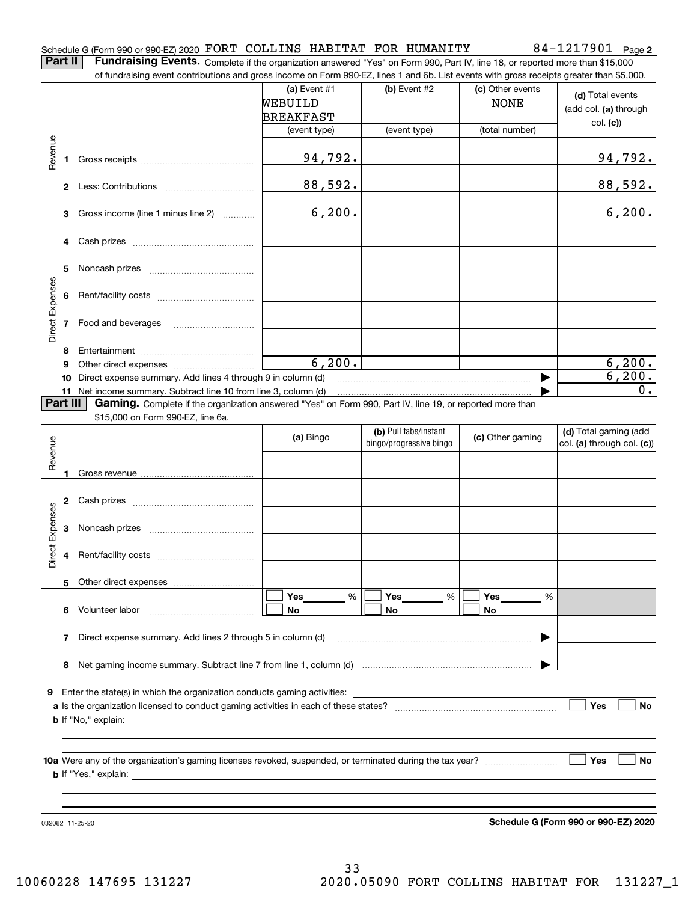### Schedule G (Form 990 or 990-EZ) 2020 Page FORT COLLINS HABITAT FOR HUMANITY 84-1217901

**2**

**Part II** | Fundraising Events. Complete if the organization answered "Yes" on Form 990, Part IV, line 18, or reported more than \$15,000

|                 |          | of fundraising event contributions and gross income on Form 990-EZ, lines 1 and 6b. List events with gross receipts greater than \$5,000. |                  |                         |                  |                            |
|-----------------|----------|-------------------------------------------------------------------------------------------------------------------------------------------|------------------|-------------------------|------------------|----------------------------|
|                 |          |                                                                                                                                           | (a) Event #1     | (b) Event #2            | (c) Other events | (d) Total events           |
|                 |          |                                                                                                                                           | WEBUILD          |                         | <b>NONE</b>      | (add col. (a) through      |
|                 |          |                                                                                                                                           | <b>BREAKFAST</b> |                         |                  |                            |
|                 |          |                                                                                                                                           | (event type)     | (event type)            | (total number)   | col. (c)                   |
|                 |          |                                                                                                                                           |                  |                         |                  |                            |
| Revenue         |          |                                                                                                                                           | 94,792.          |                         |                  | <u>94,792.</u>             |
|                 | 1.       |                                                                                                                                           |                  |                         |                  |                            |
|                 |          |                                                                                                                                           |                  |                         |                  |                            |
|                 |          |                                                                                                                                           | 88,592.          |                         |                  | 88,592.                    |
|                 |          |                                                                                                                                           |                  |                         |                  |                            |
|                 | 3        | Gross income (line 1 minus line 2)                                                                                                        | 6, 200.          |                         |                  | 6, 200.                    |
|                 |          |                                                                                                                                           |                  |                         |                  |                            |
|                 |          |                                                                                                                                           |                  |                         |                  |                            |
|                 |          |                                                                                                                                           |                  |                         |                  |                            |
|                 | 5        |                                                                                                                                           |                  |                         |                  |                            |
|                 |          |                                                                                                                                           |                  |                         |                  |                            |
|                 | 6        |                                                                                                                                           |                  |                         |                  |                            |
| Direct Expenses |          |                                                                                                                                           |                  |                         |                  |                            |
|                 |          |                                                                                                                                           |                  |                         |                  |                            |
|                 |          | 7 Food and beverages                                                                                                                      |                  |                         |                  |                            |
|                 |          |                                                                                                                                           |                  |                         |                  |                            |
|                 | 8        |                                                                                                                                           |                  |                         |                  |                            |
|                 | 9        |                                                                                                                                           | 6, 200.          |                         |                  | 6, 200.                    |
|                 | 10       | Direct expense summary. Add lines 4 through 9 in column (d)                                                                               |                  |                         |                  | 6,200.                     |
|                 |          | 11 Net income summary. Subtract line 10 from line 3, column (d)                                                                           |                  |                         |                  | 0.                         |
|                 | Part III | Gaming. Complete if the organization answered "Yes" on Form 990, Part IV, line 19, or reported more than                                  |                  |                         |                  |                            |
|                 |          | \$15,000 on Form 990-EZ, line 6a.                                                                                                         |                  |                         |                  |                            |
|                 |          |                                                                                                                                           |                  | (b) Pull tabs/instant   |                  | (d) Total gaming (add      |
|                 |          |                                                                                                                                           | (a) Bingo        | bingo/progressive bingo | (c) Other gaming | col. (a) through col. (c)) |
| Revenue         |          |                                                                                                                                           |                  |                         |                  |                            |
|                 | 1        |                                                                                                                                           |                  |                         |                  |                            |
|                 |          |                                                                                                                                           |                  |                         |                  |                            |
|                 |          |                                                                                                                                           |                  |                         |                  |                            |
|                 |          |                                                                                                                                           |                  |                         |                  |                            |
|                 |          |                                                                                                                                           |                  |                         |                  |                            |
| Expenses        | 3        |                                                                                                                                           |                  |                         |                  |                            |
|                 |          |                                                                                                                                           |                  |                         |                  |                            |
| <b>Direct</b>   |          |                                                                                                                                           |                  |                         |                  |                            |
|                 |          |                                                                                                                                           |                  |                         |                  |                            |
|                 |          | 5 Other direct expenses                                                                                                                   |                  |                         |                  |                            |
|                 |          |                                                                                                                                           | %<br>Yes         | %<br>Yes                | Yes<br>%         |                            |
|                 |          | 6 Volunteer labor                                                                                                                         | No               | No                      | No               |                            |
|                 |          |                                                                                                                                           |                  |                         |                  |                            |
|                 | 7        | Direct expense summary. Add lines 2 through 5 in column (d)                                                                               |                  |                         |                  |                            |
|                 |          |                                                                                                                                           |                  |                         |                  |                            |
|                 |          |                                                                                                                                           |                  |                         |                  |                            |
|                 |          |                                                                                                                                           |                  |                         |                  |                            |
|                 |          |                                                                                                                                           |                  |                         |                  |                            |
|                 |          | <b>9</b> Enter the state(s) in which the organization conducts gaming activities:                                                         |                  |                         |                  |                            |
|                 |          |                                                                                                                                           |                  |                         |                  | Yes<br>No                  |
|                 |          |                                                                                                                                           |                  |                         |                  |                            |
|                 |          |                                                                                                                                           |                  |                         |                  |                            |
|                 |          |                                                                                                                                           |                  |                         |                  |                            |
|                 |          |                                                                                                                                           |                  |                         |                  | Yes<br>No                  |
|                 |          |                                                                                                                                           |                  |                         |                  |                            |
|                 |          |                                                                                                                                           |                  |                         |                  |                            |
|                 |          |                                                                                                                                           |                  |                         |                  |                            |
|                 |          |                                                                                                                                           |                  |                         |                  |                            |

**Schedule G (Form 990 or 990-EZ) 2020**

032082 11-25-20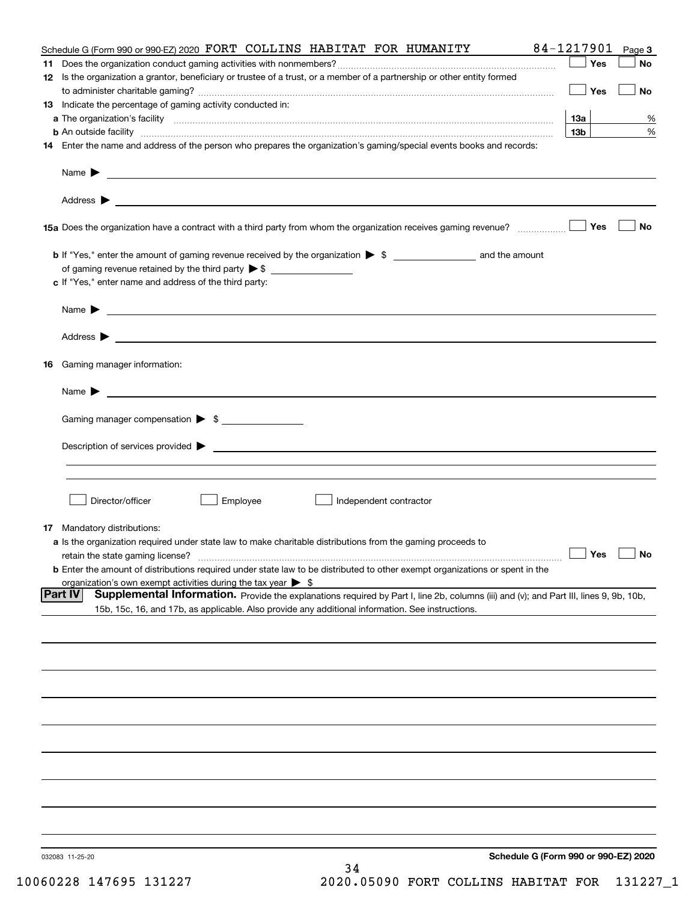|     | Schedule G (Form 990 or 990-EZ) 2020 FORT COLLINS HABITAT FOR HUMANITY                                                                             | 84-1217901 Page 3 |           |
|-----|----------------------------------------------------------------------------------------------------------------------------------------------------|-------------------|-----------|
| 11. |                                                                                                                                                    | Yes               | No        |
|     | 12 Is the organization a grantor, beneficiary or trustee of a trust, or a member of a partnership or other entity formed                           |                   |           |
|     |                                                                                                                                                    | Yes               | No        |
|     | 13 Indicate the percentage of gaming activity conducted in:                                                                                        |                   |           |
|     |                                                                                                                                                    | <b>13a</b>        | %         |
|     | <b>b</b> An outside facility <i>www.communicality www.communicality.communicality www.communicality www.communicality.com</i>                      | 13 <sub>b</sub>   | %         |
|     | 14 Enter the name and address of the person who prepares the organization's gaming/special events books and records:                               |                   |           |
|     |                                                                                                                                                    |                   |           |
|     |                                                                                                                                                    |                   |           |
|     |                                                                                                                                                    |                   |           |
|     |                                                                                                                                                    |                   |           |
|     |                                                                                                                                                    |                   |           |
|     |                                                                                                                                                    | Yes               | No        |
|     |                                                                                                                                                    |                   |           |
|     |                                                                                                                                                    |                   |           |
|     |                                                                                                                                                    |                   |           |
|     | c If "Yes," enter name and address of the third party:                                                                                             |                   |           |
|     |                                                                                                                                                    |                   |           |
|     | Name $\blacktriangleright$ $\lrcorner$                                                                                                             |                   |           |
|     |                                                                                                                                                    |                   |           |
|     |                                                                                                                                                    |                   |           |
|     |                                                                                                                                                    |                   |           |
|     | 16 Gaming manager information:                                                                                                                     |                   |           |
|     | Name $\blacktriangleright$ $\lrcorner$                                                                                                             |                   |           |
|     |                                                                                                                                                    |                   |           |
|     | Gaming manager compensation > \$                                                                                                                   |                   |           |
|     |                                                                                                                                                    |                   |           |
|     | $Description of services provided \triangleright$                                                                                                  |                   |           |
|     |                                                                                                                                                    |                   |           |
|     |                                                                                                                                                    |                   |           |
|     |                                                                                                                                                    |                   |           |
|     | Director/officer<br>Employee<br>Independent contractor                                                                                             |                   |           |
|     |                                                                                                                                                    |                   |           |
|     | <b>17</b> Mandatory distributions:                                                                                                                 |                   |           |
|     | a Is the organization required under state law to make charitable distributions from the gaming proceeds to                                        |                   |           |
|     | retain the state gaming license?                                                                                                                   | $\Box$ Yes        | $\Box$ No |
|     | <b>b</b> Enter the amount of distributions required under state law to be distributed to other exempt organizations or spent in the                |                   |           |
|     | organization's own exempt activities during the tax year $\triangleright$ \$                                                                       |                   |           |
|     | Supplemental Information. Provide the explanations required by Part I, line 2b, columns (iii) and (v); and Part III, lines 9, 9b, 10b,<br> Part IV |                   |           |
|     | 15b, 15c, 16, and 17b, as applicable. Also provide any additional information. See instructions.                                                   |                   |           |
|     |                                                                                                                                                    |                   |           |
|     |                                                                                                                                                    |                   |           |
|     |                                                                                                                                                    |                   |           |
|     |                                                                                                                                                    |                   |           |
|     |                                                                                                                                                    |                   |           |
|     |                                                                                                                                                    |                   |           |
|     |                                                                                                                                                    |                   |           |
|     |                                                                                                                                                    |                   |           |
|     |                                                                                                                                                    |                   |           |
|     |                                                                                                                                                    |                   |           |
|     |                                                                                                                                                    |                   |           |
|     |                                                                                                                                                    |                   |           |
|     |                                                                                                                                                    |                   |           |
|     |                                                                                                                                                    |                   |           |
|     |                                                                                                                                                    |                   |           |
|     |                                                                                                                                                    |                   |           |
|     | Schedule G (Form 990 or 990-EZ) 2020<br>032083 11-25-20                                                                                            |                   |           |
|     | 34                                                                                                                                                 |                   |           |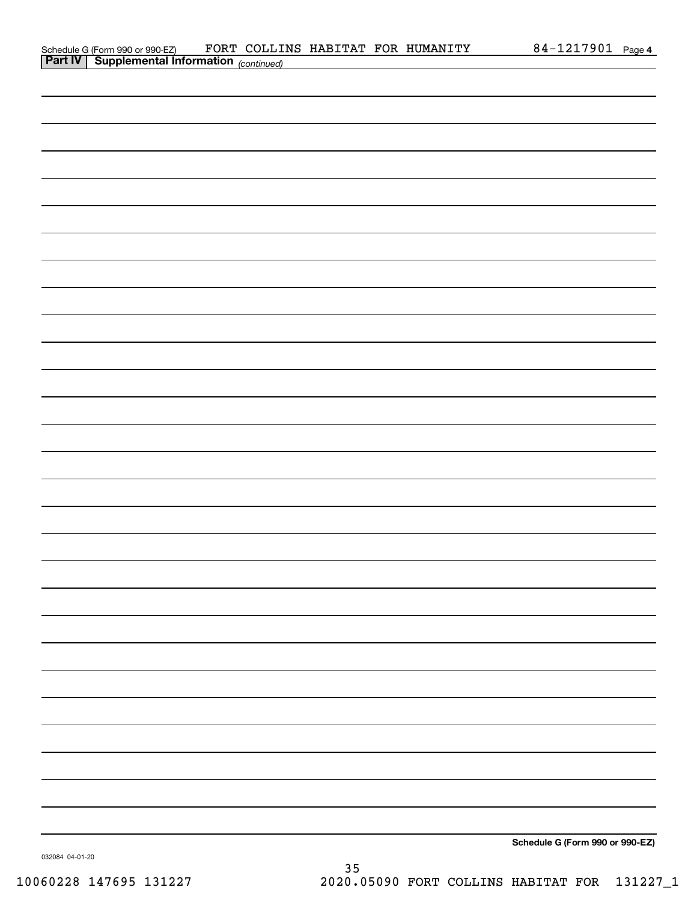| Schedule G (Form 990 or 990-EZ)                            |  |  | FORT COLLINS HABITAT FOR HUMANITY | 84-1217901 | Page 4 |
|------------------------------------------------------------|--|--|-----------------------------------|------------|--------|
| <b>Part IV</b>   Supplemental Information $_{(continued)}$ |  |  |                                   |            |        |

| <b>Part IV   Supplemental Information</b> (continued) |  |                                 |  |
|-------------------------------------------------------|--|---------------------------------|--|
|                                                       |  |                                 |  |
|                                                       |  |                                 |  |
|                                                       |  |                                 |  |
|                                                       |  |                                 |  |
|                                                       |  |                                 |  |
|                                                       |  |                                 |  |
|                                                       |  |                                 |  |
|                                                       |  |                                 |  |
|                                                       |  |                                 |  |
|                                                       |  |                                 |  |
|                                                       |  |                                 |  |
|                                                       |  |                                 |  |
|                                                       |  |                                 |  |
|                                                       |  |                                 |  |
|                                                       |  |                                 |  |
|                                                       |  |                                 |  |
|                                                       |  |                                 |  |
|                                                       |  |                                 |  |
|                                                       |  |                                 |  |
|                                                       |  |                                 |  |
|                                                       |  |                                 |  |
|                                                       |  |                                 |  |
|                                                       |  |                                 |  |
|                                                       |  |                                 |  |
|                                                       |  |                                 |  |
|                                                       |  |                                 |  |
|                                                       |  |                                 |  |
|                                                       |  |                                 |  |
|                                                       |  |                                 |  |
|                                                       |  | Schedule G (Form 990 or 990-EZ) |  |

032084 04-01-20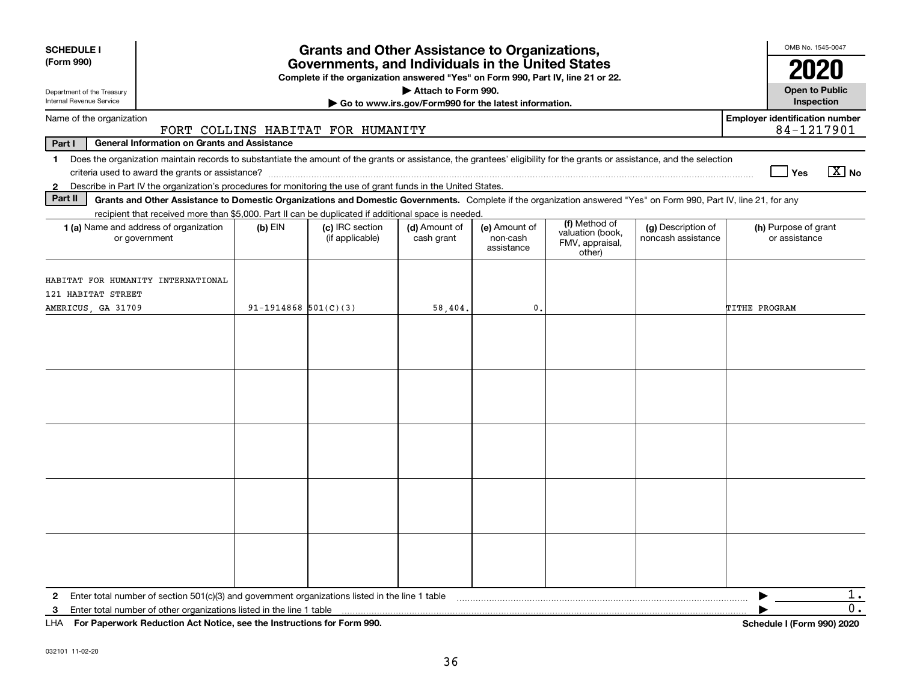| <b>SCHEDULE I</b><br>(Form 990)                                                | <b>Grants and Other Assistance to Organizations,</b><br>Governments, and Individuals in the United States<br>Complete if the organization answered "Yes" on Form 990, Part IV, line 21 or 22. |                          |                                    |                                                                              |                                         |                                                                |                                          |               | OMB No. 1545-0047<br>2020                           |                       |
|--------------------------------------------------------------------------------|-----------------------------------------------------------------------------------------------------------------------------------------------------------------------------------------------|--------------------------|------------------------------------|------------------------------------------------------------------------------|-----------------------------------------|----------------------------------------------------------------|------------------------------------------|---------------|-----------------------------------------------------|-----------------------|
| Department of the Treasury<br>Internal Revenue Service                         |                                                                                                                                                                                               |                          |                                    | Attach to Form 990.<br>Go to www.irs.gov/Form990 for the latest information. |                                         |                                                                |                                          |               | <b>Open to Public</b><br>Inspection                 |                       |
| Name of the organization                                                       |                                                                                                                                                                                               |                          | FORT COLLINS HABITAT FOR HUMANITY  |                                                                              |                                         |                                                                |                                          |               | <b>Employer identification number</b><br>84-1217901 |                       |
| Part I                                                                         | <b>General Information on Grants and Assistance</b>                                                                                                                                           |                          |                                    |                                                                              |                                         |                                                                |                                          |               |                                                     |                       |
| 1                                                                              | Does the organization maintain records to substantiate the amount of the grants or assistance, the grantees' eligibility for the grants or assistance, and the selection                      |                          |                                    |                                                                              |                                         |                                                                |                                          |               | Yes                                                 | $\boxed{\text{X}}$ No |
| $\mathbf{2}$                                                                   | Describe in Part IV the organization's procedures for monitoring the use of grant funds in the United States.                                                                                 |                          |                                    |                                                                              |                                         |                                                                |                                          |               |                                                     |                       |
| Part II                                                                        | Grants and Other Assistance to Domestic Organizations and Domestic Governments. Complete if the organization answered "Yes" on Form 990, Part IV, line 21, for any                            |                          |                                    |                                                                              |                                         |                                                                |                                          |               |                                                     |                       |
|                                                                                | recipient that received more than \$5,000. Part II can be duplicated if additional space is needed.<br>1 (a) Name and address of organization<br>or government                                | $(b)$ EIN                | (c) IRC section<br>(if applicable) | (d) Amount of<br>cash grant                                                  | (e) Amount of<br>non-cash<br>assistance | (f) Method of<br>valuation (book,<br>FMV, appraisal,<br>other) | (g) Description of<br>noncash assistance |               | (h) Purpose of grant<br>or assistance               |                       |
| HABITAT FOR HUMANITY INTERNATIONAL<br>121 HABITAT STREET<br>AMERICUS, GA 31709 |                                                                                                                                                                                               | $91-1914868$ $501(C)(3)$ |                                    | 58,404.                                                                      | 0.                                      |                                                                |                                          | TITHE PROGRAM |                                                     |                       |
|                                                                                |                                                                                                                                                                                               |                          |                                    |                                                                              |                                         |                                                                |                                          |               |                                                     |                       |
|                                                                                |                                                                                                                                                                                               |                          |                                    |                                                                              |                                         |                                                                |                                          |               |                                                     |                       |
|                                                                                |                                                                                                                                                                                               |                          |                                    |                                                                              |                                         |                                                                |                                          |               |                                                     |                       |
|                                                                                |                                                                                                                                                                                               |                          |                                    |                                                                              |                                         |                                                                |                                          |               |                                                     |                       |
|                                                                                |                                                                                                                                                                                               |                          |                                    |                                                                              |                                         |                                                                |                                          |               |                                                     |                       |
| $\mathbf{2}$                                                                   | Enter total number of section 501(c)(3) and government organizations listed in the line 1 table                                                                                               |                          |                                    |                                                                              |                                         |                                                                |                                          |               |                                                     | ı.                    |
| з                                                                              | Enter total number of other organizations listed in the line 1 table                                                                                                                          |                          |                                    |                                                                              |                                         |                                                                |                                          |               |                                                     | 0.                    |
|                                                                                | LHA For Paperwork Reduction Act Notice, see the Instructions for Form 990.                                                                                                                    |                          |                                    |                                                                              |                                         |                                                                |                                          |               | Schedule I (Form 990) 2020                          |                       |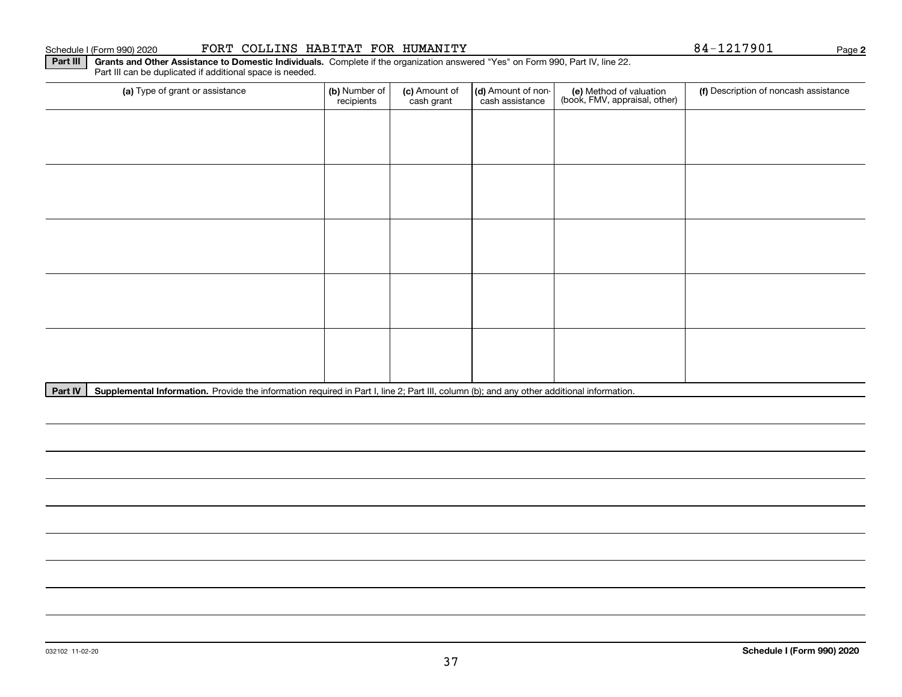Part III can be duplicated if additional space is needed.

| recipients | (c) Amount of<br>cash grant | cash assistance | (e) Method of valuation<br>(book, FMV, appraisal, other) | (f) Description of noncash assistance |
|------------|-----------------------------|-----------------|----------------------------------------------------------|---------------------------------------|
|            |                             |                 |                                                          |                                       |
|            |                             |                 |                                                          |                                       |
|            |                             |                 |                                                          |                                       |
|            |                             |                 |                                                          |                                       |
|            |                             |                 |                                                          |                                       |
|            |                             |                 |                                                          |                                       |
|            |                             |                 |                                                          |                                       |
|            |                             |                 |                                                          |                                       |
|            |                             |                 |                                                          |                                       |
|            |                             |                 |                                                          |                                       |
|            |                             | (b) Number of   |                                                          | (d) Amount of non-                    |

Part IV | Supplemental Information. Provide the information required in Part I, line 2; Part III, column (b); and any other additional information.

## Schedule I (Form 990) 2020 **FORT COLLINS HABITAT FOR HUMANITY** 8 4-12179 01 Page

**2**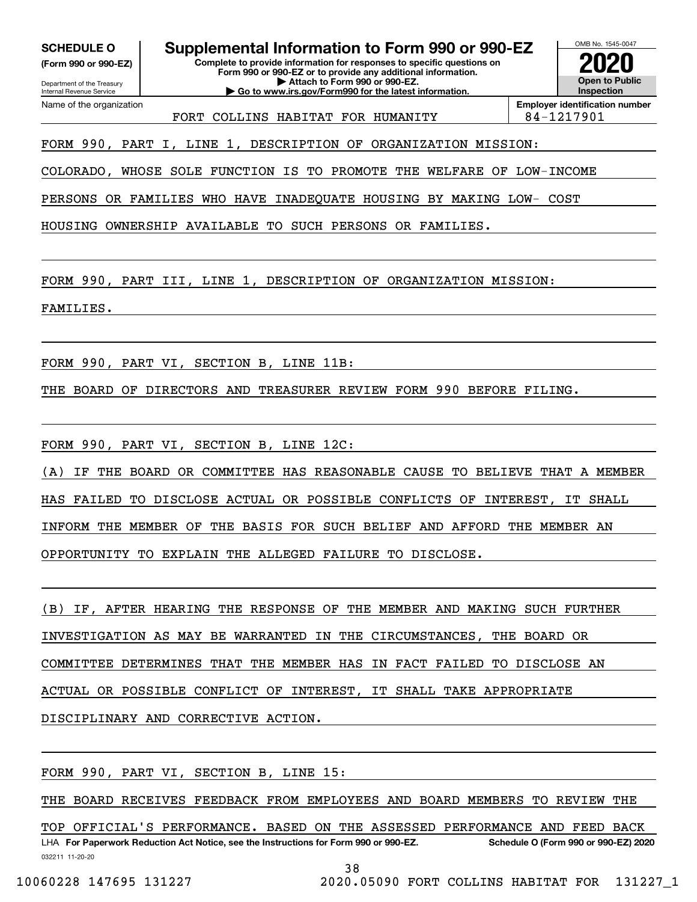**(Form 990 or 990-EZ)**

Department of the Treasury Internal Revenue Service Name of the organization

**SCHEDULE O Supplemental Information to Form 990 or 990-EZ**

**Complete to provide information for responses to specific questions on Form 990 or 990-EZ or to provide any additional information. | Attach to Form 990 or 990-EZ. | Go to www.irs.gov/Form990 for the latest information.**

**Open to Public Inspection2020**

OMB No. 1545-0047

FORT COLLINS HABITAT FOR HUMANITY 84-1217901

**Employer identification number**

FORM 990, PART I, LINE 1, DESCRIPTION OF ORGANIZATION MISSION:

COLORADO, WHOSE SOLE FUNCTION IS TO PROMOTE THE WELFARE OF LOW-INCOME

PERSONS OR FAMILIES WHO HAVE INADEQUATE HOUSING BY MAKING LOW- COST

HOUSING OWNERSHIP AVAILABLE TO SUCH PERSONS OR FAMILIES.

FORM 990, PART III, LINE 1, DESCRIPTION OF ORGANIZATION MISSION:

FAMILIES.

FORM 990, PART VI, SECTION B, LINE 11B:

THE BOARD OF DIRECTORS AND TREASURER REVIEW FORM 990 BEFORE FILING.

FORM 990, PART VI, SECTION B, LINE 12C:

(A) IF THE BOARD OR COMMITTEE HAS REASONABLE CAUSE TO BELIEVE THAT A MEMBER HAS FAILED TO DISCLOSE ACTUAL OR POSSIBLE CONFLICTS OF INTEREST, IT SHALL INFORM THE MEMBER OF THE BASIS FOR SUCH BELIEF AND AFFORD THE MEMBER AN OPPORTUNITY TO EXPLAIN THE ALLEGED FAILURE TO DISCLOSE.

(B) IF, AFTER HEARING THE RESPONSE OF THE MEMBER AND MAKING SUCH FURTHER INVESTIGATION AS MAY BE WARRANTED IN THE CIRCUMSTANCES, THE BOARD OR COMMITTEE DETERMINES THAT THE MEMBER HAS IN FACT FAILED TO DISCLOSE AN ACTUAL OR POSSIBLE CONFLICT OF INTEREST, IT SHALL TAKE APPROPRIATE DISCIPLINARY AND CORRECTIVE ACTION.

FORM 990, PART VI, SECTION B, LINE 15:

THE BOARD RECEIVES FEEDBACK FROM EMPLOYEES AND BOARD MEMBERS TO REVIEW THE

032211 11-20-20 LHA For Paperwork Reduction Act Notice, see the Instructions for Form 990 or 990-EZ. Schedule O (Form 990 or 990-EZ) 2020 TOP OFFICIAL'S PERFORMANCE. BASED ON THE ASSESSED PERFORMANCE AND FEED BACK

38